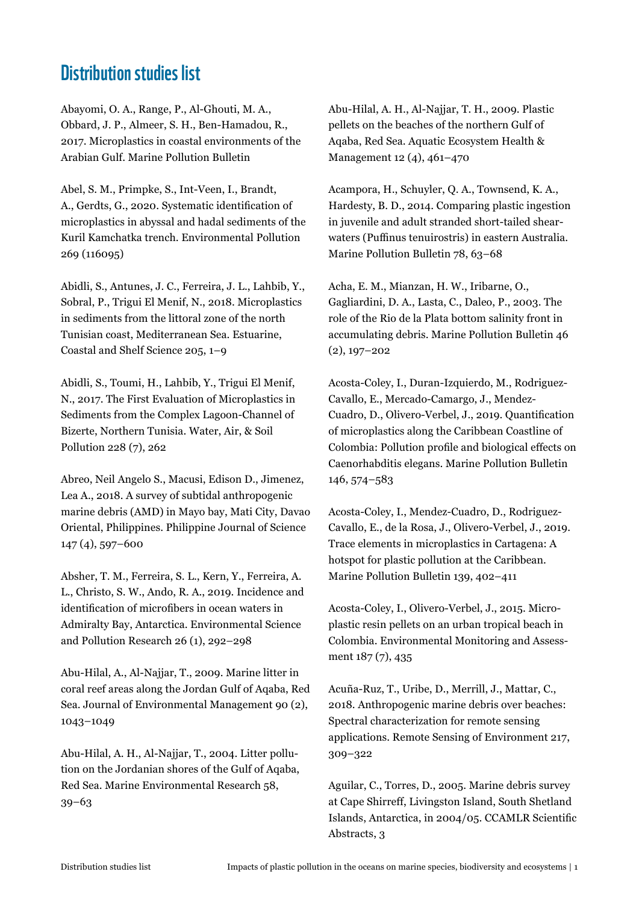## Distribution studies list

Abayomi, O. A., Range, P., Al-Ghouti, M. A., Obbard, J. P., Almeer, S. H., Ben-Hamadou, R., 2017. Microplastics in coastal environments of the Arabian Gulf. Marine Pollution Bulletin

Abel, S. M., Primpke, S., Int-Veen, I., Brandt, A., Gerdts, G., 2020. Systematic identification of microplastics in abyssal and hadal sediments of the Kuril Kamchatka trench. Environmental Pollution 269 (116095)

Abidli, S., Antunes, J. C., Ferreira, J. L., Lahbib, Y., Sobral, P., Trigui El Menif, N., 2018. Microplastics in sediments from the littoral zone of the north Tunisian coast, Mediterranean Sea. Estuarine, Coastal and Shelf Science 205, 1–9

Abidli, S., Toumi, H., Lahbib, Y., Trigui El Menif, N., 2017. The First Evaluation of Microplastics in Sediments from the Complex Lagoon-Channel of Bizerte, Northern Tunisia. Water, Air, & Soil Pollution 228 (7), 262

Abreo, Neil Angelo S., Macusi, Edison D., Jimenez, Lea A., 2018. A survey of subtidal anthropogenic marine debris (AMD) in Mayo bay, Mati City, Davao Oriental, Philippines. Philippine Journal of Science 147 (4), 597–600

Absher, T. M., Ferreira, S. L., Kern, Y., Ferreira, A. L., Christo, S. W., Ando, R. A., 2019. Incidence and identification of microfibers in ocean waters in Admiralty Bay, Antarctica. Environmental Science and Pollution Research 26 (1), 292–298

Abu-Hilal, A., Al-Najjar, T., 2009. Marine litter in coral reef areas along the Jordan Gulf of Aqaba, Red Sea. Journal of Environmental Management 90 (2), 1043–1049

Abu-Hilal, A. H., Al-Najjar, T., 2004. Litter pollution on the Jordanian shores of the Gulf of Aqaba, Red Sea. Marine Environmental Research 58, 39–63

Abu-Hilal, A. H., Al-Najjar, T. H., 2009. Plastic pellets on the beaches of the northern Gulf of Aqaba, Red Sea. Aquatic Ecosystem Health & Management 12 (4), 461–470

Acampora, H., Schuyler, Q. A., Townsend, K. A., Hardesty, B. D., 2014. Comparing plastic ingestion in juvenile and adult stranded short-tailed shearwaters (Puffinus tenuirostris) in eastern Australia. Marine Pollution Bulletin 78, 63–68

Acha, E. M., Mianzan, H. W., Iribarne, O., Gagliardini, D. A., Lasta, C., Daleo, P., 2003. The role of the Rio de la Plata bottom salinity front in accumulating debris. Marine Pollution Bulletin 46 (2), 197–202

Acosta-Coley, I., Duran-Izquierdo, M., Rodriguez-Cavallo, E., Mercado-Camargo, J., Mendez-Cuadro, D., Olivero-Verbel, J., 2019. Quantification of microplastics along the Caribbean Coastline of Colombia: Pollution profile and biological effects on Caenorhabditis elegans. Marine Pollution Bulletin 146, 574–583

Acosta-Coley, I., Mendez-Cuadro, D., Rodriguez-Cavallo, E., de la Rosa, J., Olivero-Verbel, J., 2019. Trace elements in microplastics in Cartagena: A hotspot for plastic pollution at the Caribbean. Marine Pollution Bulletin 139, 402–411

Acosta-Coley, I., Olivero-Verbel, J., 2015. Microplastic resin pellets on an urban tropical beach in Colombia. Environmental Monitoring and Assessment 187 (7), 435

Acuña-Ruz, T., Uribe, D., Merrill, J., Mattar, C., 2018. Anthropogenic marine debris over beaches: Spectral characterization for remote sensing applications. Remote Sensing of Environment 217, 309–322

Aguilar, C., Torres, D., 2005. Marine debris survey at Cape Shirreff, Livingston Island, South Shetland Islands, Antarctica, in 2004/05. CCAMLR Scientific Abstracts, 3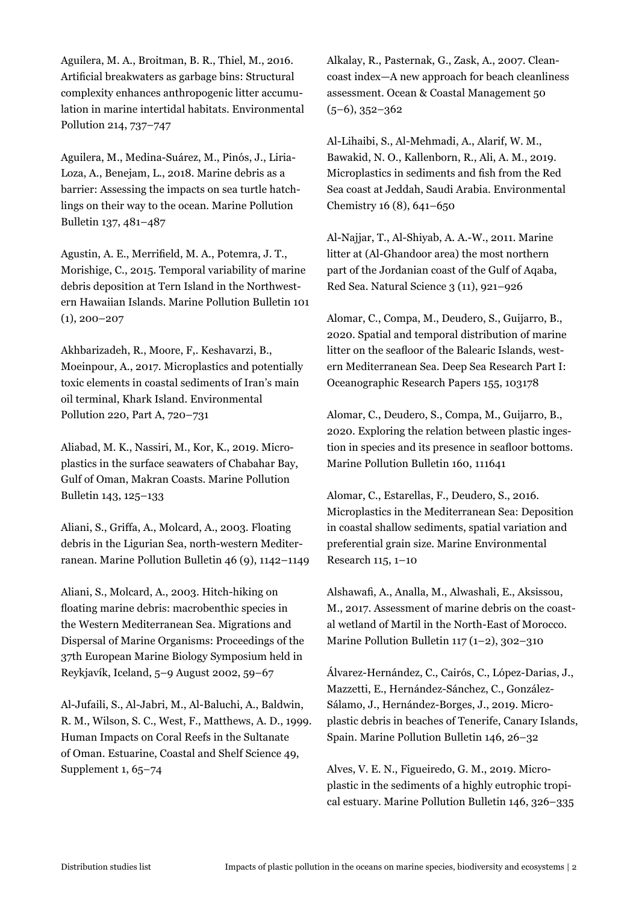Aguilera, M. A., Broitman, B. R., Thiel, M., 2016. Artificial breakwaters as garbage bins: Structural complexity enhances anthropogenic litter accumulation in marine intertidal habitats. Environmental Pollution 214, 737–747

Aguilera, M., Medina-Suárez, M., Pinós, J., Liria-Loza, A., Benejam, L., 2018. Marine debris as a barrier: Assessing the impacts on sea turtle hatchlings on their way to the ocean. Marine Pollution Bulletin 137, 481–487

Agustin, A. E., Merrifield, M. A., Potemra, J. T., Morishige, C., 2015. Temporal variability of marine debris deposition at Tern Island in the Northwestern Hawaiian Islands. Marine Pollution Bulletin 101  $(1), 200 - 207$ 

Akhbarizadeh, R., Moore, F,. Keshavarzi, B., Moeinpour, A., 2017. Microplastics and potentially toxic elements in coastal sediments of Iran's main oil terminal, Khark Island. Environmental Pollution 220, Part A, 720–731

Aliabad, M. K., Nassiri, M., Kor, K., 2019. Microplastics in the surface seawaters of Chabahar Bay, Gulf of Oman, Makran Coasts. Marine Pollution Bulletin 143, 125–133

Aliani, S., Griffa, A., Molcard, A., 2003. Floating debris in the Ligurian Sea, north-western Mediterranean. Marine Pollution Bulletin 46 (9), 1142–1149

Aliani, S., Molcard, A., 2003. Hitch-hiking on floating marine debris: macrobenthic species in the Western Mediterranean Sea. Migrations and Dispersal of Marine Organisms: Proceedings of the 37th European Marine Biology Symposium held in Reykjavík, Iceland, 5–9 August 2002, 59–67

Al-Jufaili, S., Al-Jabri, M., Al-Baluchi, A., Baldwin, R. M., Wilson, S. C., West, F., Matthews, A. D., 1999. Human Impacts on Coral Reefs in the Sultanate of Oman. Estuarine, Coastal and Shelf Science 49, Supplement 1, 65–74

Alkalay, R., Pasternak, G., Zask, A., 2007. Cleancoast index—A new approach for beach cleanliness assessment. Ocean & Coastal Management 50 (5–6), 352–362

Al-Lihaibi, S., Al-Mehmadi, A., Alarif, W. M., Bawakid, N. O., Kallenborn, R., Ali, A. M., 2019. Microplastics in sediments and fish from the Red Sea coast at Jeddah, Saudi Arabia. Environmental Chemistry 16 (8), 641–650

Al-Najjar, T., Al-Shiyab, A. A.-W., 2011. Marine litter at (Al-Ghandoor area) the most northern part of the Jordanian coast of the Gulf of Aqaba, Red Sea. Natural Science 3 (11), 921–926

Alomar, C., Compa, M., Deudero, S., Guijarro, B., 2020. Spatial and temporal distribution of marine litter on the seafloor of the Balearic Islands, western Mediterranean Sea. Deep Sea Research Part I: Oceanographic Research Papers 155, 103178

Alomar, C., Deudero, S., Compa, M., Guijarro, B., 2020. Exploring the relation between plastic ingestion in species and its presence in seafloor bottoms. Marine Pollution Bulletin 160, 111641

Alomar, C., Estarellas, F., Deudero, S., 2016. Microplastics in the Mediterranean Sea: Deposition in coastal shallow sediments, spatial variation and preferential grain size. Marine Environmental Research 115, 1–10

Alshawafi, A., Analla, M., Alwashali, E., Aksissou, M., 2017. Assessment of marine debris on the coastal wetland of Martil in the North-East of Morocco. Marine Pollution Bulletin 117 (1–2), 302–310

Álvarez-Hernández, C., Cairós, C., López-Darias, J., Mazzetti, E., Hernández-Sánchez, C., González-Sálamo, J., Hernández-Borges, J., 2019. Microplastic debris in beaches of Tenerife, Canary Islands, Spain. Marine Pollution Bulletin 146, 26–32

Alves, V. E. N., Figueiredo, G. M., 2019. Microplastic in the sediments of a highly eutrophic tropical estuary. Marine Pollution Bulletin 146, 326–335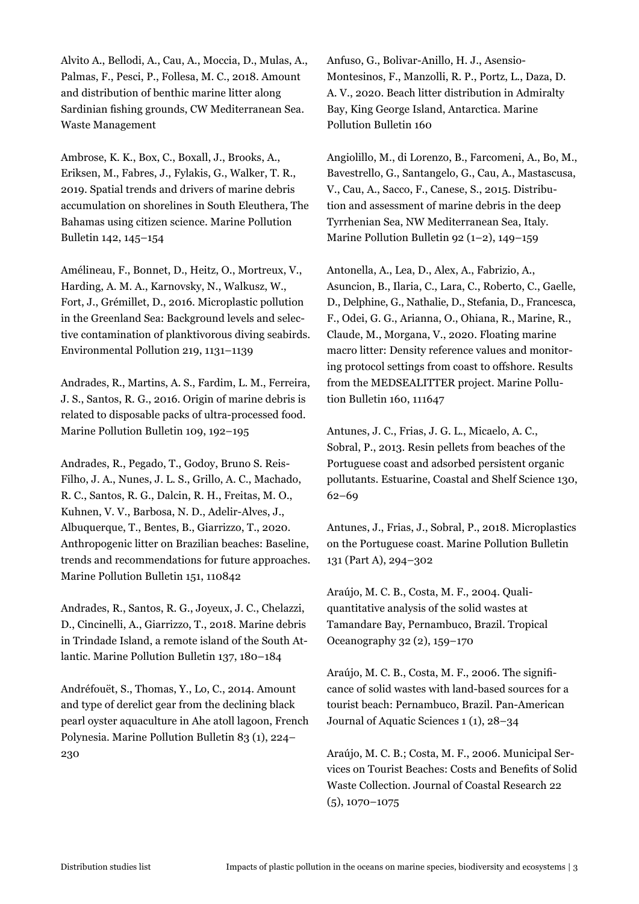Alvito A., Bellodi, A., Cau, A., Moccia, D., Mulas, A., Palmas, F., Pesci, P., Follesa, M. C., 2018. Amount and distribution of benthic marine litter along Sardinian fishing grounds, CW Mediterranean Sea. Waste Management

Ambrose, K. K., Box, C., Boxall, J., Brooks, A., Eriksen, M., Fabres, J., Fylakis, G., Walker, T. R., 2019. Spatial trends and drivers of marine debris accumulation on shorelines in South Eleuthera, The Bahamas using citizen science. Marine Pollution Bulletin 142, 145–154

Amélineau, F., Bonnet, D., Heitz, O., Mortreux, V., Harding, A. M. A., Karnovsky, N., Walkusz, W., Fort, J., Grémillet, D., 2016. Microplastic pollution in the Greenland Sea: Background levels and selective contamination of planktivorous diving seabirds. Environmental Pollution 219, 1131–1139

Andrades, R., Martins, A. S., Fardim, L. M., Ferreira, J. S., Santos, R. G., 2016. Origin of marine debris is related to disposable packs of ultra-processed food. Marine Pollution Bulletin 109, 192–195

Andrades, R., Pegado, T., Godoy, Bruno S. Reis-Filho, J. A., Nunes, J. L. S., Grillo, A. C., Machado, R. C., Santos, R. G., Dalcin, R. H., Freitas, M. O., Kuhnen, V. V., Barbosa, N. D., Adelir-Alves, J., Albuquerque, T., Bentes, B., Giarrizzo, T., 2020. Anthropogenic litter on Brazilian beaches: Baseline, trends and recommendations for future approaches. Marine Pollution Bulletin 151, 110842

Andrades, R., Santos, R. G., Joyeux, J. C., Chelazzi, D., Cincinelli, A., Giarrizzo, T., 2018. Marine debris in Trindade Island, a remote island of the South Atlantic. Marine Pollution Bulletin 137, 180–184

Andréfouët, S., Thomas, Y., Lo, C., 2014. Amount and type of derelict gear from the declining black pearl oyster aquaculture in Ahe atoll lagoon, French Polynesia. Marine Pollution Bulletin 83 (1), 224– 230

Anfuso, G., Bolivar-Anillo, H. J., Asensio-Montesinos, F., Manzolli, R. P., Portz, L., Daza, D. A. V., 2020. Beach litter distribution in Admiralty Bay, King George Island, Antarctica. Marine Pollution Bulletin 160

Angiolillo, M., di Lorenzo, B., Farcomeni, A., Bo, M., Bavestrello, G., Santangelo, G., Cau, A., Mastascusa, V., Cau, A., Sacco, F., Canese, S., 2015. Distribution and assessment of marine debris in the deep Tyrrhenian Sea, NW Mediterranean Sea, Italy. Marine Pollution Bulletin 92 (1–2), 149–159

Antonella, A., Lea, D., Alex, A., Fabrizio, A., Asuncion, B., Ilaria, C., Lara, C., Roberto, C., Gaelle, D., Delphine, G., Nathalie, D., Stefania, D., Francesca, F., Odei, G. G., Arianna, O., Ohiana, R., Marine, R., Claude, M., Morgana, V., 2020. Floating marine macro litter: Density reference values and monitoring protocol settings from coast to offshore. Results from the MEDSEALITTER project. Marine Pollution Bulletin 160, 111647

Antunes, J. C., Frias, J. G. L., Micaelo, A. C., Sobral, P., 2013. Resin pellets from beaches of the Portuguese coast and adsorbed persistent organic pollutants. Estuarine, Coastal and Shelf Science 130, 62–69

Antunes, J., Frias, J., Sobral, P., 2018. Microplastics on the Portuguese coast. Marine Pollution Bulletin 131 (Part A), 294–302

Araújo, M. C. B., Costa, M. F., 2004. Qualiquantitative analysis of the solid wastes at Tamandare Bay, Pernambuco, Brazil. Tropical Oceanography 32 (2), 159–170

Araújo, M. C. B., Costa, M. F., 2006. The significance of solid wastes with land-based sources for a tourist beach: Pernambuco, Brazil. Pan-American Journal of Aquatic Sciences 1 (1), 28–34

Araújo, M. C. B.; Costa, M. F., 2006. Municipal Services on Tourist Beaches: Costs and Benefits of Solid Waste Collection. Journal of Coastal Research 22 (5), 1070–1075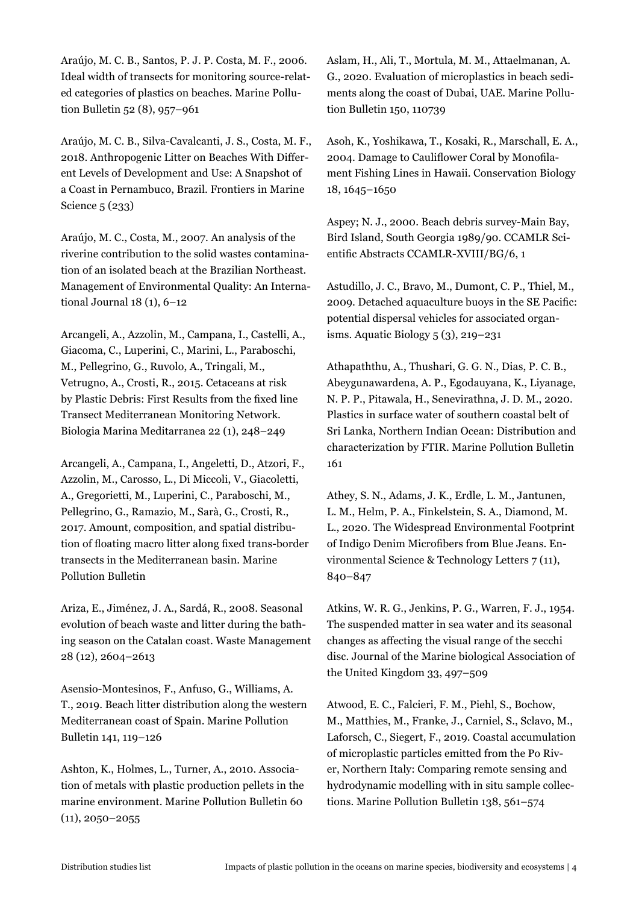Araújo, M. C. B., Santos, P. J. P. Costa, M. F., 2006. Ideal width of transects for monitoring source-related categories of plastics on beaches. Marine Pollution Bulletin 52 (8), 957–961

Araújo, M. C. B., Silva-Cavalcanti, J. S., Costa, M. F., 2018. Anthropogenic Litter on Beaches With Different Levels of Development and Use: A Snapshot of a Coast in Pernambuco, Brazil. Frontiers in Marine Science 5 (233)

Araújo, M. C., Costa, M., 2007. An analysis of the riverine contribution to the solid wastes contamination of an isolated beach at the Brazilian Northeast. Management of Environmental Quality: An International Journal 18 (1), 6–12

Arcangeli, A., Azzolin, M., Campana, I., Castelli, A., Giacoma, C., Luperini, C., Marini, L., Paraboschi, M., Pellegrino, G., Ruvolo, A., Tringali, M., Vetrugno, A., Crosti, R., 2015. Cetaceans at risk by Plastic Debris: First Results from the fixed line Transect Mediterranean Monitoring Network. Biologia Marina Meditarranea 22 (1), 248–249

Arcangeli, A., Campana, I., Angeletti, D., Atzori, F., Azzolin, M., Carosso, L., Di Miccoli, V., Giacoletti, A., Gregorietti, M., Luperini, C., Paraboschi, M., Pellegrino, G., Ramazio, M., Sarà, G., Crosti, R., 2017. Amount, composition, and spatial distribution of floating macro litter along fixed trans-border transects in the Mediterranean basin. Marine Pollution Bulletin

Ariza, E., Jiménez, J. A., Sardá, R., 2008. Seasonal evolution of beach waste and litter during the bathing season on the Catalan coast. Waste Management 28 (12), 2604–2613

Asensio-Montesinos, F., Anfuso, G., Williams, A. T., 2019. Beach litter distribution along the western Mediterranean coast of Spain. Marine Pollution Bulletin 141, 119–126

Ashton, K., Holmes, L., Turner, A., 2010. Association of metals with plastic production pellets in the marine environment. Marine Pollution Bulletin 60  $(11), 2050 - 2055$ 

Aslam, H., Ali, T., Mortula, M. M., Attaelmanan, A. G., 2020. Evaluation of microplastics in beach sediments along the coast of Dubai, UAE. Marine Pollution Bulletin 150, 110739

Asoh, K., Yoshikawa, T., Kosaki, R., Marschall, E. A., 2004. Damage to Cauliflower Coral by Monofilament Fishing Lines in Hawaii. Conservation Biology 18, 1645–1650

Aspey; N. J., 2000. Beach debris survey-Main Bay, Bird Island, South Georgia 1989/90. CCAMLR Scientific Abstracts CCAMLR-XVIII/BG/6, 1

Astudillo, J. C., Bravo, M., Dumont, C. P., Thiel, M., 2009. Detached aquaculture buoys in the SE Pacific: potential dispersal vehicles for associated organisms. Aquatic Biology 5 (3), 219–231

Athapaththu, A., Thushari, G. G. N., Dias, P. C. B., Abeygunawardena, A. P., Egodauyana, K., Liyanage, N. P. P., Pitawala, H., Senevirathna, J. D. M., 2020. Plastics in surface water of southern coastal belt of Sri Lanka, Northern Indian Ocean: Distribution and characterization by FTIR. Marine Pollution Bulletin 161

Athey, S. N., Adams, J. K., Erdle, L. M., Jantunen, L. M., Helm, P. A., Finkelstein, S. A., Diamond, M. L., 2020. The Widespread Environmental Footprint of Indigo Denim Microfibers from Blue Jeans. Environmental Science & Technology Letters 7 (11), 840–847

Atkins, W. R. G., Jenkins, P. G., Warren, F. J., 1954. The suspended matter in sea water and its seasonal changes as affecting the visual range of the secchi disc. Journal of the Marine biological Association of the United Kingdom 33, 497–509

Atwood, E. C., Falcieri, F. M., Piehl, S., Bochow, M., Matthies, M., Franke, J., Carniel, S., Sclavo, M., Laforsch, C., Siegert, F., 2019. Coastal accumulation of microplastic particles emitted from the Po River, Northern Italy: Comparing remote sensing and hydrodynamic modelling with in situ sample collections. Marine Pollution Bulletin 138, 561–574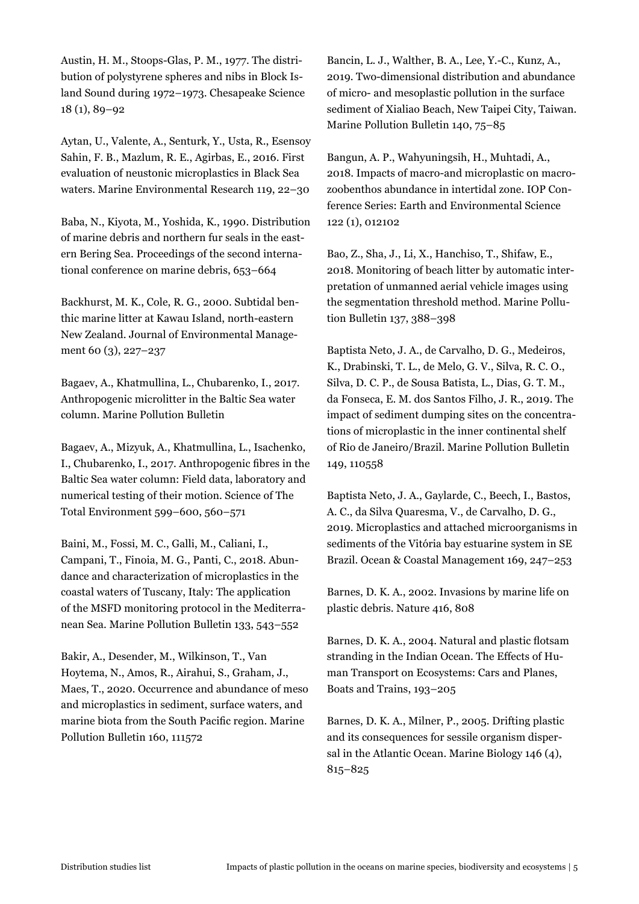Austin, H. M., Stoops-Glas, P. M., 1977. The distribution of polystyrene spheres and nibs in Block Island Sound during 1972–1973. Chesapeake Science 18 (1), 89–92

Aytan, U., Valente, A., Senturk, Y., Usta, R., Esensoy Sahin, F. B., Mazlum, R. E., Agirbas, E., 2016. First evaluation of neustonic microplastics in Black Sea waters. Marine Environmental Research 119, 22–30

Baba, N., Kiyota, M., Yoshida, K., 1990. Distribution of marine debris and northern fur seals in the eastern Bering Sea. Proceedings of the second international conference on marine debris, 653–664

Backhurst, M. K., Cole, R. G., 2000. Subtidal benthic marine litter at Kawau Island, north-eastern New Zealand. Journal of Environmental Management 60 (3), 227–237

Bagaev, A., Khatmullina, L., Chubarenko, I., 2017. Anthropogenic microlitter in the Baltic Sea water column. Marine Pollution Bulletin

Bagaev, A., Mizyuk, A., Khatmullina, L., Isachenko, I., Chubarenko, I., 2017. Anthropogenic fibres in the Baltic Sea water column: Field data, laboratory and numerical testing of their motion. Science of The Total Environment 599–600, 560–571

Baini, M., Fossi, M. C., Galli, M., Caliani, I., Campani, T., Finoia, M. G., Panti, C., 2018. Abundance and characterization of microplastics in the coastal waters of Tuscany, Italy: The application of the MSFD monitoring protocol in the Mediterranean Sea. Marine Pollution Bulletin 133, 543–552

Bakir, A., Desender, M., Wilkinson, T., Van Hoytema, N., Amos, R., Airahui, S., Graham, J., Maes, T., 2020. Occurrence and abundance of meso and microplastics in sediment, surface waters, and marine biota from the South Pacific region. Marine Pollution Bulletin 160, 111572

Bancin, L. J., Walther, B. A., Lee, Y.-C., Kunz, A., 2019. Two-dimensional distribution and abundance of micro- and mesoplastic pollution in the surface sediment of Xialiao Beach, New Taipei City, Taiwan. Marine Pollution Bulletin 140, 75–85

Bangun, A. P., Wahyuningsih, H., Muhtadi, A., 2018. Impacts of macro-and microplastic on macrozoobenthos abundance in intertidal zone. IOP Conference Series: Earth and Environmental Science 122 (1), 012102

Bao, Z., Sha, J., Li, X., Hanchiso, T., Shifaw, E., 2018. Monitoring of beach litter by automatic interpretation of unmanned aerial vehicle images using the segmentation threshold method. Marine Pollution Bulletin 137, 388–398

Baptista Neto, J. A., de Carvalho, D. G., Medeiros, K., Drabinski, T. L., de Melo, G. V., Silva, R. C. O., Silva, D. C. P., de Sousa Batista, L., Dias, G. T. M., da Fonseca, E. M. dos Santos Filho, J. R., 2019. The impact of sediment dumping sites on the concentrations of microplastic in the inner continental shelf of Rio de Janeiro/Brazil. Marine Pollution Bulletin 149, 110558

Baptista Neto, J. A., Gaylarde, C., Beech, I., Bastos, A. C., da Silva Quaresma, V., de Carvalho, D. G., 2019. Microplastics and attached microorganisms in sediments of the Vitória bay estuarine system in SE Brazil. Ocean & Coastal Management 169, 247–253

Barnes, D. K. A., 2002. Invasions by marine life on plastic debris. Nature 416, 808

Barnes, D. K. A., 2004. Natural and plastic flotsam stranding in the Indian Ocean. The Effects of Human Transport on Ecosystems: Cars and Planes, Boats and Trains, 193–205

Barnes, D. K. A., Milner, P., 2005. Drifting plastic and its consequences for sessile organism dispersal in the Atlantic Ocean. Marine Biology 146 (4), 815–825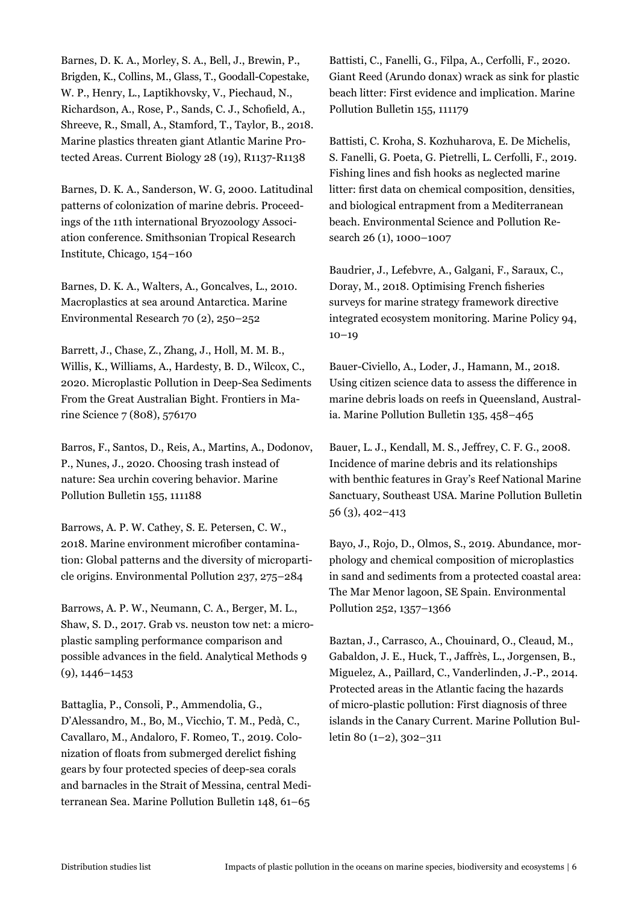Barnes, D. K. A., Morley, S. A., Bell, J., Brewin, P., Brigden, K., Collins, M., Glass, T., Goodall-Copestake, W. P., Henry, L., Laptikhovsky, V., Piechaud, N., Richardson, A., Rose, P., Sands, C. J., Schofield, A., Shreeve, R., Small, A., Stamford, T., Taylor, B., 2018. Marine plastics threaten giant Atlantic Marine Protected Areas. Current Biology 28 (19), R1137-R1138

Barnes, D. K. A., Sanderson, W. G, 2000. Latitudinal patterns of colonization of marine debris. Proceedings of the 11th international Bryozoology Association conference. Smithsonian Tropical Research Institute, Chicago, 154–160

Barnes, D. K. A., Walters, A., Goncalves, L., 2010. Macroplastics at sea around Antarctica. Marine Environmental Research 70 (2), 250–252

Barrett, J., Chase, Z., Zhang, J., Holl, M. M. B., Willis, K., Williams, A., Hardesty, B. D., Wilcox, C., 2020. Microplastic Pollution in Deep-Sea Sediments From the Great Australian Bight. Frontiers in Marine Science 7 (808), 576170

Barros, F., Santos, D., Reis, A., Martins, A., Dodonov, P., Nunes, J., 2020. Choosing trash instead of nature: Sea urchin covering behavior. Marine Pollution Bulletin 155, 111188

Barrows, A. P. W. Cathey, S. E. Petersen, C. W., 2018. Marine environment microfiber contamination: Global patterns and the diversity of microparticle origins. Environmental Pollution 237, 275–284

Barrows, A. P. W., Neumann, C. A., Berger, M. L., Shaw, S. D., 2017. Grab vs. neuston tow net: a microplastic sampling performance comparison and possible advances in the field. Analytical Methods 9 (9), 1446–1453

Battaglia, P., Consoli, P., Ammendolia, G., D'Alessandro, M., Bo, M., Vicchio, T. M., Pedà, C., Cavallaro, M., Andaloro, F. Romeo, T., 2019. Colonization of floats from submerged derelict fishing gears by four protected species of deep-sea corals and barnacles in the Strait of Messina, central Mediterranean Sea. Marine Pollution Bulletin 148, 61–65

Battisti, C., Fanelli, G., Filpa, A., Cerfolli, F., 2020. Giant Reed (Arundo donax) wrack as sink for plastic beach litter: First evidence and implication. Marine Pollution Bulletin 155, 111179

Battisti, C. Kroha, S. Kozhuharova, E. De Michelis, S. Fanelli, G. Poeta, G. Pietrelli, L. Cerfolli, F., 2019. Fishing lines and fish hooks as neglected marine litter: first data on chemical composition, densities, and biological entrapment from a Mediterranean beach. Environmental Science and Pollution Research 26 (1), 1000–1007

Baudrier, J., Lefebvre, A., Galgani, F., Saraux, C., Doray, M., 2018. Optimising French fisheries surveys for marine strategy framework directive integrated ecosystem monitoring. Marine Policy 94,  $10-19$ 

Bauer-Civiello, A., Loder, J., Hamann, M., 2018. Using citizen science data to assess the difference in marine debris loads on reefs in Queensland, Australia. Marine Pollution Bulletin 135, 458–465

Bauer, L. J., Kendall, M. S., Jeffrey, C. F. G., 2008. Incidence of marine debris and its relationships with benthic features in Gray's Reef National Marine Sanctuary, Southeast USA. Marine Pollution Bulletin 56 (3), 402–413

Bayo, J., Rojo, D., Olmos, S., 2019. Abundance, morphology and chemical composition of microplastics in sand and sediments from a protected coastal area: The Mar Menor lagoon, SE Spain. Environmental Pollution 252, 1357–1366

Baztan, J., Carrasco, A., Chouinard, O., Cleaud, M., Gabaldon, J. E., Huck, T., Jaffrès, L., Jorgensen, B., Miguelez, A., Paillard, C., Vanderlinden, J.-P., 2014. Protected areas in the Atlantic facing the hazards of micro-plastic pollution: First diagnosis of three islands in the Canary Current. Marine Pollution Bulletin 80 (1–2), 302–311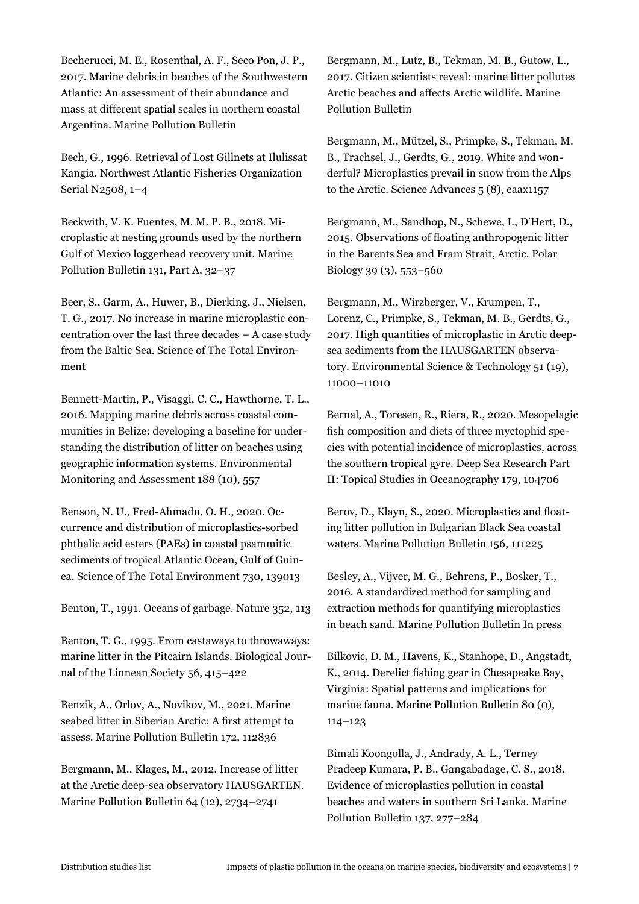Becherucci, M. E., Rosenthal, A. F., Seco Pon, J. P., 2017. Marine debris in beaches of the Southwestern Atlantic: An assessment of their abundance and mass at different spatial scales in northern coastal Argentina. Marine Pollution Bulletin

Bech, G., 1996. Retrieval of Lost Gillnets at Ilulissat Kangia. Northwest Atlantic Fisheries Organization Serial N2508, 1–4

Beckwith, V. K. Fuentes, M. M. P. B., 2018. Microplastic at nesting grounds used by the northern Gulf of Mexico loggerhead recovery unit. Marine Pollution Bulletin 131, Part A, 32–37

Beer, S., Garm, A., Huwer, B., Dierking, J., Nielsen, T. G., 2017. No increase in marine microplastic concentration over the last three decades – A case study from the Baltic Sea. Science of The Total Environment

Bennett-Martin, P., Visaggi, C. C., Hawthorne, T. L., 2016. Mapping marine debris across coastal communities in Belize: developing a baseline for understanding the distribution of litter on beaches using geographic information systems. Environmental Monitoring and Assessment 188 (10), 557

Benson, N. U., Fred-Ahmadu, O. H., 2020. Occurrence and distribution of microplastics-sorbed phthalic acid esters (PAEs) in coastal psammitic sediments of tropical Atlantic Ocean, Gulf of Guinea. Science of The Total Environment 730, 139013

Benton, T., 1991. Oceans of garbage. Nature 352, 113

Benton, T. G., 1995. From castaways to throwaways: marine litter in the Pitcairn Islands. Biological Journal of the Linnean Society 56, 415–422

Benzik, A., Orlov, A., Novikov, M., 2021. Marine seabed litter in Siberian Arctic: A first attempt to assess. Marine Pollution Bulletin 172, 112836

Bergmann, M., Klages, M., 2012. Increase of litter at the Arctic deep-sea observatory HAUSGARTEN. Marine Pollution Bulletin 64 (12), 2734–2741

Bergmann, M., Lutz, B., Tekman, M. B., Gutow, L., 2017. Citizen scientists reveal: marine litter pollutes Arctic beaches and affects Arctic wildlife. Marine Pollution Bulletin

Bergmann, M., Mützel, S., Primpke, S., Tekman, M. B., Trachsel, J., Gerdts, G., 2019. White and wonderful? Microplastics prevail in snow from the Alps to the Arctic. Science Advances 5 (8), eaax1157

Bergmann, M., Sandhop, N., Schewe, I., D'Hert, D., 2015. Observations of floating anthropogenic litter in the Barents Sea and Fram Strait, Arctic. Polar Biology 39 (3), 553–560

Bergmann, M., Wirzberger, V., Krumpen, T., Lorenz, C., Primpke, S., Tekman, M. B., Gerdts, G., 2017. High quantities of microplastic in Arctic deepsea sediments from the HAUSGARTEN observatory. Environmental Science & Technology 51 (19), 11000–11010

Bernal, A., Toresen, R., Riera, R., 2020. Mesopelagic fish composition and diets of three myctophid species with potential incidence of microplastics, across the southern tropical gyre. Deep Sea Research Part II: Topical Studies in Oceanography 179, 104706

Berov, D., Klayn, S., 2020. Microplastics and floating litter pollution in Bulgarian Black Sea coastal waters. Marine Pollution Bulletin 156, 111225

Besley, A., Vijver, M. G., Behrens, P., Bosker, T., 2016. A standardized method for sampling and extraction methods for quantifying microplastics in beach sand. Marine Pollution Bulletin In press

Bilkovic, D. M., Havens, K., Stanhope, D., Angstadt, K., 2014. Derelict fishing gear in Chesapeake Bay, Virginia: Spatial patterns and implications for marine fauna. Marine Pollution Bulletin 80 (0), 114–123

Bimali Koongolla, J., Andrady, A. L., Terney Pradeep Kumara, P. B., Gangabadage, C. S., 2018. Evidence of microplastics pollution in coastal beaches and waters in southern Sri Lanka. Marine Pollution Bulletin 137, 277–284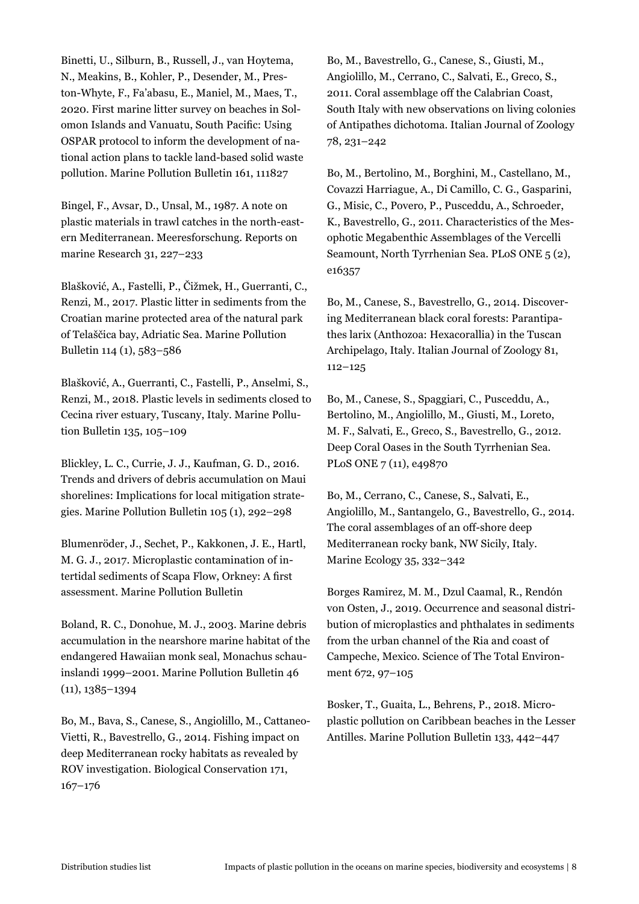Binetti, U., Silburn, B., Russell, J., van Hoytema, N., Meakins, B., Kohler, P., Desender, M., Preston-Whyte, F., Fa'abasu, E., Maniel, M., Maes, T., 2020. First marine litter survey on beaches in Solomon Islands and Vanuatu, South Pacific: Using OSPAR protocol to inform the development of national action plans to tackle land-based solid waste pollution. Marine Pollution Bulletin 161, 111827

Bingel, F., Avsar, D., Unsal, M., 1987. A note on plastic materials in trawl catches in the north-eastern Mediterranean. Meeresforschung. Reports on marine Research 31, 227–233

Blašković, A., Fastelli, P., Čižmek, H., Guerranti, C., Renzi, M., 2017. Plastic litter in sediments from the Croatian marine protected area of the natural park of Telaščica bay, Adriatic Sea. Marine Pollution Bulletin 114 (1), 583–586

Blašković, A., Guerranti, C., Fastelli, P., Anselmi, S., Renzi, M., 2018. Plastic levels in sediments closed to Cecina river estuary, Tuscany, Italy. Marine Pollution Bulletin 135, 105–109

Blickley, L. C., Currie, J. J., Kaufman, G. D., 2016. Trends and drivers of debris accumulation on Maui shorelines: Implications for local mitigation strategies. Marine Pollution Bulletin 105 (1), 292–298

Blumenröder, J., Sechet, P., Kakkonen, J. E., Hartl, M. G. J., 2017. Microplastic contamination of intertidal sediments of Scapa Flow, Orkney: A first assessment. Marine Pollution Bulletin

Boland, R. C., Donohue, M. J., 2003. Marine debris accumulation in the nearshore marine habitat of the endangered Hawaiian monk seal, Monachus schauinslandi 1999–2001. Marine Pollution Bulletin 46 (11), 1385–1394

Bo, M., Bava, S., Canese, S., Angiolillo, M., Cattaneo-Vietti, R., Bavestrello, G., 2014. Fishing impact on deep Mediterranean rocky habitats as revealed by ROV investigation. Biological Conservation 171, 167–176

Bo, M., Bavestrello, G., Canese, S., Giusti, M., Angiolillo, M., Cerrano, C., Salvati, E., Greco, S., 2011. Coral assemblage off the Calabrian Coast, South Italy with new observations on living colonies of Antipathes dichotoma. Italian Journal of Zoology 78, 231–242

Bo, M., Bertolino, M., Borghini, M., Castellano, M., Covazzi Harriague, A., Di Camillo, C. G., Gasparini, G., Misic, C., Povero, P., Pusceddu, A., Schroeder, K., Bavestrello, G., 2011. Characteristics of the Mesophotic Megabenthic Assemblages of the Vercelli Seamount, North Tyrrhenian Sea. PLoS ONE 5 (2), e16357

Bo, M., Canese, S., Bavestrello, G., 2014. Discovering Mediterranean black coral forests: Parantipathes larix (Anthozoa: Hexacorallia) in the Tuscan Archipelago, Italy. Italian Journal of Zoology 81, 112–125

Bo, M., Canese, S., Spaggiari, C., Pusceddu, A., Bertolino, M., Angiolillo, M., Giusti, M., Loreto, M. F., Salvati, E., Greco, S., Bavestrello, G., 2012. Deep Coral Oases in the South Tyrrhenian Sea. PLoS ONE 7 (11), e49870

Bo, M., Cerrano, C., Canese, S., Salvati, E., Angiolillo, M., Santangelo, G., Bavestrello, G., 2014. The coral assemblages of an off-shore deep Mediterranean rocky bank, NW Sicily, Italy. Marine Ecology 35, 332–342

Borges Ramirez, M. M., Dzul Caamal, R., Rendón von Osten, J., 2019. Occurrence and seasonal distribution of microplastics and phthalates in sediments from the urban channel of the Ria and coast of Campeche, Mexico. Science of The Total Environment 672, 97–105

Bosker, T., Guaita, L., Behrens, P., 2018. Microplastic pollution on Caribbean beaches in the Lesser Antilles. Marine Pollution Bulletin 133, 442–447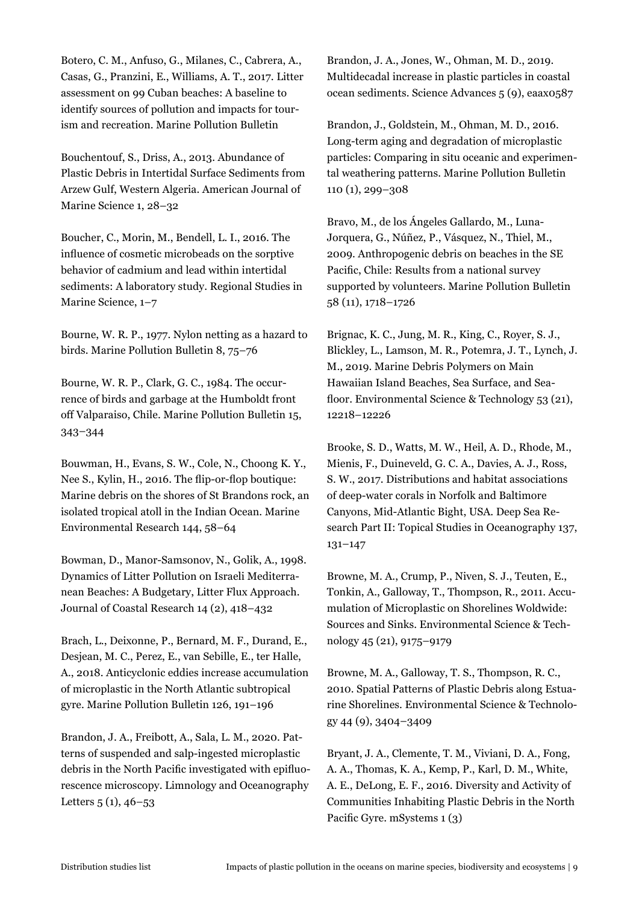Botero, C. M., Anfuso, G., Milanes, C., Cabrera, A., Casas, G., Pranzini, E., Williams, A. T., 2017. Litter assessment on 99 Cuban beaches: A baseline to identify sources of pollution and impacts for tourism and recreation. Marine Pollution Bulletin

Bouchentouf, S., Driss, A., 2013. Abundance of Plastic Debris in Intertidal Surface Sediments from Arzew Gulf, Western Algeria. American Journal of Marine Science 1, 28–32

Boucher, C., Morin, M., Bendell, L. I., 2016. The influence of cosmetic microbeads on the sorptive behavior of cadmium and lead within intertidal sediments: A laboratory study. Regional Studies in Marine Science, 1–7

Bourne, W. R. P., 1977. Nylon netting as a hazard to birds. Marine Pollution Bulletin 8, 75–76

Bourne, W. R. P., Clark, G. C., 1984. The occurrence of birds and garbage at the Humboldt front off Valparaiso, Chile. Marine Pollution Bulletin 15, 343–344

Bouwman, H., Evans, S. W., Cole, N., Choong K. Y., Nee S., Kylin, H., 2016. The flip-or-flop boutique: Marine debris on the shores of St Brandons rock, an isolated tropical atoll in the Indian Ocean. Marine Environmental Research 144, 58–64

Bowman, D., Manor-Samsonov, N., Golik, A., 1998. Dynamics of Litter Pollution on Israeli Mediterranean Beaches: A Budgetary, Litter Flux Approach. Journal of Coastal Research 14 (2), 418–432

Brach, L., Deixonne, P., Bernard, M. F., Durand, E., Desjean, M. C., Perez, E., van Sebille, E., ter Halle, A., 2018. Anticyclonic eddies increase accumulation of microplastic in the North Atlantic subtropical gyre. Marine Pollution Bulletin 126, 191–196

Brandon, J. A., Freibott, A., Sala, L. M., 2020. Patterns of suspended and salp-ingested microplastic debris in the North Pacific investigated with epifluorescence microscopy. Limnology and Oceanography Letters  $5(1), 46-53$ 

Brandon, J. A., Jones, W., Ohman, M. D., 2019. Multidecadal increase in plastic particles in coastal ocean sediments. Science Advances 5 (9), eaax0587

Brandon, J., Goldstein, M., Ohman, M. D., 2016. Long-term aging and degradation of microplastic particles: Comparing in situ oceanic and experimental weathering patterns. Marine Pollution Bulletin 110 (1), 299–308

Bravo, M., de los Ángeles Gallardo, M., Luna-Jorquera, G., Núñez, P., Vásquez, N., Thiel, M., 2009. Anthropogenic debris on beaches in the SE Pacific, Chile: Results from a national survey supported by volunteers. Marine Pollution Bulletin 58 (11), 1718–1726

Brignac, K. C., Jung, M. R., King, C., Royer, S. J., Blickley, L., Lamson, M. R., Potemra, J. T., Lynch, J. M., 2019. Marine Debris Polymers on Main Hawaiian Island Beaches, Sea Surface, and Seafloor. Environmental Science & Technology 53 (21), 12218–12226

Brooke, S. D., Watts, M. W., Heil, A. D., Rhode, M., Mienis, F., Duineveld, G. C. A., Davies, A. J., Ross, S. W., 2017. Distributions and habitat associations of deep-water corals in Norfolk and Baltimore Canyons, Mid-Atlantic Bight, USA. Deep Sea Research Part II: Topical Studies in Oceanography 137, 131–147

Browne, M. A., Crump, P., Niven, S. J., Teuten, E., Tonkin, A., Galloway, T., Thompson, R., 2011. Accumulation of Microplastic on Shorelines Woldwide: Sources and Sinks. Environmental Science & Technology 45 (21), 9175–9179

Browne, M. A., Galloway, T. S., Thompson, R. C., 2010. Spatial Patterns of Plastic Debris along Estuarine Shorelines. Environmental Science & Technology 44 (9), 3404–3409

Bryant, J. A., Clemente, T. M., Viviani, D. A., Fong, A. A., Thomas, K. A., Kemp, P., Karl, D. M., White, A. E., DeLong, E. F., 2016. Diversity and Activity of Communities Inhabiting Plastic Debris in the North Pacific Gyre. mSystems 1 (3)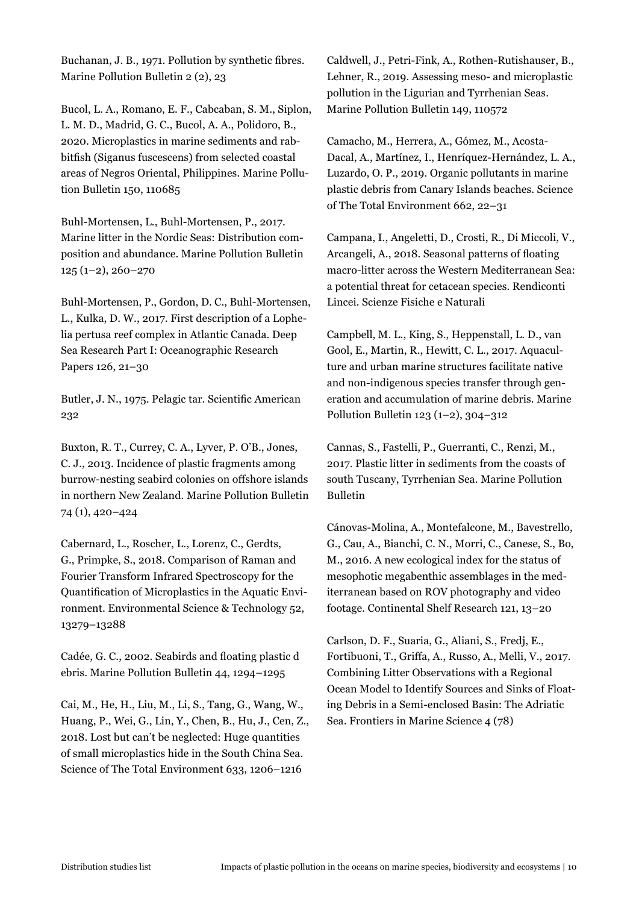Buchanan, J. B., 1971. Pollution by synthetic fibres. Marine Pollution Bulletin 2 (2), 23

Bucol, L. A., Romano, E. F., Cabcaban, S. M., Siplon, L. M. D., Madrid, G. C., Bucol, A. A., Polidoro, B., 2020. Microplastics in marine sediments and rabbitfish (Siganus fuscescens) from selected coastal areas of Negros Oriental, Philippines. Marine Pollution Bulletin 150, 110685

Buhl-Mortensen, L., Buhl-Mortensen, P., 2017. Marine litter in the Nordic Seas: Distribution composition and abundance. Marine Pollution Bulletin 125 (1–2), 260–270

Buhl-Mortensen, P., Gordon, D. C., Buhl-Mortensen, L., Kulka, D. W., 2017. First description of a Lophelia pertusa reef complex in Atlantic Canada. Deep Sea Research Part I: Oceanographic Research Papers 126, 21–30

Butler, J. N., 1975. Pelagic tar. Scientific American 232

Buxton, R. T., Currey, C. A., Lyver, P. O'B., Jones, C. J., 2013. Incidence of plastic fragments among burrow-nesting seabird colonies on offshore islands in northern New Zealand. Marine Pollution Bulletin 74 (1), 420–424

Cabernard, L., Roscher, L., Lorenz, C., Gerdts, G., Primpke, S., 2018. Comparison of Raman and Fourier Transform Infrared Spectroscopy for the Quantification of Microplastics in the Aquatic Environment. Environmental Science & Technology 52, 13279–13288

Cadée, G. C., 2002. Seabirds and floating plastic d ebris. Marine Pollution Bulletin 44, 1294–1295

Cai, M., He, H., Liu, M., Li, S., Tang, G., Wang, W., Huang, P., Wei, G., Lin, Y., Chen, B., Hu, J., Cen, Z., 2018. Lost but can't be neglected: Huge quantities of small microplastics hide in the South China Sea. Science of The Total Environment 633, 1206–1216

Caldwell, J., Petri-Fink, A., Rothen-Rutishauser, B., Lehner, R., 2019. Assessing meso- and microplastic pollution in the Ligurian and Tyrrhenian Seas. Marine Pollution Bulletin 149, 110572

Camacho, M., Herrera, A., Gómez, M., Acosta-Dacal, A., Martínez, I., Henríquez-Hernández, L. A., Luzardo, O. P., 2019. Organic pollutants in marine plastic debris from Canary Islands beaches. Science of The Total Environment 662, 22–31

Campana, I., Angeletti, D., Crosti, R., Di Miccoli, V., Arcangeli, A., 2018. Seasonal patterns of floating macro-litter across the Western Mediterranean Sea: a potential threat for cetacean species. Rendiconti Lincei. Scienze Fisiche e Naturali

Campbell, M. L., King, S., Heppenstall, L. D., van Gool, E., Martin, R., Hewitt, C. L., 2017. Aquaculture and urban marine structures facilitate native and non-indigenous species transfer through generation and accumulation of marine debris. Marine Pollution Bulletin 123 (1–2), 304–312

Cannas, S., Fastelli, P., Guerranti, C., Renzi, M., 2017. Plastic litter in sediments from the coasts of south Tuscany, Tyrrhenian Sea. Marine Pollution Bulletin

Cánovas-Molina, A., Montefalcone, M., Bavestrello, G., Cau, A., Bianchi, C. N., Morri, C., Canese, S., Bo, M., 2016. A new ecological index for the status of mesophotic megabenthic assemblages in the mediterranean based on ROV photography and video footage. Continental Shelf Research 121, 13–20

Carlson, D. F., Suaria, G., Aliani, S., Fredj, E., Fortibuoni, T., Griffa, A., Russo, A., Melli, V., 2017. Combining Litter Observations with a Regional Ocean Model to Identify Sources and Sinks of Floating Debris in a Semi-enclosed Basin: The Adriatic Sea. Frontiers in Marine Science 4 (78)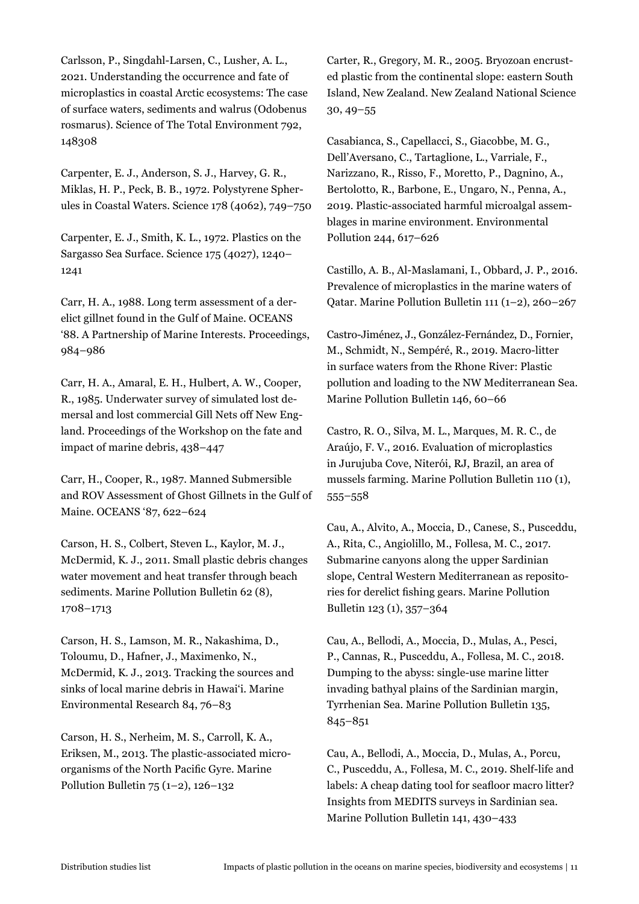Carlsson, P., Singdahl-Larsen, C., Lusher, A. L., 2021. Understanding the occurrence and fate of microplastics in coastal Arctic ecosystems: The case of surface waters, sediments and walrus (Odobenus rosmarus). Science of The Total Environment 792, 148308

Carpenter, E. J., Anderson, S. J., Harvey, G. R., Miklas, H. P., Peck, B. B., 1972. Polystyrene Spherules in Coastal Waters. Science 178 (4062), 749–750

Carpenter, E. J., Smith, K. L., 1972. Plastics on the Sargasso Sea Surface. Science 175 (4027), 1240– 1241

Carr, H. A., 1988. Long term assessment of a derelict gillnet found in the Gulf of Maine. OCEANS '88. A Partnership of Marine Interests. Proceedings, 984–986

Carr, H. A., Amaral, E. H., Hulbert, A. W., Cooper, R., 1985. Underwater survey of simulated lost demersal and lost commercial Gill Nets off New England. Proceedings of the Workshop on the fate and impact of marine debris, 438–447

Carr, H., Cooper, R., 1987. Manned Submersible and ROV Assessment of Ghost Gillnets in the Gulf of Maine. OCEANS '87, 622–624

Carson, H. S., Colbert, Steven L., Kaylor, M. J., McDermid, K. J., 2011. Small plastic debris changes water movement and heat transfer through beach sediments. Marine Pollution Bulletin 62 (8), 1708–1713

Carson, H. S., Lamson, M. R., Nakashima, D., Toloumu, D., Hafner, J., Maximenko, N., McDermid, K. J., 2013. Tracking the sources and sinks of local marine debris in Hawai'i. Marine Environmental Research 84, 76–83

Carson, H. S., Nerheim, M. S., Carroll, K. A., Eriksen, M., 2013. The plastic-associated microorganisms of the North Pacific Gyre. Marine Pollution Bulletin  $75 (1-2)$ , 126–132

Carter, R., Gregory, M. R., 2005. Bryozoan encrusted plastic from the continental slope: eastern South Island, New Zealand. New Zealand National Science 30, 49–55

Casabianca, S., Capellacci, S., Giacobbe, M. G., Dell'Aversano, C., Tartaglione, L., Varriale, F., Narizzano, R., Risso, F., Moretto, P., Dagnino, A., Bertolotto, R., Barbone, E., Ungaro, N., Penna, A., 2019. Plastic-associated harmful microalgal assemblages in marine environment. Environmental Pollution 244, 617–626

Castillo, A. B., Al-Maslamani, I., Obbard, J. P., 2016. Prevalence of microplastics in the marine waters of Qatar. Marine Pollution Bulletin 111 (1–2), 260–267

Castro-Jiménez, J., González-Fernández, D., Fornier, M., Schmidt, N., Sempéré, R., 2019. Macro-litter in surface waters from the Rhone River: Plastic pollution and loading to the NW Mediterranean Sea. Marine Pollution Bulletin 146, 60–66

Castro, R. O., Silva, M. L., Marques, M. R. C., de Araújo, F. V., 2016. Evaluation of microplastics in Jurujuba Cove, Niterói, RJ, Brazil, an area of mussels farming. Marine Pollution Bulletin 110 (1), 555–558

Cau, A., Alvito, A., Moccia, D., Canese, S., Pusceddu, A., Rita, C., Angiolillo, M., Follesa, M. C., 2017. Submarine canyons along the upper Sardinian slope, Central Western Mediterranean as repositories for derelict fishing gears. Marine Pollution Bulletin 123 (1), 357–364

Cau, A., Bellodi, A., Moccia, D., Mulas, A., Pesci, P., Cannas, R., Pusceddu, A., Follesa, M. C., 2018. Dumping to the abyss: single-use marine litter invading bathyal plains of the Sardinian margin, Tyrrhenian Sea. Marine Pollution Bulletin 135, 845–851

Cau, A., Bellodi, A., Moccia, D., Mulas, A., Porcu, C., Pusceddu, A., Follesa, M. C., 2019. Shelf-life and labels: A cheap dating tool for seafloor macro litter? Insights from MEDITS surveys in Sardinian sea. Marine Pollution Bulletin 141, 430–433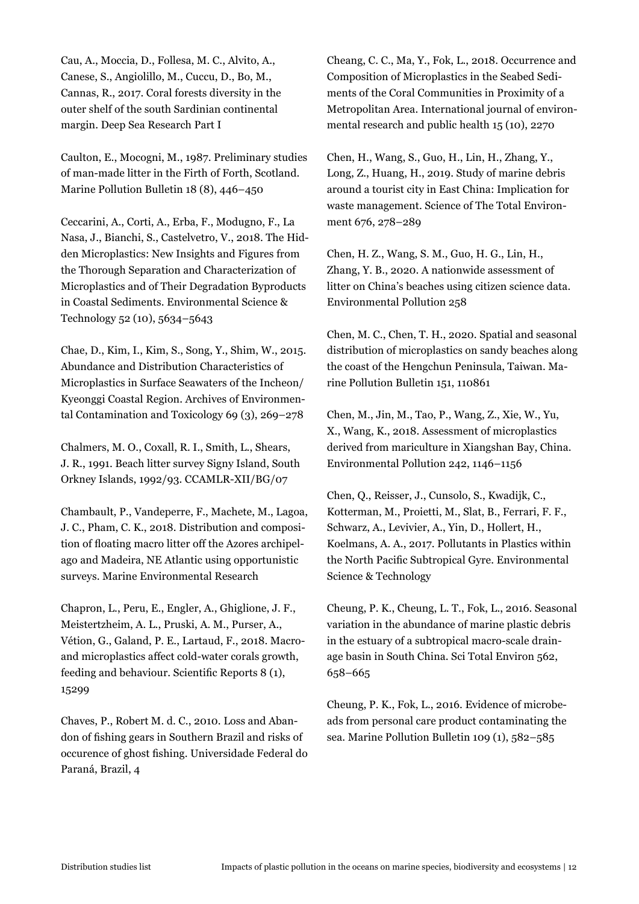Cau, A., Moccia, D., Follesa, M. C., Alvito, A., Canese, S., Angiolillo, M., Cuccu, D., Bo, M., Cannas, R., 2017. Coral forests diversity in the outer shelf of the south Sardinian continental margin. Deep Sea Research Part I

Caulton, E., Mocogni, M., 1987. Preliminary studies of man-made litter in the Firth of Forth, Scotland. Marine Pollution Bulletin 18 (8), 446–450

Ceccarini, A., Corti, A., Erba, F., Modugno, F., La Nasa, J., Bianchi, S., Castelvetro, V., 2018. The Hidden Microplastics: New Insights and Figures from the Thorough Separation and Characterization of Microplastics and of Their Degradation Byproducts in Coastal Sediments. Environmental Science & Technology 52 (10), 5634–5643

Chae, D., Kim, I., Kim, S., Song, Y., Shim, W., 2015. Abundance and Distribution Characteristics of Microplastics in Surface Seawaters of the Incheon/ Kyeonggi Coastal Region. Archives of Environmental Contamination and Toxicology 69 (3), 269–278

Chalmers, M. O., Coxall, R. I., Smith, L., Shears, J. R., 1991. Beach litter survey Signy Island, South Orkney Islands, 1992/93. CCAMLR-XII/BG/07

Chambault, P., Vandeperre, F., Machete, M., Lagoa, J. C., Pham, C. K., 2018. Distribution and composition of floating macro litter off the Azores archipelago and Madeira, NE Atlantic using opportunistic surveys. Marine Environmental Research

Chapron, L., Peru, E., Engler, A., Ghiglione, J. F., Meistertzheim, A. L., Pruski, A. M., Purser, A., Vétion, G., Galand, P. E., Lartaud, F., 2018. Macroand microplastics affect cold-water corals growth, feeding and behaviour. Scientific Reports 8 (1), 15299

Chaves, P., Robert M. d. C., 2010. Loss and Abandon of fishing gears in Southern Brazil and risks of occurence of ghost fishing. Universidade Federal do Paraná, Brazil, 4

Cheang, C. C., Ma, Y., Fok, L., 2018. Occurrence and Composition of Microplastics in the Seabed Sediments of the Coral Communities in Proximity of a Metropolitan Area. International journal of environmental research and public health 15 (10), 2270

Chen, H., Wang, S., Guo, H., Lin, H., Zhang, Y., Long, Z., Huang, H., 2019. Study of marine debris around a tourist city in East China: Implication for waste management. Science of The Total Environment 676, 278–289

Chen, H. Z., Wang, S. M., Guo, H. G., Lin, H., Zhang, Y. B., 2020. A nationwide assessment of litter on China's beaches using citizen science data. Environmental Pollution 258

Chen, M. C., Chen, T. H., 2020. Spatial and seasonal distribution of microplastics on sandy beaches along the coast of the Hengchun Peninsula, Taiwan. Marine Pollution Bulletin 151, 110861

Chen, M., Jin, M., Tao, P., Wang, Z., Xie, W., Yu, X., Wang, K., 2018. Assessment of microplastics derived from mariculture in Xiangshan Bay, China. Environmental Pollution 242, 1146–1156

Chen, Q., Reisser, J., Cunsolo, S., Kwadijk, C., Kotterman, M., Proietti, M., Slat, B., Ferrari, F. F., Schwarz, A., Levivier, A., Yin, D., Hollert, H., Koelmans, A. A., 2017. Pollutants in Plastics within the North Pacific Subtropical Gyre. Environmental Science & Technology

Cheung, P. K., Cheung, L. T., Fok, L., 2016. Seasonal variation in the abundance of marine plastic debris in the estuary of a subtropical macro-scale drainage basin in South China. Sci Total Environ 562, 658–665

Cheung, P. K., Fok, L., 2016. Evidence of microbeads from personal care product contaminating the sea. Marine Pollution Bulletin 109 (1), 582–585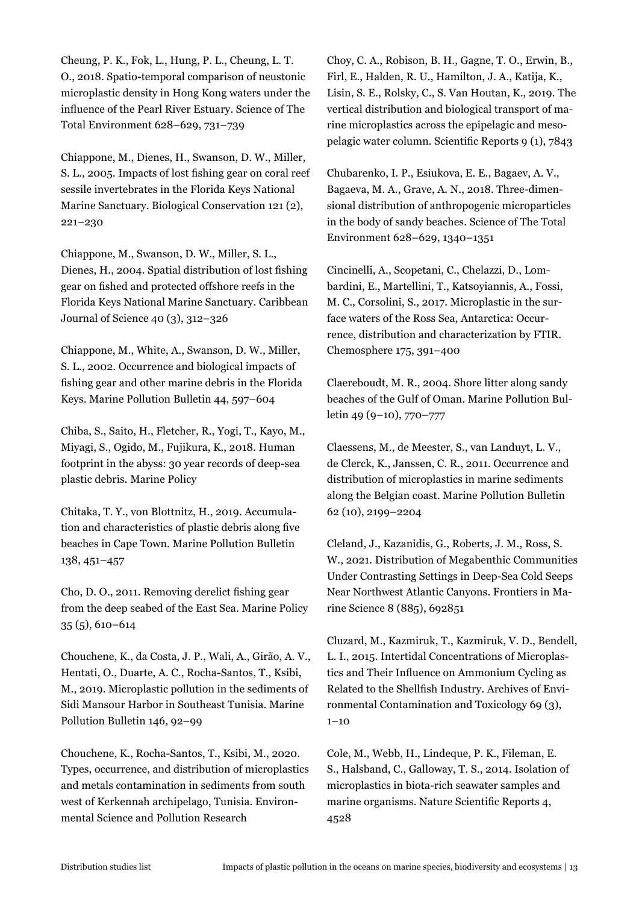Cheung, P. K., Fok, L., Hung, P. L., Cheung, L. T. O., 2018. Spatio-temporal comparison of neustonic microplastic density in Hong Kong waters under the influence of the Pearl River Estuary. Science of The Total Environment 628–629, 731–739

Chiappone, M., Dienes, H., Swanson, D. W., Miller, S. L., 2005. Impacts of lost fishing gear on coral reef sessile invertebrates in the Florida Keys National Marine Sanctuary. Biological Conservation 121 (2), 221–230

Chiappone, M., Swanson, D. W., Miller, S. L., Dienes, H., 2004. Spatial distribution of lost fishing gear on fished and protected offshore reefs in the Florida Keys National Marine Sanctuary. Caribbean Journal of Science 40 (3), 312–326

Chiappone, M., White, A., Swanson, D. W., Miller, S. L., 2002. Occurrence and biological impacts of fishing gear and other marine debris in the Florida Keys. Marine Pollution Bulletin 44, 597–604

Chiba, S., Saito, H., Fletcher, R., Yogi, T., Kayo, M., Miyagi, S., Ogido, M., Fujikura, K., 2018. Human footprint in the abyss: 30 year records of deep-sea plastic debris. Marine Policy

Chitaka, T. Y., von Blottnitz, H., 2019. Accumulation and characteristics of plastic debris along five beaches in Cape Town. Marine Pollution Bulletin 138, 451–457

Cho, D. O., 2011. Removing derelict fishing gear from the deep seabed of the East Sea. Marine Policy 35 (5), 610–614

Chouchene, K., da Costa, J. P., Wali, A., Girão, A. V., Hentati, O., Duarte, A. C., Rocha-Santos, T., Ksibi, M., 2019. Microplastic pollution in the sediments of Sidi Mansour Harbor in Southeast Tunisia. Marine Pollution Bulletin 146, 92–99

Chouchene, K., Rocha-Santos, T., Ksibi, M., 2020. Types, occurrence, and distribution of microplastics and metals contamination in sediments from south west of Kerkennah archipelago, Tunisia. Environmental Science and Pollution Research

Choy, C. A., Robison, B. H., Gagne, T. O., Erwin, B., Firl, E., Halden, R. U., Hamilton, J. A., Katija, K., Lisin, S. E., Rolsky, C., S. Van Houtan, K., 2019. The vertical distribution and biological transport of marine microplastics across the epipelagic and mesopelagic water column. Scientific Reports 9 (1), 7843

Chubarenko, I. P., Esiukova, E. E., Bagaev, A. V., Bagaeva, M. A., Grave, A. N., 2018. Three-dimensional distribution of anthropogenic microparticles in the body of sandy beaches. Science of The Total Environment 628–629, 1340–1351

Cincinelli, A., Scopetani, C., Chelazzi, D., Lombardini, E., Martellini, T., Katsoyiannis, A., Fossi, M. C., Corsolini, S., 2017. Microplastic in the surface waters of the Ross Sea, Antarctica: Occurrence, distribution and characterization by FTIR. Chemosphere 175, 391–400

Claereboudt, M. R., 2004. Shore litter along sandy beaches of the Gulf of Oman. Marine Pollution Bulletin 49 (9–10), 770–777

Claessens, M., de Meester, S., van Landuyt, L. V., de Clerck, K., Janssen, C. R., 2011. Occurrence and distribution of microplastics in marine sediments along the Belgian coast. Marine Pollution Bulletin 62 (10), 2199–2204

Cleland, J., Kazanidis, G., Roberts, J. M., Ross, S. W., 2021. Distribution of Megabenthic Communities Under Contrasting Settings in Deep-Sea Cold Seeps Near Northwest Atlantic Canyons. Frontiers in Marine Science 8 (885), 692851

Cluzard, M., Kazmiruk, T., Kazmiruk, V. D., Bendell, L. I., 2015. Intertidal Concentrations of Microplastics and Their Influence on Ammonium Cycling as Related to the Shellfish Industry. Archives of Environmental Contamination and Toxicology 69 (3),  $1 - 10$ 

Cole, M., Webb, H., Lindeque, P. K., Fileman, E. S., Halsband, C., Galloway, T. S., 2014. Isolation of microplastics in biota-rich seawater samples and marine organisms. Nature Scientific Reports 4, 4528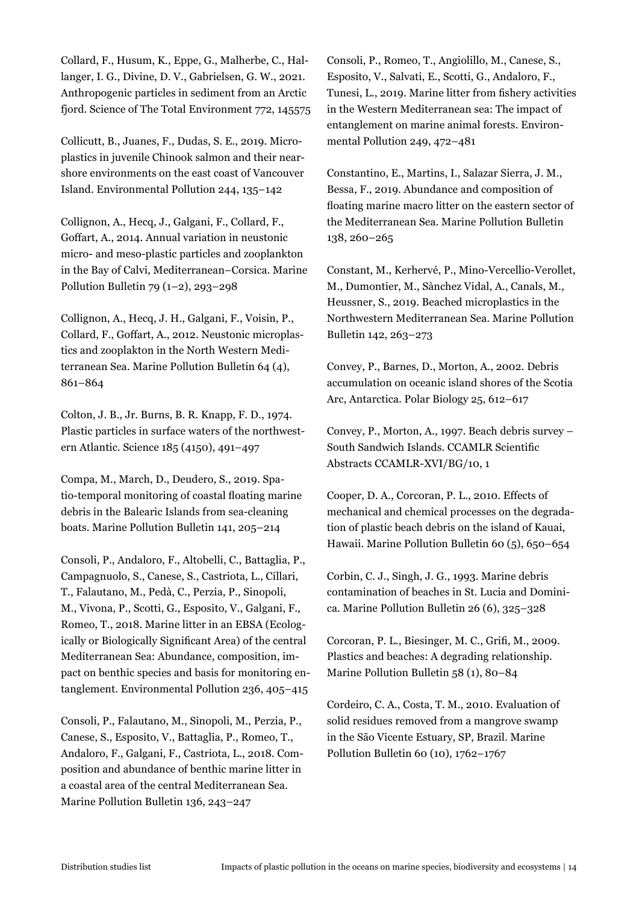Collard, F., Husum, K., Eppe, G., Malherbe, C., Hallanger, I. G., Divine, D. V., Gabrielsen, G. W., 2021. Anthropogenic particles in sediment from an Arctic fjord. Science of The Total Environment 772, 145575

Collicutt, B., Juanes, F., Dudas, S. E., 2019. Microplastics in juvenile Chinook salmon and their nearshore environments on the east coast of Vancouver Island. Environmental Pollution 244, 135–142

Collignon, A., Hecq, J., Galgani, F., Collard, F., Goffart, A., 2014. Annual variation in neustonic micro- and meso-plastic particles and zooplankton in the Bay of Calvi, Mediterranean–Corsica. Marine Pollution Bulletin 79 (1–2), 293–298

Collignon, A., Hecq, J. H., Galgani, F., Voisin, P., Collard, F., Goffart, A., 2012. Neustonic microplastics and zooplakton in the North Western Mediterranean Sea. Marine Pollution Bulletin 64 (4), 861–864

Colton, J. B., Jr. Burns, B. R. Knapp, F. D., 1974. Plastic particles in surface waters of the northwestern Atlantic. Science 185 (4150), 491–497

Compa, M., March, D., Deudero, S., 2019. Spatio-temporal monitoring of coastal floating marine debris in the Balearic Islands from sea-cleaning boats. Marine Pollution Bulletin 141, 205–214

Consoli, P., Andaloro, F., Altobelli, C., Battaglia, P., Campagnuolo, S., Canese, S., Castriota, L., Cillari, T., Falautano, M., Pedà, C., Perzia, P., Sinopoli, M., Vivona, P., Scotti, G., Esposito, V., Galgani, F., Romeo, T., 2018. Marine litter in an EBSA (Ecologically or Biologically Significant Area) of the central Mediterranean Sea: Abundance, composition, impact on benthic species and basis for monitoring entanglement. Environmental Pollution 236, 405–415

Consoli, P., Falautano, M., Sinopoli, M., Perzia, P., Canese, S., Esposito, V., Battaglia, P., Romeo, T., Andaloro, F., Galgani, F., Castriota, L., 2018. Composition and abundance of benthic marine litter in a coastal area of the central Mediterranean Sea. Marine Pollution Bulletin 136, 243–247

Consoli, P., Romeo, T., Angiolillo, M., Canese, S., Esposito, V., Salvati, E., Scotti, G., Andaloro, F., Tunesi, L., 2019. Marine litter from fishery activities in the Western Mediterranean sea: The impact of entanglement on marine animal forests. Environmental Pollution 249, 472–481

Constantino, E., Martins, I., Salazar Sierra, J. M., Bessa, F., 2019. Abundance and composition of floating marine macro litter on the eastern sector of the Mediterranean Sea. Marine Pollution Bulletin 138, 260–265

Constant, M., Kerhervé, P., Mino-Vercellio-Verollet, M., Dumontier, M., Sànchez Vidal, A., Canals, M., Heussner, S., 2019. Beached microplastics in the Northwestern Mediterranean Sea. Marine Pollution Bulletin 142, 263–273

Convey, P., Barnes, D., Morton, A., 2002. Debris accumulation on oceanic island shores of the Scotia Arc, Antarctica. Polar Biology 25, 612–617

Convey, P., Morton, A., 1997. Beach debris survey – South Sandwich Islands. CCAMLR Scientific Abstracts CCAMLR-XVI/BG/10, 1

Cooper, D. A., Corcoran, P. L., 2010. Effects of mechanical and chemical processes on the degradation of plastic beach debris on the island of Kauai, Hawaii. Marine Pollution Bulletin 60 (5), 650–654

Corbin, C. J., Singh, J. G., 1993. Marine debris contamination of beaches in St. Lucia and Dominica. Marine Pollution Bulletin 26 (6), 325–328

Corcoran, P. L., Biesinger, M. C., Grifi, M., 2009. Plastics and beaches: A degrading relationship. Marine Pollution Bulletin 58 (1), 80–84

Cordeiro, C. A., Costa, T. M., 2010. Evaluation of solid residues removed from a mangrove swamp in the São Vicente Estuary, SP, Brazil. Marine Pollution Bulletin 60 (10), 1762–1767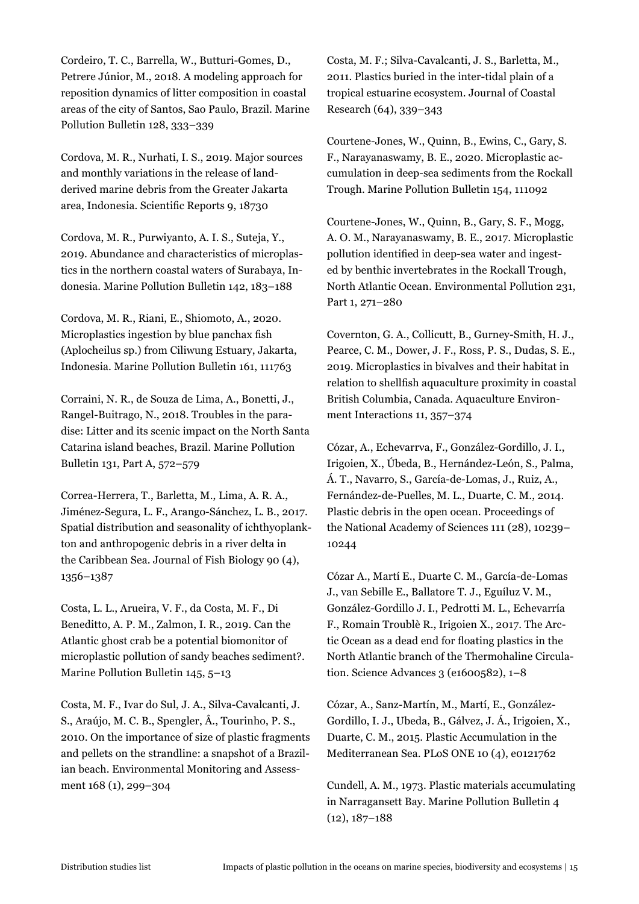Cordeiro, T. C., Barrella, W., Butturi-Gomes, D., Petrere Júnior, M., 2018. A modeling approach for reposition dynamics of litter composition in coastal areas of the city of Santos, Sao Paulo, Brazil. Marine Pollution Bulletin 128, 333–339

Cordova, M. R., Nurhati, I. S., 2019. Major sources and monthly variations in the release of landderived marine debris from the Greater Jakarta area, Indonesia. Scientific Reports 9, 18730

Cordova, M. R., Purwiyanto, A. I. S., Suteja, Y., 2019. Abundance and characteristics of microplastics in the northern coastal waters of Surabaya, Indonesia. Marine Pollution Bulletin 142, 183–188

Cordova, M. R., Riani, E., Shiomoto, A., 2020. Microplastics ingestion by blue panchax fish (Aplocheilus sp.) from Ciliwung Estuary, Jakarta, Indonesia. Marine Pollution Bulletin 161, 111763

Corraini, N. R., de Souza de Lima, A., Bonetti, J., Rangel-Buitrago, N., 2018. Troubles in the paradise: Litter and its scenic impact on the North Santa Catarina island beaches, Brazil. Marine Pollution Bulletin 131, Part A, 572–579

Correa-Herrera, T., Barletta, M., Lima, A. R. A., Jiménez-Segura, L. F., Arango-Sánchez, L. B., 2017. Spatial distribution and seasonality of ichthyoplankton and anthropogenic debris in a river delta in the Caribbean Sea. Journal of Fish Biology 90 (4), 1356–1387

Costa, L. L., Arueira, V. F., da Costa, M. F., Di Beneditto, A. P. M., Zalmon, I. R., 2019. Can the Atlantic ghost crab be a potential biomonitor of microplastic pollution of sandy beaches sediment?. Marine Pollution Bulletin 145, 5–13

Costa, M. F., Ivar do Sul, J. A., Silva-Cavalcanti, J. S., Araújo, M. C. B., Spengler, Â., Tourinho, P. S., 2010. On the importance of size of plastic fragments and pellets on the strandline: a snapshot of a Brazilian beach. Environmental Monitoring and Assessment 168 (1), 299–304

Costa, M. F.; Silva-Cavalcanti, J. S., Barletta, M., 2011. Plastics buried in the inter-tidal plain of a tropical estuarine ecosystem. Journal of Coastal Research (64), 339–343

Courtene-Jones, W., Quinn, B., Ewins, C., Gary, S. F., Narayanaswamy, B. E., 2020. Microplastic accumulation in deep-sea sediments from the Rockall Trough. Marine Pollution Bulletin 154, 111092

Courtene-Jones, W., Quinn, B., Gary, S. F., Mogg, A. O. M., Narayanaswamy, B. E., 2017. Microplastic pollution identified in deep-sea water and ingested by benthic invertebrates in the Rockall Trough, North Atlantic Ocean. Environmental Pollution 231, Part 1, 271–280

Covernton, G. A., Collicutt, B., Gurney-Smith, H. J., Pearce, C. M., Dower, J. F., Ross, P. S., Dudas, S. E., 2019. Microplastics in bivalves and their habitat in relation to shellfish aquaculture proximity in coastal British Columbia, Canada. Aquaculture Environment Interactions 11, 357–374

Cózar, A., Echevarrνa, F., González-Gordillo, J. I., Irigoien, X., Úbeda, B., Hernández-León, S., Palma, Á. T., Navarro, S., García-de-Lomas, J., Ruiz, A., Fernández-de-Puelles, M. L., Duarte, C. M., 2014. Plastic debris in the open ocean. Proceedings of the National Academy of Sciences 111 (28), 10239– 10244

Cózar A., Martí E., Duarte C. M., García-de-Lomas J., van Sebille E., Ballatore T. J., Eguíluz V. M., González-Gordillo J. I., Pedrotti M. L., Echevarría F., Romain Troublè R., Irigoien X., 2017. The Arctic Ocean as a dead end for floating plastics in the North Atlantic branch of the Thermohaline Circulation. Science Advances 3 (e1600582), 1–8

Cózar, A., Sanz-Martín, M., Martí, E., González-Gordillo, I. J., Ubeda, B., Gálvez, J. Á., Irigoien, X., Duarte, C. M., 2015. Plastic Accumulation in the Mediterranean Sea. PLoS ONE 10 (4), e0121762

Cundell, A. M., 1973. Plastic materials accumulating in Narragansett Bay. Marine Pollution Bulletin 4 (12), 187–188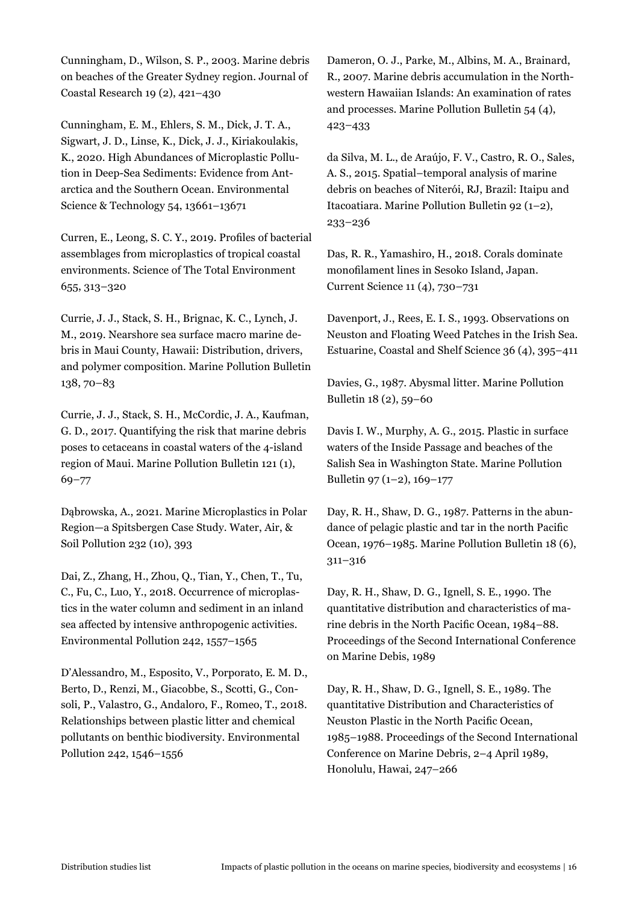Cunningham, D., Wilson, S. P., 2003. Marine debris on beaches of the Greater Sydney region. Journal of Coastal Research 19 (2), 421–430

Cunningham, E. M., Ehlers, S. M., Dick, J. T. A., Sigwart, J. D., Linse, K., Dick, J. J., Kiriakoulakis, K., 2020. High Abundances of Microplastic Pollution in Deep-Sea Sediments: Evidence from Antarctica and the Southern Ocean. Environmental Science & Technology 54, 13661–13671

Curren, E., Leong, S. C. Y., 2019. Profiles of bacterial assemblages from microplastics of tropical coastal environments. Science of The Total Environment 655, 313–320

Currie, J. J., Stack, S. H., Brignac, K. C., Lynch, J. M., 2019. Nearshore sea surface macro marine debris in Maui County, Hawaii: Distribution, drivers, and polymer composition. Marine Pollution Bulletin 138, 70–83

Currie, J. J., Stack, S. H., McCordic, J. A., Kaufman, G. D., 2017. Quantifying the risk that marine debris poses to cetaceans in coastal waters of the 4-island region of Maui. Marine Pollution Bulletin 121 (1), 69–77

Dąbrowska, A., 2021. Marine Microplastics in Polar Region—a Spitsbergen Case Study. Water, Air, & Soil Pollution 232 (10), 393

Dai, Z., Zhang, H., Zhou, Q., Tian, Y., Chen, T., Tu, C., Fu, C., Luo, Y., 2018. Occurrence of microplastics in the water column and sediment in an inland sea affected by intensive anthropogenic activities. Environmental Pollution 242, 1557–1565

D'Alessandro, M., Esposito, V., Porporato, E. M. D., Berto, D., Renzi, M., Giacobbe, S., Scotti, G., Consoli, P., Valastro, G., Andaloro, F., Romeo, T., 2018. Relationships between plastic litter and chemical pollutants on benthic biodiversity. Environmental Pollution 242, 1546–1556

Dameron, O. J., Parke, M., Albins, M. A., Brainard, R., 2007. Marine debris accumulation in the Northwestern Hawaiian Islands: An examination of rates and processes. Marine Pollution Bulletin 54 (4), 423–433

da Silva, M. L., de Araújo, F. V., Castro, R. O., Sales, A. S., 2015. Spatial–temporal analysis of marine debris on beaches of Niterói, RJ, Brazil: Itaipu and Itacoatiara. Marine Pollution Bulletin 92 (1–2), 233–236

Das, R. R., Yamashiro, H., 2018. Corals dominate monofilament lines in Sesoko Island, Japan. Current Science 11 (4), 730–731

Davenport, J., Rees, E. I. S., 1993. Observations on Neuston and Floating Weed Patches in the Irish Sea. Estuarine, Coastal and Shelf Science 36 (4), 395–411

Davies, G., 1987. Abysmal litter. Marine Pollution Bulletin 18 (2), 59–60

Davis I. W., Murphy, A. G., 2015. Plastic in surface waters of the Inside Passage and beaches of the Salish Sea in Washington State. Marine Pollution Bulletin 97 (1–2), 169–177

Day, R. H., Shaw, D. G., 1987. Patterns in the abundance of pelagic plastic and tar in the north Pacific Ocean, 1976–1985. Marine Pollution Bulletin 18 (6), 311–316

Day, R. H., Shaw, D. G., Ignell, S. E., 1990. The quantitative distribution and characteristics of marine debris in the North Pacific Ocean, 1984–88. Proceedings of the Second International Conference on Marine Debis, 1989

Day, R. H., Shaw, D. G., Ignell, S. E., 1989. The quantitative Distribution and Characteristics of Neuston Plastic in the North Pacific Ocean, 1985–1988. Proceedings of the Second International Conference on Marine Debris, 2–4 April 1989, Honolulu, Hawai, 247–266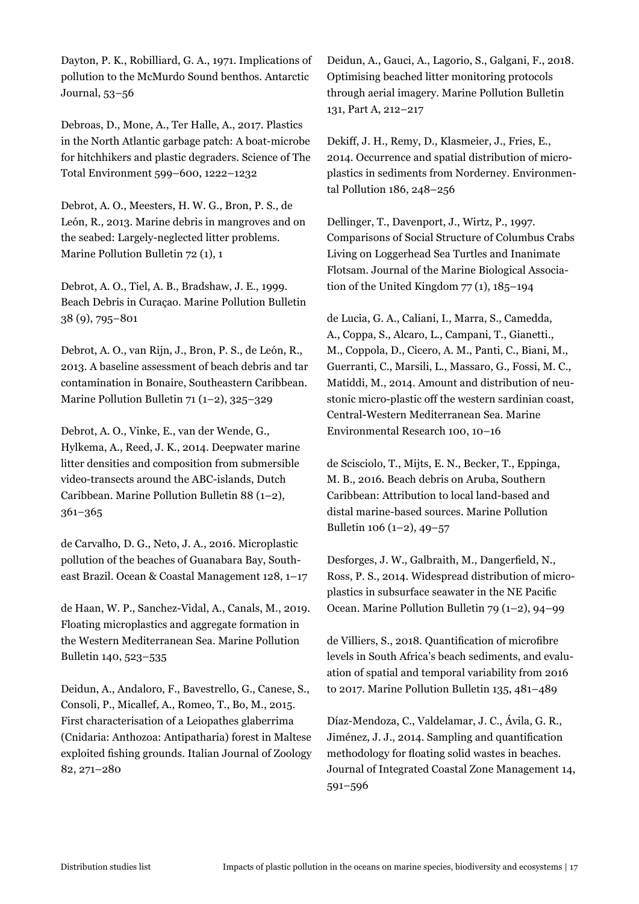Dayton, P. K., Robilliard, G. A., 1971. Implications of pollution to the McMurdo Sound benthos. Antarctic Journal, 53–56

Debroas, D., Mone, A., Ter Halle, A., 2017. Plastics in the North Atlantic garbage patch: A boat-microbe for hitchhikers and plastic degraders. Science of The Total Environment 599–600, 1222–1232

Debrot, A. O., Meesters, H. W. G., Bron, P. S., de León, R., 2013. Marine debris in mangroves and on the seabed: Largely-neglected litter problems. Marine Pollution Bulletin 72 (1), 1

Debrot, A. O., Tiel, A. B., Bradshaw, J. E., 1999. Beach Debris in Curaçao. Marine Pollution Bulletin 38 (9), 795–801

Debrot, A. O., van Rijn, J., Bron, P. S., de León, R., 2013. A baseline assessment of beach debris and tar contamination in Bonaire, Southeastern Caribbean. Marine Pollution Bulletin 71 (1–2), 325–329

Debrot, A. O., Vinke, E., van der Wende, G., Hylkema, A., Reed, J. K., 2014. Deepwater marine litter densities and composition from submersible video-transects around the ABC-islands, Dutch Caribbean. Marine Pollution Bulletin 88 (1–2), 361–365

de Carvalho, D. G., Neto, J. A., 2016. Microplastic pollution of the beaches of Guanabara Bay, Southeast Brazil. Ocean & Coastal Management 128, 1–17

de Haan, W. P., Sanchez-Vidal, A., Canals, M., 2019. Floating microplastics and aggregate formation in the Western Mediterranean Sea. Marine Pollution Bulletin 140, 523–535

Deidun, A., Andaloro, F., Bavestrello, G., Canese, S., Consoli, P., Micallef, A., Romeo, T., Bo, M., 2015. First characterisation of a Leiopathes glaberrima (Cnidaria: Anthozoa: Antipatharia) forest in Maltese exploited fishing grounds. Italian Journal of Zoology 82, 271–280

Deidun, A., Gauci, A., Lagorio, S., Galgani, F., 2018. Optimising beached litter monitoring protocols through aerial imagery. Marine Pollution Bulletin 131, Part A, 212–217

Dekiff, J. H., Remy, D., Klasmeier, J., Fries, E., 2014. Occurrence and spatial distribution of microplastics in sediments from Norderney. Environmental Pollution 186, 248–256

Dellinger, T., Davenport, J., Wirtz, P., 1997. Comparisons of Social Structure of Columbus Crabs Living on Loggerhead Sea Turtles and Inanimate Flotsam. Journal of the Marine Biological Association of the United Kingdom  $77$  (1),  $185-194$ 

de Lucia, G. A., Caliani, I., Marra, S., Camedda, A., Coppa, S., Alcaro, L., Campani, T., Gianetti., M., Coppola, D., Cicero, A. M., Panti, C., Biani, M., Guerranti, C., Marsili, L., Massaro, G., Fossi, M. C., Matiddi, M., 2014. Amount and distribution of neustonic micro-plastic off the western sardinian coast, Central-Western Mediterranean Sea. Marine Environmental Research 100, 10–16

de Scisciolo, T., Mijts, E. N., Becker, T., Eppinga, M. B., 2016. Beach debris on Aruba, Southern Caribbean: Attribution to local land-based and distal marine-based sources. Marine Pollution Bulletin 106 (1–2), 49–57

Desforges, J. W., Galbraith, M., Dangerfield, N., Ross, P. S., 2014. Widespread distribution of microplastics in subsurface seawater in the NE Pacific Ocean. Marine Pollution Bulletin 79 (1–2), 94–99

de Villiers, S., 2018. Quantification of microfibre levels in South Africa's beach sediments, and evaluation of spatial and temporal variability from 2016 to 2017. Marine Pollution Bulletin 135, 481–489

Díaz-Mendoza, C., Valdelamar, J. C., Ávila, G. R., Jiménez, J. J., 2014. Sampling and quantification methodology for floating solid wastes in beaches. Journal of Integrated Coastal Zone Management 14, 591–596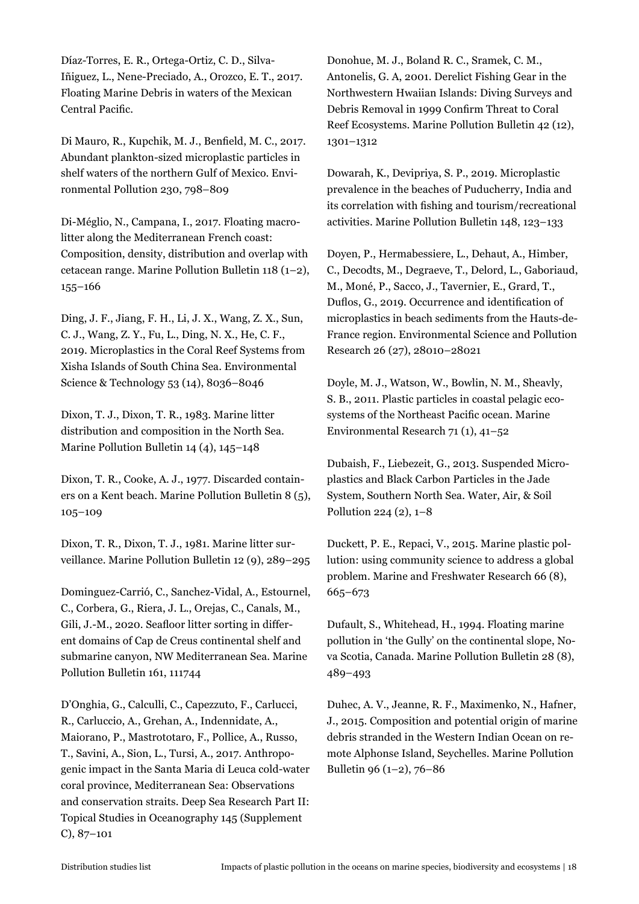Díaz-Torres, E. R., Ortega-Ortiz, C. D., Silva-Iñiguez, L., Nene-Preciado, A., Orozco, E. T., 2017. Floating Marine Debris in waters of the Mexican Central Pacific.

Di Mauro, R., Kupchik, M. J., Benfield, M. C., 2017. Abundant plankton-sized microplastic particles in shelf waters of the northern Gulf of Mexico. Environmental Pollution 230, 798–809

Di-Méglio, N., Campana, I., 2017. Floating macrolitter along the Mediterranean French coast: Composition, density, distribution and overlap with cetacean range. Marine Pollution Bulletin 118 (1–2), 155–166

Ding, J. F., Jiang, F. H., Li, J. X., Wang, Z. X., Sun, C. J., Wang, Z. Y., Fu, L., Ding, N. X., He, C. F., 2019. Microplastics in the Coral Reef Systems from Xisha Islands of South China Sea. Environmental Science & Technology 53 (14), 8036–8046

Dixon, T. J., Dixon, T. R., 1983. Marine litter distribution and composition in the North Sea. Marine Pollution Bulletin 14 (4), 145–148

Dixon, T. R., Cooke, A. J., 1977. Discarded containers on a Kent beach. Marine Pollution Bulletin 8 (5), 105–109

Dixon, T. R., Dixon, T. J., 1981. Marine litter surveillance. Marine Pollution Bulletin 12 (9), 289–295

Dominguez-Carrió, C., Sanchez-Vidal, A., Estournel, C., Corbera, G., Riera, J. L., Orejas, C., Canals, M., Gili, J.-M., 2020. Seafloor litter sorting in different domains of Cap de Creus continental shelf and submarine canyon, NW Mediterranean Sea. Marine Pollution Bulletin 161, 111744

D'Onghia, G., Calculli, C., Capezzuto, F., Carlucci, R., Carluccio, A., Grehan, A., Indennidate, A., Maiorano, P., Mastrototaro, F., Pollice, A., Russo, T., Savini, A., Sion, L., Tursi, A., 2017. Anthropogenic impact in the Santa Maria di Leuca cold-water coral province, Mediterranean Sea: Observations and conservation straits. Deep Sea Research Part II: Topical Studies in Oceanography 145 (Supplement C), 87–101

Donohue, M. J., Boland R. C., Sramek, C. M., Antonelis, G. A, 2001. Derelict Fishing Gear in the Northwestern Hwaiian Islands: Diving Surveys and Debris Removal in 1999 Confirm Threat to Coral Reef Ecosystems. Marine Pollution Bulletin 42 (12), 1301–1312

Dowarah, K., Devipriya, S. P., 2019. Microplastic prevalence in the beaches of Puducherry, India and its correlation with fishing and tourism/recreational activities. Marine Pollution Bulletin 148, 123–133

Doyen, P., Hermabessiere, L., Dehaut, A., Himber, C., Decodts, M., Degraeve, T., Delord, L., Gaboriaud, M., Moné, P., Sacco, J., Tavernier, E., Grard, T., Duflos, G., 2019. Occurrence and identification of microplastics in beach sediments from the Hauts-de-France region. Environmental Science and Pollution Research 26 (27), 28010–28021

Doyle, M. J., Watson, W., Bowlin, N. M., Sheavly, S. B., 2011. Plastic particles in coastal pelagic ecosystems of the Northeast Pacific ocean. Marine Environmental Research 71 (1), 41–52

Dubaish, F., Liebezeit, G., 2013. Suspended Microplastics and Black Carbon Particles in the Jade System, Southern North Sea. Water, Air, & Soil Pollution 224 (2), 1–8

Duckett, P. E., Repaci, V., 2015. Marine plastic pollution: using community science to address a global problem. Marine and Freshwater Research 66 (8), 665–673

Dufault, S., Whitehead, H., 1994. Floating marine pollution in 'the Gully' on the continental slope, Nova Scotia, Canada. Marine Pollution Bulletin 28 (8), 489–493

Duhec, A. V., Jeanne, R. F., Maximenko, N., Hafner, J., 2015. Composition and potential origin of marine debris stranded in the Western Indian Ocean on remote Alphonse Island, Seychelles. Marine Pollution Bulletin 96 (1–2), 76–86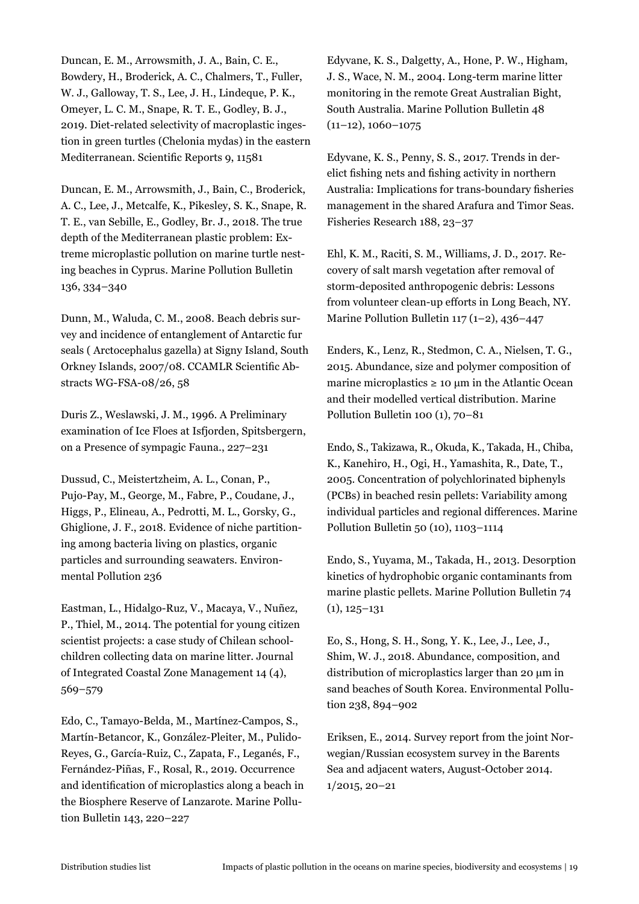Duncan, E. M., Arrowsmith, J. A., Bain, C. E., Bowdery, H., Broderick, A. C., Chalmers, T., Fuller, W. J., Galloway, T. S., Lee, J. H., Lindeque, P. K., Omeyer, L. C. M., Snape, R. T. E., Godley, B. J., 2019. Diet-related selectivity of macroplastic ingestion in green turtles (Chelonia mydas) in the eastern Mediterranean. Scientific Reports 9, 11581

Duncan, E. M., Arrowsmith, J., Bain, C., Broderick, A. C., Lee, J., Metcalfe, K., Pikesley, S. K., Snape, R. T. E., van Sebille, E., Godley, Br. J., 2018. The true depth of the Mediterranean plastic problem: Extreme microplastic pollution on marine turtle nesting beaches in Cyprus. Marine Pollution Bulletin 136, 334–340

Dunn, M., Waluda, C. M., 2008. Beach debris survey and incidence of entanglement of Antarctic fur seals ( Arctocephalus gazella) at Signy Island, South Orkney Islands, 2007/08. CCAMLR Scientific Abstracts WG-FSA-08/26, 58

Duris Z., Weslawski, J. M., 1996. A Preliminary examination of Ice Floes at Isfjorden, Spitsbergern, on a Presence of sympagic Fauna., 227–231

Dussud, C., Meistertzheim, A. L., Conan, P., Pujo-Pay, M., George, M., Fabre, P., Coudane, J., Higgs, P., Elineau, A., Pedrotti, M. L., Gorsky, G., Ghiglione, J. F., 2018. Evidence of niche partitioning among bacteria living on plastics, organic particles and surrounding seawaters. Environmental Pollution 236

Eastman, L., Hidalgo-Ruz, V., Macaya, V., Nuñez, P., Thiel, M., 2014. The potential for young citizen scientist projects: a case study of Chilean schoolchildren collecting data on marine litter. Journal of Integrated Coastal Zone Management 14 (4), 569–579

Edo, C., Tamayo-Belda, M., Martínez-Campos, S., Martín-Betancor, K., González-Pleiter, M., Pulido-Reyes, G., García-Ruiz, C., Zapata, F., Leganés, F., Fernández-Piñas, F., Rosal, R., 2019. Occurrence and identification of microplastics along a beach in the Biosphere Reserve of Lanzarote. Marine Pollution Bulletin 143, 220–227

Edyvane, K. S., Dalgetty, A., Hone, P. W., Higham, J. S., Wace, N. M., 2004. Long-term marine litter monitoring in the remote Great Australian Bight, South Australia. Marine Pollution Bulletin 48  $(11-12)$ , 1060-1075

Edyvane, K. S., Penny, S. S., 2017. Trends in derelict fishing nets and fishing activity in northern Australia: Implications for trans-boundary fisheries management in the shared Arafura and Timor Seas. Fisheries Research 188, 23–37

Ehl, K. M., Raciti, S. M., Williams, J. D., 2017. Recovery of salt marsh vegetation after removal of storm-deposited anthropogenic debris: Lessons from volunteer clean-up efforts in Long Beach, NY. Marine Pollution Bulletin 117 (1–2), 436–447

Enders, K., Lenz, R., Stedmon, C. A., Nielsen, T. G., 2015. Abundance, size and polymer composition of marine microplastics  $\geq 10$  µm in the Atlantic Ocean and their modelled vertical distribution. Marine Pollution Bulletin 100 (1), 70–81

Endo, S., Takizawa, R., Okuda, K., Takada, H., Chiba, K., Kanehiro, H., Ogi, H., Yamashita, R., Date, T., 2005. Concentration of polychlorinated biphenyls (PCBs) in beached resin pellets: Variability among individual particles and regional differences. Marine Pollution Bulletin 50 (10), 1103–1114

Endo, S., Yuyama, M., Takada, H., 2013. Desorption kinetics of hydrophobic organic contaminants from marine plastic pellets. Marine Pollution Bulletin 74 (1), 125–131

Eo, S., Hong, S. H., Song, Y. K., Lee, J., Lee, J., Shim, W. J., 2018. Abundance, composition, and distribution of microplastics larger than 20 μm in sand beaches of South Korea. Environmental Pollution 238, 894–902

Eriksen, E., 2014. Survey report from the joint Norwegian/Russian ecosystem survey in the Barents Sea and adjacent waters, August-October 2014. 1/2015, 20–21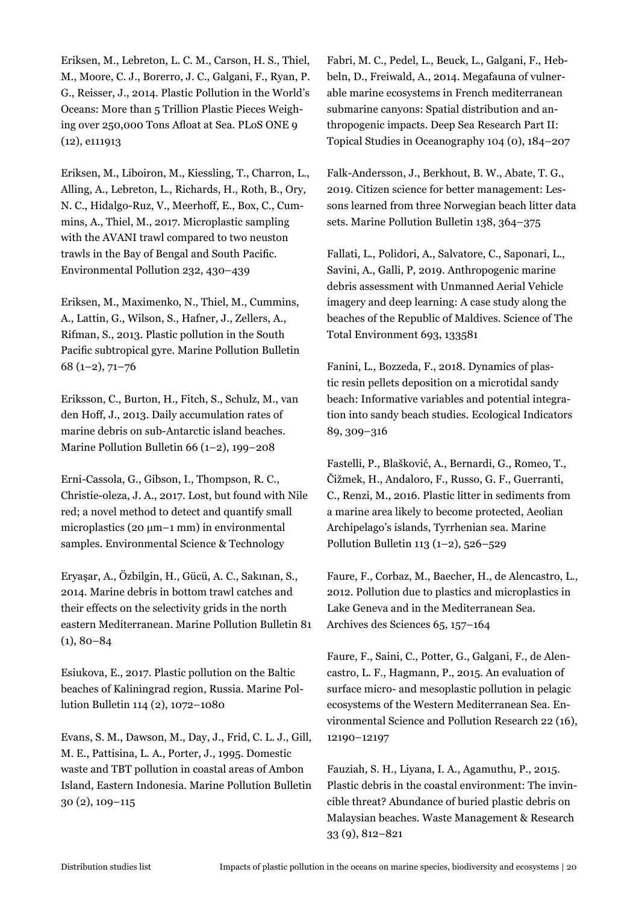Eriksen, M., Lebreton, L. C. M., Carson, H. S., Thiel, M., Moore, C. J., Borerro, J. C., Galgani, F., Ryan, P. G., Reisser, J., 2014. Plastic Pollution in the World's Oceans: More than 5 Trillion Plastic Pieces Weighing over 250,000 Tons Afloat at Sea. PLoS ONE 9 (12), e111913

Eriksen, M., Liboiron, M., Kiessling, T., Charron, L., Alling, A., Lebreton, L., Richards, H., Roth, B., Ory, N. C., Hidalgo-Ruz, V., Meerhoff, E., Box, C., Cummins, A., Thiel, M., 2017. Microplastic sampling with the AVANI trawl compared to two neuston trawls in the Bay of Bengal and South Pacific. Environmental Pollution 232, 430–439

Eriksen, M., Maximenko, N., Thiel, M., Cummins, A., Lattin, G., Wilson, S., Hafner, J., Zellers, A., Rifman, S., 2013. Plastic pollution in the South Pacific subtropical gyre. Marine Pollution Bulletin 68 (1–2), 71–76

Eriksson, C., Burton, H., Fitch, S., Schulz, M., van den Hoff, J., 2013. Daily accumulation rates of marine debris on sub-Antarctic island beaches. Marine Pollution Bulletin 66 (1–2), 199–208

Erni-Cassola, G., Gibson, I., Thompson, R. C., Christie-oleza, J. A., 2017. Lost, but found with Nile red; a novel method to detect and quantify small microplastics (20  $\mu$ m–1 mm) in environmental samples. Environmental Science & Technology

Eryaşar, A., Özbilgin, H., Gücü, A. C., Sakınan, S., 2014. Marine debris in bottom trawl catches and their effects on the selectivity grids in the north eastern Mediterranean. Marine Pollution Bulletin 81  $(1), 80-84$ 

Esiukova, E., 2017. Plastic pollution on the Baltic beaches of Kaliningrad region, Russia. Marine Pollution Bulletin 114 (2), 1072–1080

Evans, S. M., Dawson, M., Day, J., Frid, C. L. J., Gill, M. E., Pattisina, L. A., Porter, J., 1995. Domestic waste and TBT pollution in coastal areas of Ambon Island, Eastern Indonesia. Marine Pollution Bulletin 30 (2), 109–115

Fabri, M. C., Pedel, L., Beuck, L., Galgani, F., Hebbeln, D., Freiwald, A., 2014. Megafauna of vulnerable marine ecosystems in French mediterranean submarine canyons: Spatial distribution and anthropogenic impacts. Deep Sea Research Part II: Topical Studies in Oceanography 104 (0), 184–207

Falk-Andersson, J., Berkhout, B. W., Abate, T. G., 2019. Citizen science for better management: Lessons learned from three Norwegian beach litter data sets. Marine Pollution Bulletin 138, 364–375

Fallati, L., Polidori, A., Salvatore, C., Saponari, L., Savini, A., Galli, P, 2019. Anthropogenic marine debris assessment with Unmanned Aerial Vehicle imagery and deep learning: A case study along the beaches of the Republic of Maldives. Science of The Total Environment 693, 133581

Fanini, L., Bozzeda, F., 2018. Dynamics of plastic resin pellets deposition on a microtidal sandy beach: Informative variables and potential integration into sandy beach studies. Ecological Indicators 89, 309–316

Fastelli, P., Blašković, A., Bernardi, G., Romeo, T., Čižmek, H., Andaloro, F., Russo, G. F., Guerranti, C., Renzi, M., 2016. Plastic litter in sediments from a marine area likely to become protected, Aeolian Archipelago's islands, Tyrrhenian sea. Marine Pollution Bulletin 113 (1–2), 526–529

Faure, F., Corbaz, M., Baecher, H., de Alencastro, L., 2012. Pollution due to plastics and microplastics in Lake Geneva and in the Mediterranean Sea. Archives des Sciences 65, 157–164

Faure, F., Saini, C., Potter, G., Galgani, F., de Alencastro, L. F., Hagmann, P., 2015. An evaluation of surface micro- and mesoplastic pollution in pelagic ecosystems of the Western Mediterranean Sea. Environmental Science and Pollution Research 22 (16), 12190–12197

Fauziah, S. H., Liyana, I. A., Agamuthu, P., 2015. Plastic debris in the coastal environment: The invincible threat? Abundance of buried plastic debris on Malaysian beaches. Waste Management & Research 33 (9), 812–821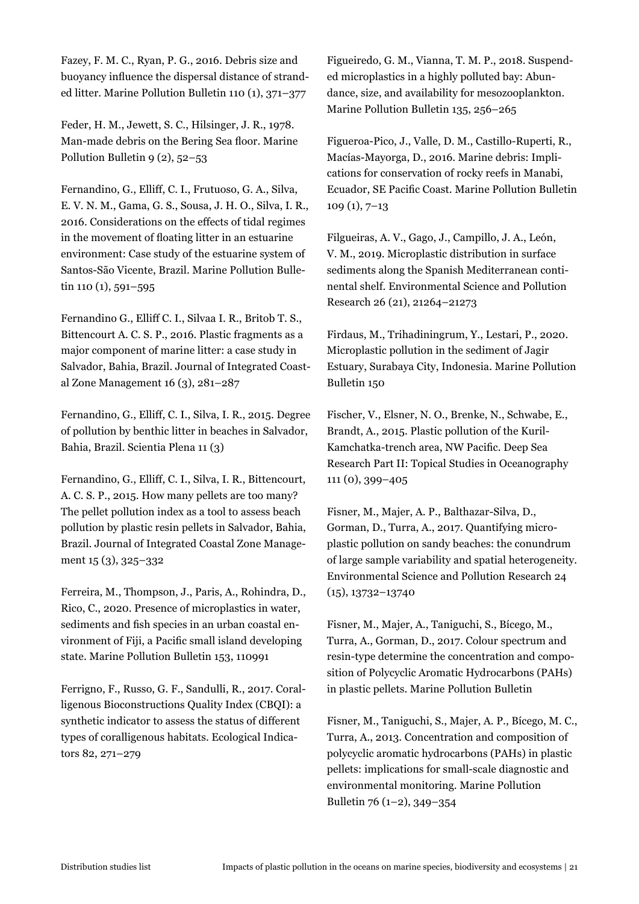Fazey, F. M. C., Ryan, P. G., 2016. Debris size and buoyancy influence the dispersal distance of stranded litter. Marine Pollution Bulletin 110 (1), 371–377

Feder, H. M., Jewett, S. C., Hilsinger, J. R., 1978. Man-made debris on the Bering Sea floor. Marine Pollution Bulletin 9 (2), 52–53

Fernandino, G., Elliff, C. I., Frutuoso, G. A., Silva, E. V. N. M., Gama, G. S., Sousa, J. H. O., Silva, I. R., 2016. Considerations on the effects of tidal regimes in the movement of floating litter in an estuarine environment: Case study of the estuarine system of Santos-São Vicente, Brazil. Marine Pollution Bulletin 110 (1), 591–595

Fernandino G., Elliff C. I., Silvaa I. R., Britob T. S., Bittencourt A. C. S. P., 2016. Plastic fragments as a major component of marine litter: a case study in Salvador, Bahia, Brazil. Journal of Integrated Coastal Zone Management 16 (3), 281–287

Fernandino, G., Elliff, C. I., Silva, I. R., 2015. Degree of pollution by benthic litter in beaches in Salvador, Bahia, Brazil. Scientia Plena 11 (3)

Fernandino, G., Elliff, C. I., Silva, I. R., Bittencourt, A. C. S. P., 2015. How many pellets are too many? The pellet pollution index as a tool to assess beach pollution by plastic resin pellets in Salvador, Bahia, Brazil. Journal of Integrated Coastal Zone Management 15 (3), 325–332

Ferreira, M., Thompson, J., Paris, A., Rohindra, D., Rico, C., 2020. Presence of microplastics in water, sediments and fish species in an urban coastal environment of Fiji, a Pacific small island developing state. Marine Pollution Bulletin 153, 110991

Ferrigno, F., Russo, G. F., Sandulli, R., 2017. Coralligenous Bioconstructions Quality Index (CBQI): a synthetic indicator to assess the status of different types of coralligenous habitats. Ecological Indicators 82, 271–279

Figueiredo, G. M., Vianna, T. M. P., 2018. Suspended microplastics in a highly polluted bay: Abundance, size, and availability for mesozooplankton. Marine Pollution Bulletin 135, 256–265

Figueroa-Pico, J., Valle, D. M., Castillo-Ruperti, R., Macías-Mayorga, D., 2016. Marine debris: Implications for conservation of rocky reefs in Manabi, Ecuador, SE Pacific Coast. Marine Pollution Bulletin 109 (1), 7–13

Filgueiras, A. V., Gago, J., Campillo, J. A., León, V. M., 2019. Microplastic distribution in surface sediments along the Spanish Mediterranean continental shelf. Environmental Science and Pollution Research 26 (21), 21264–21273

Firdaus, M., Trihadiningrum, Y., Lestari, P., 2020. Microplastic pollution in the sediment of Jagir Estuary, Surabaya City, Indonesia. Marine Pollution Bulletin 150

Fischer, V., Elsner, N. O., Brenke, N., Schwabe, E., Brandt, A., 2015. Plastic pollution of the Kuril-Kamchatka-trench area, NW Pacific. Deep Sea Research Part II: Topical Studies in Oceanography 111 (0), 399–405

Fisner, M., Majer, A. P., Balthazar-Silva, D., Gorman, D., Turra, A., 2017. Quantifying microplastic pollution on sandy beaches: the conundrum of large sample variability and spatial heterogeneity. Environmental Science and Pollution Research 24 (15), 13732–13740

Fisner, M., Majer, A., Taniguchi, S., Bícego, M., Turra, A., Gorman, D., 2017. Colour spectrum and resin-type determine the concentration and composition of Polycyclic Aromatic Hydrocarbons (PAHs) in plastic pellets. Marine Pollution Bulletin

Fisner, M., Taniguchi, S., Majer, A. P., Bícego, M. C., Turra, A., 2013. Concentration and composition of polycyclic aromatic hydrocarbons (PAHs) in plastic pellets: implications for small-scale diagnostic and environmental monitoring. Marine Pollution Bulletin 76 (1–2), 349–354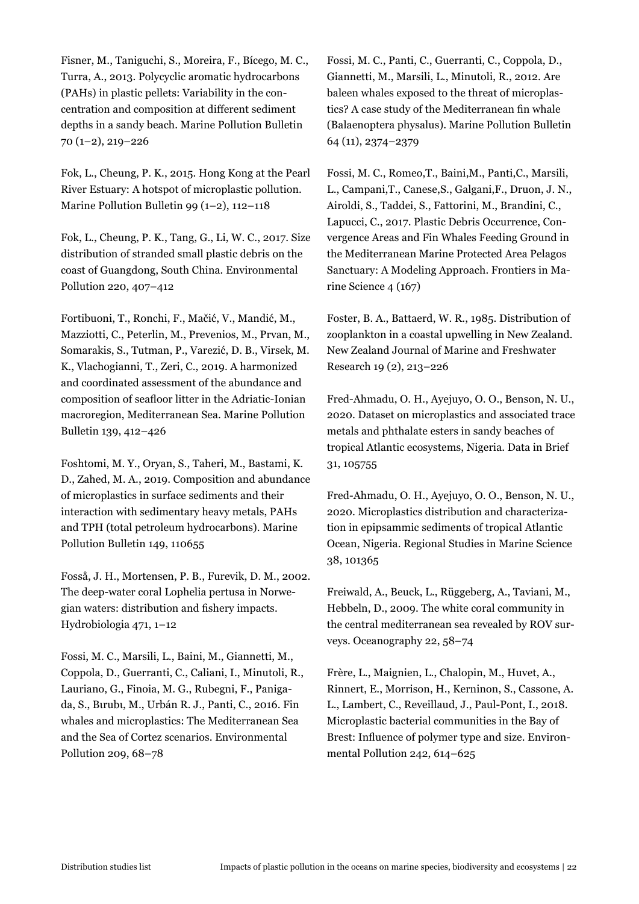Fisner, M., Taniguchi, S., Moreira, F., Bícego, M. C., Turra, A., 2013. Polycyclic aromatic hydrocarbons (PAHs) in plastic pellets: Variability in the concentration and composition at different sediment depths in a sandy beach. Marine Pollution Bulletin 70 (1–2), 219–226

Fok, L., Cheung, P. K., 2015. Hong Kong at the Pearl River Estuary: A hotspot of microplastic pollution. Marine Pollution Bulletin 99 (1–2), 112–118

Fok, L., Cheung, P. K., Tang, G., Li, W. C., 2017. Size distribution of stranded small plastic debris on the coast of Guangdong, South China. Environmental Pollution 220, 407–412

Fortibuoni, T., Ronchi, F., Mačić, V., Mandić, M., Mazziotti, C., Peterlin, M., Prevenios, M., Prvan, M., Somarakis, S., Tutman, P., Varezić, D. B., Virsek, M. K., Vlachogianni, T., Zeri, C., 2019. A harmonized and coordinated assessment of the abundance and composition of seafloor litter in the Adriatic-Ionian macroregion, Mediterranean Sea. Marine Pollution Bulletin 139, 412–426

Foshtomi, M. Y., Oryan, S., Taheri, M., Bastami, K. D., Zahed, M. A., 2019. Composition and abundance of microplastics in surface sediments and their interaction with sedimentary heavy metals, PAHs and TPH (total petroleum hydrocarbons). Marine Pollution Bulletin 149, 110655

Fosså, J. H., Mortensen, P. B., Furevik, D. M., 2002. The deep-water coral Lophelia pertusa in Norwegian waters: distribution and fishery impacts. Hydrobiologia 471, 1–12

Fossi, M. C., Marsili, L., Baini, M., Giannetti, M., Coppola, D., Guerranti, C., Caliani, I., Minutoli, R., Lauriano, G., Finoia, M. G., Rubegni, F., Panigada, S., Bιrubι, M., Urbán R. J., Panti, C., 2016. Fin whales and microplastics: The Mediterranean Sea and the Sea of Cortez scenarios. Environmental Pollution 209, 68–78

Fossi, M. C., Panti, C., Guerranti, C., Coppola, D., Giannetti, M., Marsili, L., Minutoli, R., 2012. Are baleen whales exposed to the threat of microplastics? A case study of the Mediterranean fin whale (Balaenoptera physalus). Marine Pollution Bulletin 64 (11), 2374–2379

Fossi, M. C., Romeo,T., Baini,M., Panti,C., Marsili, L., Campani,T., Canese,S., Galgani,F., Druon, J. N., Airoldi, S., Taddei, S., Fattorini, M., Brandini, C., Lapucci, C., 2017. Plastic Debris Occurrence, Convergence Areas and Fin Whales Feeding Ground in the Mediterranean Marine Protected Area Pelagos Sanctuary: A Modeling Approach. Frontiers in Marine Science 4 (167)

Foster, B. A., Battaerd, W. R., 1985. Distribution of zooplankton in a coastal upwelling in New Zealand. New Zealand Journal of Marine and Freshwater Research 19 (2), 213–226

Fred-Ahmadu, O. H., Ayejuyo, O. O., Benson, N. U., 2020. Dataset on microplastics and associated trace metals and phthalate esters in sandy beaches of tropical Atlantic ecosystems, Nigeria. Data in Brief 31, 105755

Fred-Ahmadu, O. H., Ayejuyo, O. O., Benson, N. U., 2020. Microplastics distribution and characterization in epipsammic sediments of tropical Atlantic Ocean, Nigeria. Regional Studies in Marine Science 38, 101365

Freiwald, A., Beuck, L., Rüggeberg, A., Taviani, M., Hebbeln, D., 2009. The white coral community in the central mediterranean sea revealed by ROV surveys. Oceanography 22, 58–74

Frère, L., Maignien, L., Chalopin, M., Huvet, A., Rinnert, E., Morrison, H., Kerninon, S., Cassone, A. L., Lambert, C., Reveillaud, J., Paul-Pont, I., 2018. Microplastic bacterial communities in the Bay of Brest: Influence of polymer type and size. Environmental Pollution 242, 614–625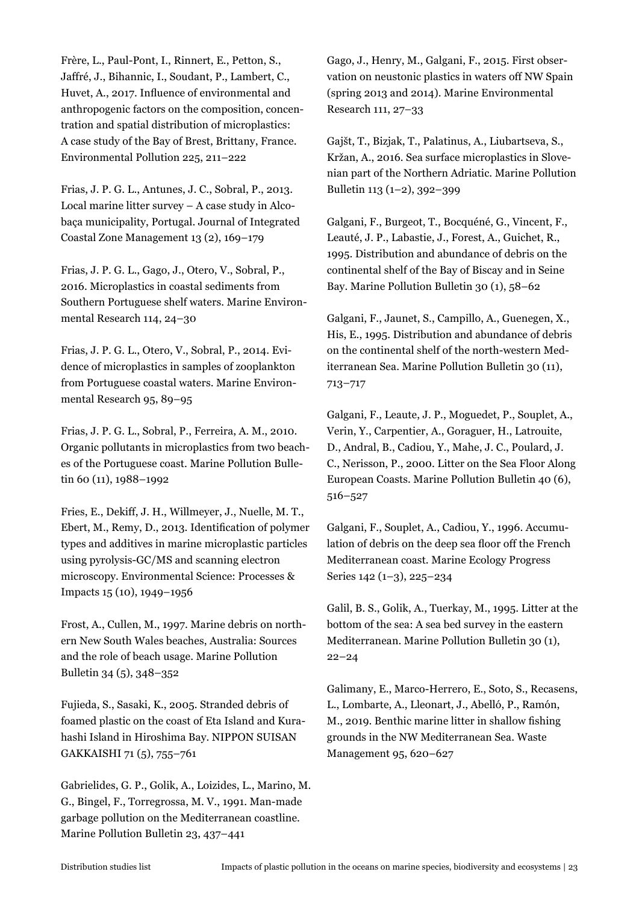Frère, L., Paul-Pont, I., Rinnert, E., Petton, S., Jaffré, J., Bihannic, I., Soudant, P., Lambert, C., Huvet, A., 2017. Influence of environmental and anthropogenic factors on the composition, concentration and spatial distribution of microplastics: A case study of the Bay of Brest, Brittany, France. Environmental Pollution 225, 211–222

Frias, J. P. G. L., Antunes, J. C., Sobral, P., 2013. Local marine litter survey – A case study in Alcobaça municipality, Portugal. Journal of Integrated Coastal Zone Management 13 (2), 169–179

Frias, J. P. G. L., Gago, J., Otero, V., Sobral, P., 2016. Microplastics in coastal sediments from Southern Portuguese shelf waters. Marine Environmental Research 114, 24–30

Frias, J. P. G. L., Otero, V., Sobral, P., 2014. Evidence of microplastics in samples of zooplankton from Portuguese coastal waters. Marine Environmental Research 95, 89–95

Frias, J. P. G. L., Sobral, P., Ferreira, A. M., 2010. Organic pollutants in microplastics from two beaches of the Portuguese coast. Marine Pollution Bulletin 60 (11), 1988-1992

Fries, E., Dekiff, J. H., Willmeyer, J., Nuelle, M. T., Ebert, M., Remy, D., 2013. Identification of polymer types and additives in marine microplastic particles using pyrolysis-GC/MS and scanning electron microscopy. Environmental Science: Processes & Impacts 15 (10), 1949–1956

Frost, A., Cullen, M., 1997. Marine debris on northern New South Wales beaches, Australia: Sources and the role of beach usage. Marine Pollution Bulletin 34 (5), 348–352

Fujieda, S., Sasaki, K., 2005. Stranded debris of foamed plastic on the coast of Eta Island and Kurahashi Island in Hiroshima Bay. NIPPON SUISAN GAKKAISHI 71 (5), 755–761

Gabrielides, G. P., Golik, A., Loizides, L., Marino, M. G., Bingel, F., Torregrossa, M. V., 1991. Man-made garbage pollution on the Mediterranean coastline. Marine Pollution Bulletin 23, 437–441

Gago, J., Henry, M., Galgani, F., 2015. First observation on neustonic plastics in waters off NW Spain (spring 2013 and 2014). Marine Environmental Research 111, 27–33

Gajšt, T., Bizjak, T., Palatinus, A., Liubartseva, S., Kržan, A., 2016. Sea surface microplastics in Slovenian part of the Northern Adriatic. Marine Pollution Bulletin 113 (1–2), 392–399

Galgani, F., Burgeot, T., Bocquéné, G., Vincent, F., Leauté, J. P., Labastie, J., Forest, A., Guichet, R., 1995. Distribution and abundance of debris on the continental shelf of the Bay of Biscay and in Seine Bay. Marine Pollution Bulletin 30 (1), 58–62

Galgani, F., Jaunet, S., Campillo, A., Guenegen, X., His, E., 1995. Distribution and abundance of debris on the continental shelf of the north-western Mediterranean Sea. Marine Pollution Bulletin 30 (11), 713–717

Galgani, F., Leaute, J. P., Moguedet, P., Souplet, A., Verin, Y., Carpentier, A., Goraguer, H., Latrouite, D., Andral, B., Cadiou, Y., Mahe, J. C., Poulard, J. C., Nerisson, P., 2000. Litter on the Sea Floor Along European Coasts. Marine Pollution Bulletin 40 (6), 516–527

Galgani, F., Souplet, A., Cadiou, Y., 1996. Accumulation of debris on the deep sea floor off the French Mediterranean coast. Marine Ecology Progress Series 142 (1–3), 225–234

Galil, B. S., Golik, A., Tuerkay, M., 1995. Litter at the bottom of the sea: A sea bed survey in the eastern Mediterranean. Marine Pollution Bulletin 30 (1), 22–24

Galimany, E., Marco-Herrero, E., Soto, S., Recasens, L., Lombarte, A., Lleonart, J., Abelló, P., Ramón, M., 2019. Benthic marine litter in shallow fishing grounds in the NW Mediterranean Sea. Waste Management 95, 620–627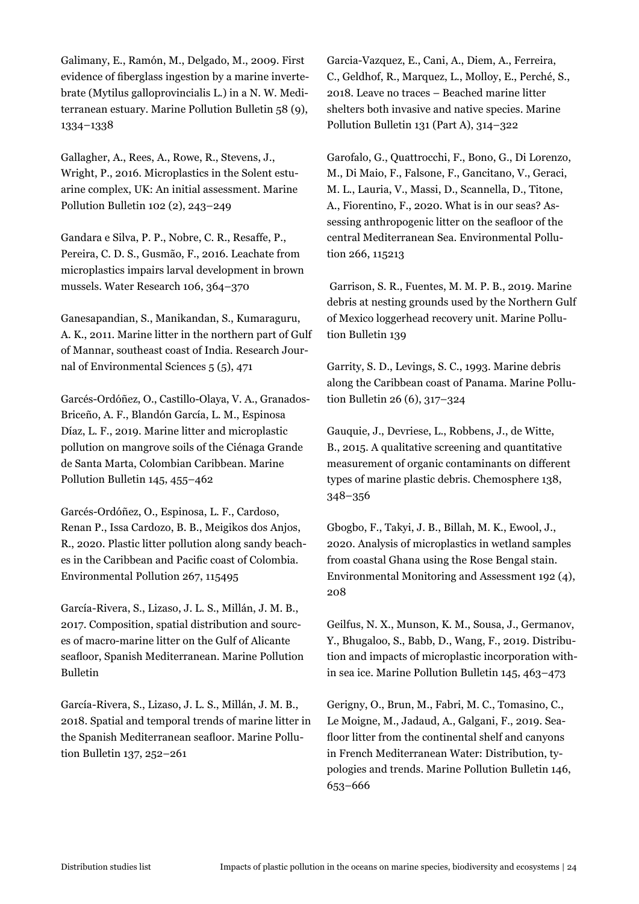Galimany, E., Ramón, M., Delgado, M., 2009. First evidence of fiberglass ingestion by a marine invertebrate (Mytilus galloprovincialis L.) in a N. W. Mediterranean estuary. Marine Pollution Bulletin 58 (9), 1334–1338

Gallagher, A., Rees, A., Rowe, R., Stevens, J., Wright, P., 2016. Microplastics in the Solent estuarine complex, UK: An initial assessment. Marine Pollution Bulletin 102 (2), 243–249

Gandara e Silva, P. P., Nobre, C. R., Resaffe, P., Pereira, C. D. S., Gusmão, F., 2016. Leachate from microplastics impairs larval development in brown mussels. Water Research 106, 364–370

Ganesapandian, S., Manikandan, S., Kumaraguru, A. K., 2011. Marine litter in the northern part of Gulf of Mannar, southeast coast of India. Research Journal of Environmental Sciences 5 (5), 471

Garcés-Ordóñez, O., Castillo-Olaya, V. A., Granados-Briceño, A. F., Blandón García, L. M., Espinosa Díaz, L. F., 2019. Marine litter and microplastic pollution on mangrove soils of the Ciénaga Grande de Santa Marta, Colombian Caribbean. Marine Pollution Bulletin 145, 455–462

Garcés-Ordóñez, O., Espinosa, L. F., Cardoso, Renan P., Issa Cardozo, B. B., Meigikos dos Anjos, R., 2020. Plastic litter pollution along sandy beaches in the Caribbean and Pacific coast of Colombia. Environmental Pollution 267, 115495

García-Rivera, S., Lizaso, J. L. S., Millán, J. M. B., 2017. Composition, spatial distribution and sources of macro-marine litter on the Gulf of Alicante seafloor, Spanish Mediterranean. Marine Pollution Bulletin

García-Rivera, S., Lizaso, J. L. S., Millán, J. M. B., 2018. Spatial and temporal trends of marine litter in the Spanish Mediterranean seafloor. Marine Pollution Bulletin 137, 252–261

Garcia-Vazquez, E., Cani, A., Diem, A., Ferreira, C., Geldhof, R., Marquez, L., Molloy, E., Perché, S., 2018. Leave no traces – Beached marine litter shelters both invasive and native species. Marine Pollution Bulletin 131 (Part A), 314–322

Garofalo, G., Quattrocchi, F., Bono, G., Di Lorenzo, M., Di Maio, F., Falsone, F., Gancitano, V., Geraci, M. L., Lauria, V., Massi, D., Scannella, D., Titone, A., Fiorentino, F., 2020. What is in our seas? Assessing anthropogenic litter on the seafloor of the central Mediterranean Sea. Environmental Pollution 266, 115213

 Garrison, S. R., Fuentes, M. M. P. B., 2019. Marine debris at nesting grounds used by the Northern Gulf of Mexico loggerhead recovery unit. Marine Pollution Bulletin 139

Garrity, S. D., Levings, S. C., 1993. Marine debris along the Caribbean coast of Panama. Marine Pollution Bulletin 26 (6), 317–324

Gauquie, J., Devriese, L., Robbens, J., de Witte, B., 2015. A qualitative screening and quantitative measurement of organic contaminants on different types of marine plastic debris. Chemosphere 138, 348–356

Gbogbo, F., Takyi, J. B., Billah, M. K., Ewool, J., 2020. Analysis of microplastics in wetland samples from coastal Ghana using the Rose Bengal stain. Environmental Monitoring and Assessment 192 (4), 208

Geilfus, N. X., Munson, K. M., Sousa, J., Germanov, Y., Bhugaloo, S., Babb, D., Wang, F., 2019. Distribution and impacts of microplastic incorporation within sea ice. Marine Pollution Bulletin 145, 463–473

Gerigny, O., Brun, M., Fabri, M. C., Tomasino, C., Le Moigne, M., Jadaud, A., Galgani, F., 2019. Seafloor litter from the continental shelf and canyons in French Mediterranean Water: Distribution, typologies and trends. Marine Pollution Bulletin 146, 653–666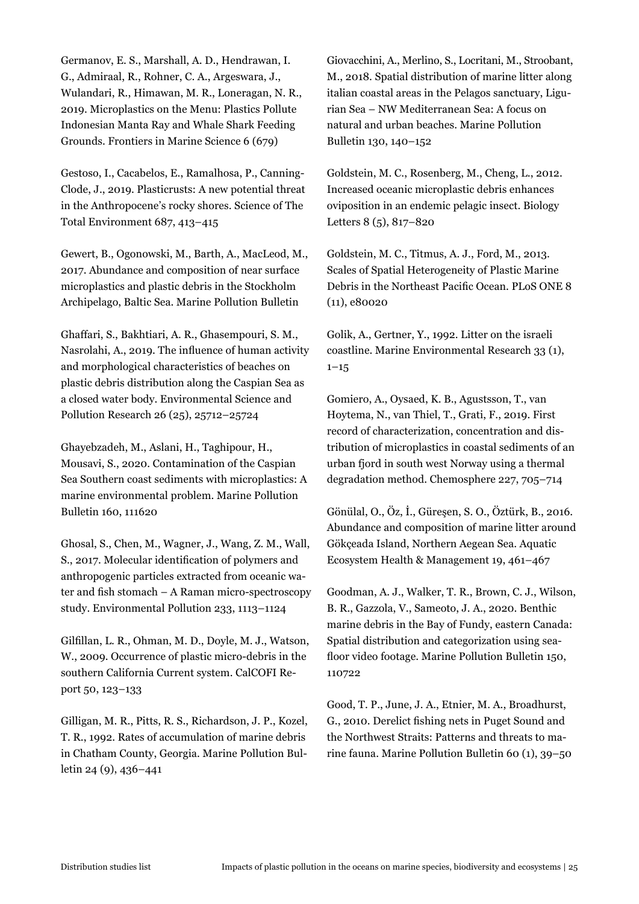Germanov, E. S., Marshall, A. D., Hendrawan, I. G., Admiraal, R., Rohner, C. A., Argeswara, J., Wulandari, R., Himawan, M. R., Loneragan, N. R., 2019. Microplastics on the Menu: Plastics Pollute Indonesian Manta Ray and Whale Shark Feeding Grounds. Frontiers in Marine Science 6 (679)

Gestoso, I., Cacabelos, E., Ramalhosa, P., Canning-Clode, J., 2019. Plasticrusts: A new potential threat in the Anthropocene's rocky shores. Science of The Total Environment 687, 413–415

Gewert, B., Ogonowski, M., Barth, A., MacLeod, M., 2017. Abundance and composition of near surface microplastics and plastic debris in the Stockholm Archipelago, Baltic Sea. Marine Pollution Bulletin

Ghaffari, S., Bakhtiari, A. R., Ghasempouri, S. M., Nasrolahi, A., 2019. The influence of human activity and morphological characteristics of beaches on plastic debris distribution along the Caspian Sea as a closed water body. Environmental Science and Pollution Research 26 (25), 25712–25724

Ghayebzadeh, M., Aslani, H., Taghipour, H., Mousavi, S., 2020. Contamination of the Caspian Sea Southern coast sediments with microplastics: A marine environmental problem. Marine Pollution Bulletin 160, 111620

Ghosal, S., Chen, M., Wagner, J., Wang, Z. M., Wall, S., 2017. Molecular identification of polymers and anthropogenic particles extracted from oceanic water and fish stomach – A Raman micro-spectroscopy study. Environmental Pollution 233, 1113–1124

Gilfillan, L. R., Ohman, M. D., Doyle, M. J., Watson, W., 2009. Occurrence of plastic micro-debris in the southern California Current system. CalCOFI Report 50, 123–133

Gilligan, M. R., Pitts, R. S., Richardson, J. P., Kozel, T. R., 1992. Rates of accumulation of marine debris in Chatham County, Georgia. Marine Pollution Bulletin 24 (9), 436–441

Giovacchini, A., Merlino, S., Locritani, M., Stroobant, M., 2018. Spatial distribution of marine litter along italian coastal areas in the Pelagos sanctuary, Ligurian Sea – NW Mediterranean Sea: A focus on natural and urban beaches. Marine Pollution Bulletin 130, 140–152

Goldstein, M. C., Rosenberg, M., Cheng, L., 2012. Increased oceanic microplastic debris enhances oviposition in an endemic pelagic insect. Biology Letters 8 (5), 817–820

Goldstein, M. C., Titmus, A. J., Ford, M., 2013. Scales of Spatial Heterogeneity of Plastic Marine Debris in the Northeast Pacific Ocean. PLoS ONE 8 (11), e80020

Golik, A., Gertner, Y., 1992. Litter on the israeli coastline. Marine Environmental Research 33 (1),  $1 - 15$ 

Gomiero, A., Oysaed, K. B., Agustsson, T., van Hoytema, N., van Thiel, T., Grati, F., 2019. First record of characterization, concentration and distribution of microplastics in coastal sediments of an urban fjord in south west Norway using a thermal degradation method. Chemosphere 227, 705–714

Gönülal, O., Öz, İ., Güreşen, S. O., Öztürk, B., 2016. Abundance and composition of marine litter around Gökçeada Island, Northern Aegean Sea. Aquatic Ecosystem Health & Management 19, 461–467

Goodman, A. J., Walker, T. R., Brown, C. J., Wilson, B. R., Gazzola, V., Sameoto, J. A., 2020. Benthic marine debris in the Bay of Fundy, eastern Canada: Spatial distribution and categorization using seafloor video footage. Marine Pollution Bulletin 150, 110722

Good, T. P., June, J. A., Etnier, M. A., Broadhurst, G., 2010. Derelict fishing nets in Puget Sound and the Northwest Straits: Patterns and threats to marine fauna. Marine Pollution Bulletin 60 (1), 39–50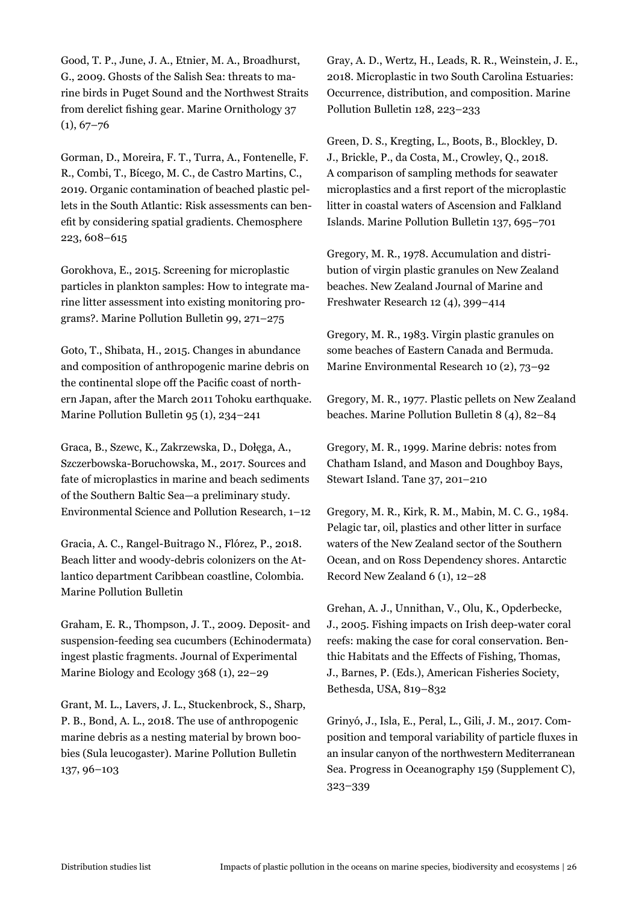Good, T. P., June, J. A., Etnier, M. A., Broadhurst, G., 2009. Ghosts of the Salish Sea: threats to marine birds in Puget Sound and the Northwest Straits from derelict fishing gear. Marine Ornithology 37  $(1), 67-76$ 

Gorman, D., Moreira, F. T., Turra, A., Fontenelle, F. R., Combi, T., Bícego, M. C., de Castro Martins, C., 2019. Organic contamination of beached plastic pellets in the South Atlantic: Risk assessments can benefit by considering spatial gradients. Chemosphere 223, 608–615

Gorokhova, E., 2015. Screening for microplastic particles in plankton samples: How to integrate marine litter assessment into existing monitoring programs?. Marine Pollution Bulletin 99, 271–275

Goto, T., Shibata, H., 2015. Changes in abundance and composition of anthropogenic marine debris on the continental slope off the Pacific coast of northern Japan, after the March 2011 Tohoku earthquake. Marine Pollution Bulletin 95 (1), 234–241

Graca, B., Szewc, K., Zakrzewska, D., Dołęga, A., Szczerbowska-Boruchowska, M., 2017. Sources and fate of microplastics in marine and beach sediments of the Southern Baltic Sea—a preliminary study. Environmental Science and Pollution Research, 1–12

Gracia, A. C., Rangel-Buitrago N., Flórez, P., 2018. Beach litter and woody-debris colonizers on the Atlantico department Caribbean coastline, Colombia. Marine Pollution Bulletin

Graham, E. R., Thompson, J. T., 2009. Deposit- and suspension-feeding sea cucumbers (Echinodermata) ingest plastic fragments. Journal of Experimental Marine Biology and Ecology 368 (1), 22–29

Grant, M. L., Lavers, J. L., Stuckenbrock, S., Sharp, P. B., Bond, A. L., 2018. The use of anthropogenic marine debris as a nesting material by brown boobies (Sula leucogaster). Marine Pollution Bulletin 137, 96–103

Gray, A. D., Wertz, H., Leads, R. R., Weinstein, J. E., 2018. Microplastic in two South Carolina Estuaries: Occurrence, distribution, and composition. Marine Pollution Bulletin 128, 223–233

Green, D. S., Kregting, L., Boots, B., Blockley, D. J., Brickle, P., da Costa, M., Crowley, Q., 2018. A comparison of sampling methods for seawater microplastics and a first report of the microplastic litter in coastal waters of Ascension and Falkland Islands. Marine Pollution Bulletin 137, 695–701

Gregory, M. R., 1978. Accumulation and distribution of virgin plastic granules on New Zealand beaches. New Zealand Journal of Marine and Freshwater Research 12 (4), 399–414

Gregory, M. R., 1983. Virgin plastic granules on some beaches of Eastern Canada and Bermuda. Marine Environmental Research 10 (2), 73–92

Gregory, M. R., 1977. Plastic pellets on New Zealand beaches. Marine Pollution Bulletin 8 (4), 82–84

Gregory, M. R., 1999. Marine debris: notes from Chatham Island, and Mason and Doughboy Bays, Stewart Island. Tane 37, 201–210

Gregory, M. R., Kirk, R. M., Mabin, M. C. G., 1984. Pelagic tar, oil, plastics and other litter in surface waters of the New Zealand sector of the Southern Ocean, and on Ross Dependency shores. Antarctic Record New Zealand 6 (1), 12–28

Grehan, A. J., Unnithan, V., Olu, K., Opderbecke, J., 2005. Fishing impacts on Irish deep-water coral reefs: making the case for coral conservation. Benthic Habitats and the Effects of Fishing, Thomas, J., Barnes, P. (Eds.), American Fisheries Society, Bethesda, USA, 819–832

Grinyó, J., Isla, E., Peral, L., Gili, J. M., 2017. Composition and temporal variability of particle fluxes in an insular canyon of the northwestern Mediterranean Sea. Progress in Oceanography 159 (Supplement C), 323–339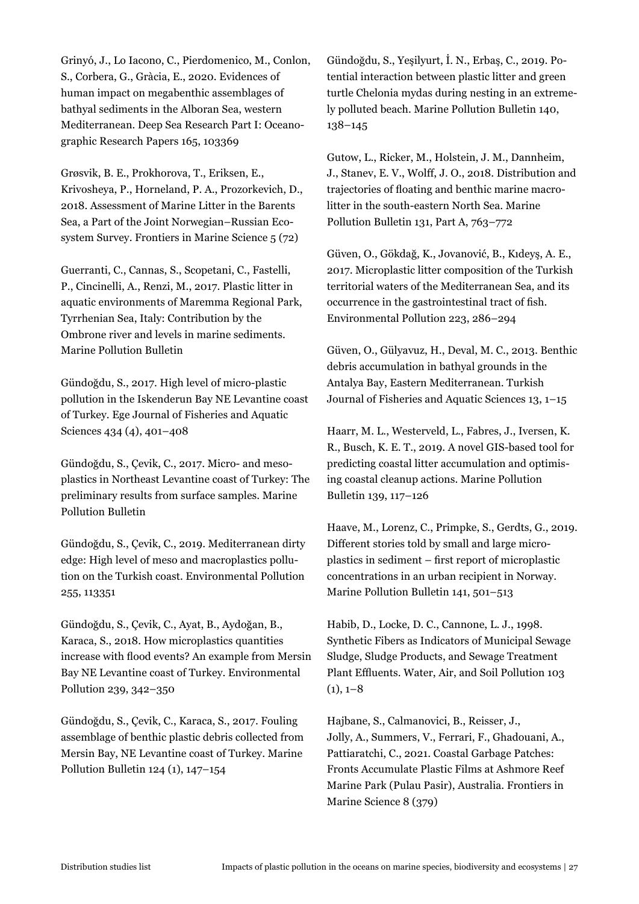Grinyó, J., Lo Iacono, C., Pierdomenico, M., Conlon, S., Corbera, G., Gràcia, E., 2020. Evidences of human impact on megabenthic assemblages of bathyal sediments in the Alboran Sea, western Mediterranean. Deep Sea Research Part I: Oceanographic Research Papers 165, 103369

Grøsvik, B. E., Prokhorova, T., Eriksen, E., Krivosheya, P., Horneland, P. A., Prozorkevich, D., 2018. Assessment of Marine Litter in the Barents Sea, a Part of the Joint Norwegian–Russian Ecosystem Survey. Frontiers in Marine Science 5 (72)

Guerranti, C., Cannas, S., Scopetani, C., Fastelli, P., Cincinelli, A., Renzi, M., 2017. Plastic litter in aquatic environments of Maremma Regional Park, Tyrrhenian Sea, Italy: Contribution by the Ombrone river and levels in marine sediments. Marine Pollution Bulletin

Gündoğdu, S., 2017. High level of micro-plastic pollution in the Iskenderun Bay NE Levantine coast of Turkey. Ege Journal of Fisheries and Aquatic Sciences 434 (4), 401–408

Gündoğdu, S., Çevik, C., 2017. Micro- and mesoplastics in Northeast Levantine coast of Turkey: The preliminary results from surface samples. Marine Pollution Bulletin

Gündoğdu, S., Çevik, C., 2019. Mediterranean dirty edge: High level of meso and macroplastics pollution on the Turkish coast. Environmental Pollution 255, 113351

Gündoğdu, S., Çevik, C., Ayat, B., Aydoğan, B., Karaca, S., 2018. How microplastics quantities increase with flood events? An example from Mersin Bay NE Levantine coast of Turkey. Environmental Pollution 239, 342–350

Gündoğdu, S., Çevik, C., Karaca, S., 2017. Fouling assemblage of benthic plastic debris collected from Mersin Bay, NE Levantine coast of Turkey. Marine Pollution Bulletin 124 (1), 147–154

Gündoğdu, S., Yeşilyurt, İ. N., Erbaş, C., 2019. Potential interaction between plastic litter and green turtle Chelonia mydas during nesting in an extremely polluted beach. Marine Pollution Bulletin 140, 138–145

Gutow, L., Ricker, M., Holstein, J. M., Dannheim, J., Stanev, E. V., Wolff, J. O., 2018. Distribution and trajectories of floating and benthic marine macrolitter in the south-eastern North Sea. Marine Pollution Bulletin 131, Part A, 763–772

Güven, O., Gökdağ, K., Jovanović, B., Kıdeyş, A. E., 2017. Microplastic litter composition of the Turkish territorial waters of the Mediterranean Sea, and its occurrence in the gastrointestinal tract of fish. Environmental Pollution 223, 286–294

Güven, O., Gülyavuz, H., Deval, M. C., 2013. Benthic debris accumulation in bathyal grounds in the Antalya Bay, Eastern Mediterranean. Turkish Journal of Fisheries and Aquatic Sciences 13, 1–15

Haarr, M. L., Westerveld, L., Fabres, J., Iversen, K. R., Busch, K. E. T., 2019. A novel GIS-based tool for predicting coastal litter accumulation and optimising coastal cleanup actions. Marine Pollution Bulletin 139, 117–126

Haave, M., Lorenz, C., Primpke, S., Gerdts, G., 2019. Different stories told by small and large microplastics in sediment – first report of microplastic concentrations in an urban recipient in Norway. Marine Pollution Bulletin 141, 501–513

Habib, D., Locke, D. C., Cannone, L. J., 1998. Synthetic Fibers as Indicators of Municipal Sewage Sludge, Sludge Products, and Sewage Treatment Plant Effluents. Water, Air, and Soil Pollution 103  $(1), 1-8$ 

Hajbane, S., Calmanovici, B., Reisser, J., Jolly, A., Summers, V., Ferrari, F., Ghadouani, A., Pattiaratchi, C., 2021. Coastal Garbage Patches: Fronts Accumulate Plastic Films at Ashmore Reef Marine Park (Pulau Pasir), Australia. Frontiers in Marine Science 8 (379)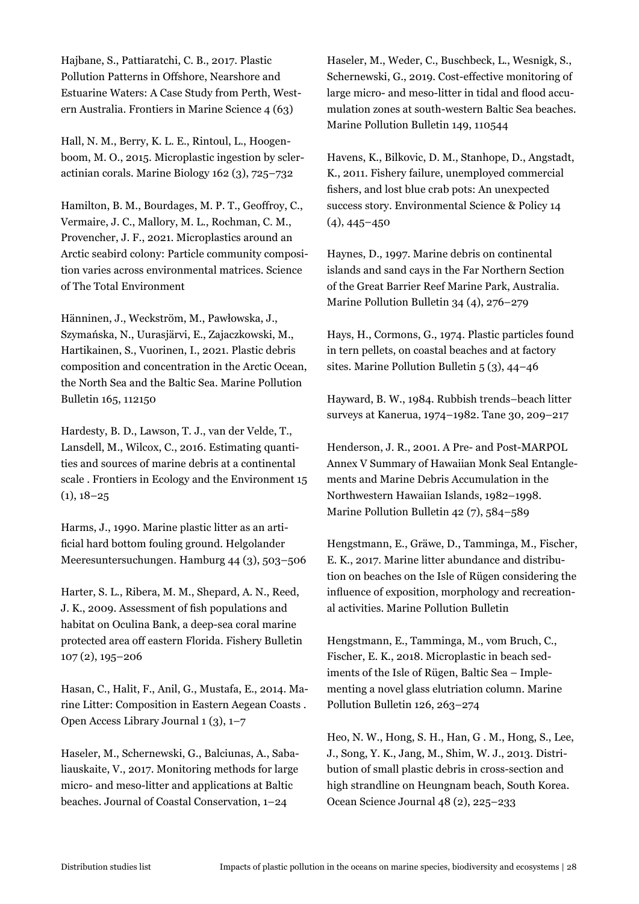Hajbane, S., Pattiaratchi, C. B., 2017. Plastic Pollution Patterns in Offshore, Nearshore and Estuarine Waters: A Case Study from Perth, Western Australia. Frontiers in Marine Science 4 (63)

Hall, N. M., Berry, K. L. E., Rintoul, L., Hoogenboom, M. O., 2015. Microplastic ingestion by scleractinian corals. Marine Biology 162 (3), 725–732

Hamilton, B. M., Bourdages, M. P. T., Geoffroy, C., Vermaire, J. C., Mallory, M. L., Rochman, C. M., Provencher, J. F., 2021. Microplastics around an Arctic seabird colony: Particle community composition varies across environmental matrices. Science of The Total Environment

Hänninen, J., Weckström, M., Pawłowska, J., Szymańska, N., Uurasjärvi, E., Zajaczkowski, M., Hartikainen, S., Vuorinen, I., 2021. Plastic debris composition and concentration in the Arctic Ocean, the North Sea and the Baltic Sea. Marine Pollution Bulletin 165, 112150

Hardesty, B. D., Lawson, T. J., van der Velde, T., Lansdell, M., Wilcox, C., 2016. Estimating quantities and sources of marine debris at a continental scale . Frontiers in Ecology and the Environment 15  $(1), 18-25$ 

Harms, J., 1990. Marine plastic litter as an artificial hard bottom fouling ground. Helgolander Meeresuntersuchungen. Hamburg 44 (3), 503–506

Harter, S. L., Ribera, M. M., Shepard, A. N., Reed, J. K., 2009. Assessment of fish populations and habitat on Oculina Bank, a deep-sea coral marine protected area off eastern Florida. Fishery Bulletin 107 (2), 195–206

Hasan, C., Halit, F., Anil, G., Mustafa, E., 2014. Marine Litter: Composition in Eastern Aegean Coasts . Open Access Library Journal 1 (3), 1–7

Haseler, M., Schernewski, G., Balciunas, A., Sabaliauskaite, V., 2017. Monitoring methods for large micro- and meso-litter and applications at Baltic beaches. Journal of Coastal Conservation, 1–24

Haseler, M., Weder, C., Buschbeck, L., Wesnigk, S., Schernewski, G., 2019. Cost-effective monitoring of large micro- and meso-litter in tidal and flood accumulation zones at south-western Baltic Sea beaches. Marine Pollution Bulletin 149, 110544

Havens, K., Bilkovic, D. M., Stanhope, D., Angstadt, K., 2011. Fishery failure, unemployed commercial fishers, and lost blue crab pots: An unexpected success story. Environmental Science & Policy 14  $(4)$ , 445–450

Haynes, D., 1997. Marine debris on continental islands and sand cays in the Far Northern Section of the Great Barrier Reef Marine Park, Australia. Marine Pollution Bulletin 34 (4), 276–279

Hays, H., Cormons, G., 1974. Plastic particles found in tern pellets, on coastal beaches and at factory sites. Marine Pollution Bulletin 5 (3), 44–46

Hayward, B. W., 1984. Rubbish trends–beach litter surveys at Kanerua, 1974–1982. Tane 30, 209–217

Henderson, J. R., 2001. A Pre- and Post-MARPOL Annex V Summary of Hawaiian Monk Seal Entanglements and Marine Debris Accumulation in the Northwestern Hawaiian Islands, 1982–1998. Marine Pollution Bulletin 42 (7), 584–589

Hengstmann, E., Gräwe, D., Tamminga, M., Fischer, E. K., 2017. Marine litter abundance and distribution on beaches on the Isle of Rügen considering the influence of exposition, morphology and recreational activities. Marine Pollution Bulletin

Hengstmann, E., Tamminga, M., vom Bruch, C., Fischer, E. K., 2018. Microplastic in beach sediments of the Isle of Rügen, Baltic Sea – Implementing a novel glass elutriation column. Marine Pollution Bulletin 126, 263–274

Heo, N. W., Hong, S. H., Han, G . M., Hong, S., Lee, J., Song, Y. K., Jang, M., Shim, W. J., 2013. Distribution of small plastic debris in cross-section and high strandline on Heungnam beach, South Korea. Ocean Science Journal 48 (2), 225–233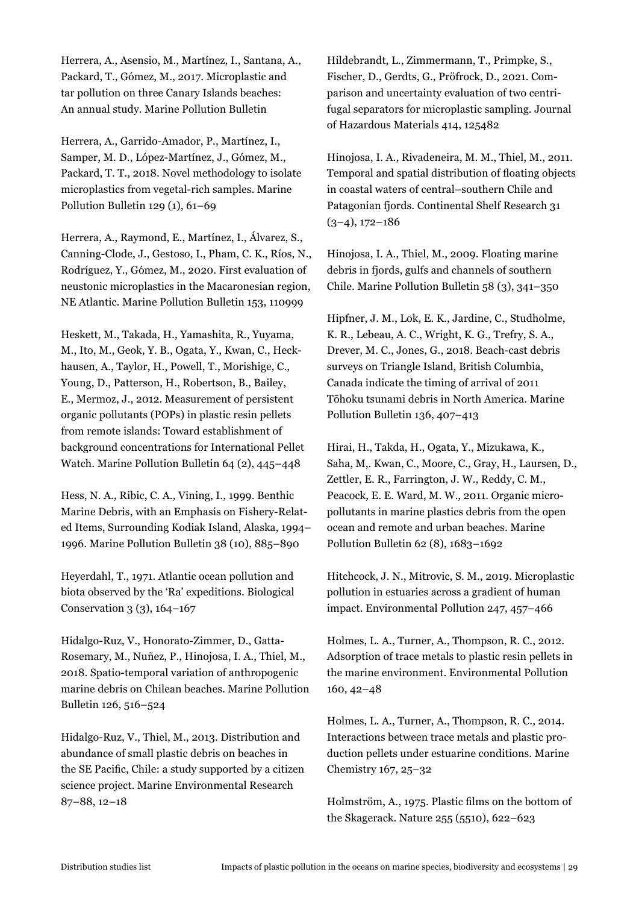Herrera, A., Asensio, M., Martínez, I., Santana, A., Packard, T., Gómez, M., 2017. Microplastic and tar pollution on three Canary Islands beaches: An annual study. Marine Pollution Bulletin

Herrera, A., Garrido-Amador, P., Martínez, I., Samper, M. D., López-Martínez, J., Gómez, M., Packard, T. T., 2018. Novel methodology to isolate microplastics from vegetal-rich samples. Marine Pollution Bulletin 129 (1), 61–69

Herrera, A., Raymond, E., Martínez, I., Álvarez, S., Canning-Clode, J., Gestoso, I., Pham, C. K., Ríos, N., Rodríguez, Y., Gómez, M., 2020. First evaluation of neustonic microplastics in the Macaronesian region, NE Atlantic. Marine Pollution Bulletin 153, 110999

Heskett, M., Takada, H., Yamashita, R., Yuyama, M., Ito, M., Geok, Y. B., Ogata, Y., Kwan, C., Heckhausen, A., Taylor, H., Powell, T., Morishige, C., Young, D., Patterson, H., Robertson, B., Bailey, E., Mermoz, J., 2012. Measurement of persistent organic pollutants (POPs) in plastic resin pellets from remote islands: Toward establishment of background concentrations for International Pellet Watch. Marine Pollution Bulletin 64 (2), 445–448

Hess, N. A., Ribic, C. A., Vining, I., 1999. Benthic Marine Debris, with an Emphasis on Fishery-Related Items, Surrounding Kodiak Island, Alaska, 1994– 1996. Marine Pollution Bulletin 38 (10), 885–890

Heyerdahl, T., 1971. Atlantic ocean pollution and biota observed by the 'Ra' expeditions. Biological Conservation 3 (3), 164–167

Hidalgo-Ruz, V., Honorato-Zimmer, D., Gatta-Rosemary, M., Nuñez, P., Hinojosa, I. A., Thiel, M., 2018. Spatio-temporal variation of anthropogenic marine debris on Chilean beaches. Marine Pollution Bulletin 126, 516–524

Hidalgo-Ruz, V., Thiel, M., 2013. Distribution and abundance of small plastic debris on beaches in the SE Pacific, Chile: a study supported by a citizen science project. Marine Environmental Research 87–88, 12–18

Hildebrandt, L., Zimmermann, T., Primpke, S., Fischer, D., Gerdts, G., Pröfrock, D., 2021. Comparison and uncertainty evaluation of two centrifugal separators for microplastic sampling. Journal of Hazardous Materials 414, 125482

Hinojosa, I. A., Rivadeneira, M. M., Thiel, M., 2011. Temporal and spatial distribution of floating objects in coastal waters of central–southern Chile and Patagonian fjords. Continental Shelf Research 31  $(3-4)$ , 172–186

Hinojosa, I. A., Thiel, M., 2009. Floating marine debris in fjords, gulfs and channels of southern Chile. Marine Pollution Bulletin 58 (3), 341–350

Hipfner, J. M., Lok, E. K., Jardine, C., Studholme, K. R., Lebeau, A. C., Wright, K. G., Trefry, S. A., Drever, M. C., Jones, G., 2018. Beach-cast debris surveys on Triangle Island, British Columbia, Canada indicate the timing of arrival of 2011 Tōhoku tsunami debris in North America. Marine Pollution Bulletin 136, 407–413

Hirai, H., Takda, H., Ogata, Y., Mizukawa, K., Saha, M,. Kwan, C., Moore, C., Gray, H., Laursen, D., Zettler, E. R., Farrington, J. W., Reddy, C. M., Peacock, E. E. Ward, M. W., 2011. Organic micropollutants in marine plastics debris from the open ocean and remote and urban beaches. Marine Pollution Bulletin 62 (8), 1683–1692

Hitchcock, J. N., Mitrovic, S. M., 2019. Microplastic pollution in estuaries across a gradient of human impact. Environmental Pollution 247, 457–466

Holmes, L. A., Turner, A., Thompson, R. C., 2012. Adsorption of trace metals to plastic resin pellets in the marine environment. Environmental Pollution 160, 42–48

Holmes, L. A., Turner, A., Thompson, R. C., 2014. Interactions between trace metals and plastic production pellets under estuarine conditions. Marine Chemistry 167, 25–32

Holmström, A., 1975. Plastic films on the bottom of the Skagerack. Nature 255 (5510), 622–623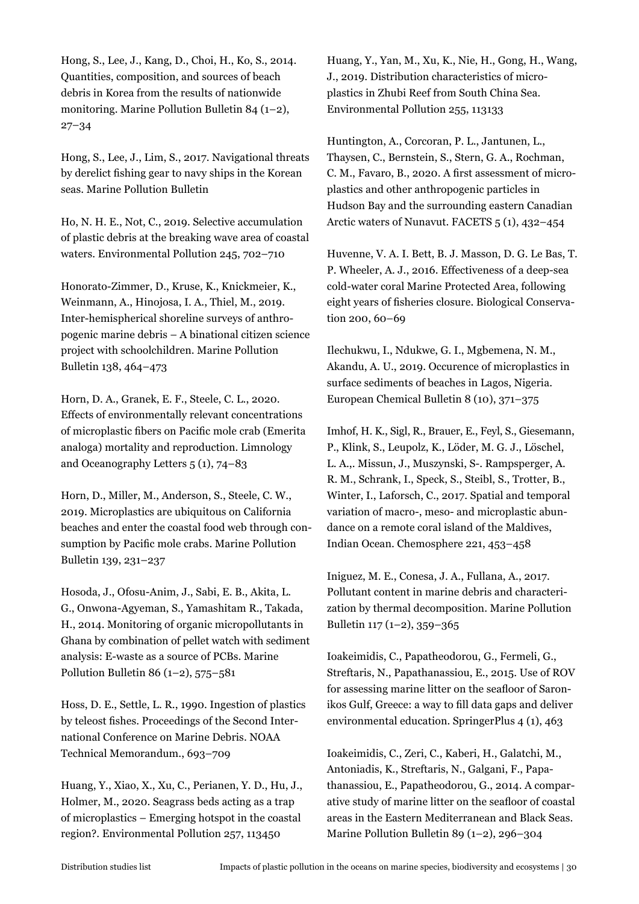Hong, S., Lee, J., Kang, D., Choi, H., Ko, S., 2014. Quantities, composition, and sources of beach debris in Korea from the results of nationwide monitoring. Marine Pollution Bulletin 84 (1–2), 27–34

Hong, S., Lee, J., Lim, S., 2017. Navigational threats by derelict fishing gear to navy ships in the Korean seas. Marine Pollution Bulletin

Ho, N. H. E., Not, C., 2019. Selective accumulation of plastic debris at the breaking wave area of coastal waters. Environmental Pollution 245, 702–710

Honorato-Zimmer, D., Kruse, K., Knickmeier, K., Weinmann, A., Hinojosa, I. A., Thiel, M., 2019. Inter-hemispherical shoreline surveys of anthropogenic marine debris – A binational citizen science project with schoolchildren. Marine Pollution Bulletin 138, 464–473

Horn, D. A., Granek, E. F., Steele, C. L., 2020. Effects of environmentally relevant concentrations of microplastic fibers on Pacific mole crab (Emerita analoga) mortality and reproduction. Limnology and Oceanography Letters 5 (1), 74–83

Horn, D., Miller, M., Anderson, S., Steele, C. W., 2019. Microplastics are ubiquitous on California beaches and enter the coastal food web through consumption by Pacific mole crabs. Marine Pollution Bulletin 139, 231–237

Hosoda, J., Ofosu-Anim, J., Sabi, E. B., Akita, L. G., Onwona-Agyeman, S., Yamashitam R., Takada, H., 2014. Monitoring of organic micropollutants in Ghana by combination of pellet watch with sediment analysis: E-waste as a source of PCBs. Marine Pollution Bulletin 86  $(1-2)$ , 575–581

Hoss, D. E., Settle, L. R., 1990. Ingestion of plastics by teleost fishes. Proceedings of the Second International Conference on Marine Debris. NOAA Technical Memorandum., 693–709

Huang, Y., Xiao, X., Xu, C., Perianen, Y. D., Hu, J., Holmer, M., 2020. Seagrass beds acting as a trap of microplastics – Emerging hotspot in the coastal region?. Environmental Pollution 257, 113450

Huang, Y., Yan, M., Xu, K., Nie, H., Gong, H., Wang, J., 2019. Distribution characteristics of microplastics in Zhubi Reef from South China Sea. Environmental Pollution 255, 113133

Huntington, A., Corcoran, P. L., Jantunen, L., Thaysen, C., Bernstein, S., Stern, G. A., Rochman, C. M., Favaro, B., 2020. A first assessment of microplastics and other anthropogenic particles in Hudson Bay and the surrounding eastern Canadian Arctic waters of Nunavut. FACETS 5 (1), 432–454

Huvenne, V. A. I. Bett, B. J. Masson, D. G. Le Bas, T. P. Wheeler, A. J., 2016. Effectiveness of a deep-sea cold-water coral Marine Protected Area, following eight years of fisheries closure. Biological Conservation 200, 60–69

Ilechukwu, I., Ndukwe, G. I., Mgbemena, N. M., Akandu, A. U., 2019. Occurence of microplastics in surface sediments of beaches in Lagos, Nigeria. European Chemical Bulletin 8 (10), 371–375

Imhof, H. K., Sigl, R., Brauer, E., Feyl, S., Giesemann, P., Klink, S., Leupolz, K., Löder, M. G. J., Löschel, L. A.,. Missun, J., Muszynski, S-. Rampsperger, A. R. M., Schrank, I., Speck, S., Steibl, S., Trotter, B., Winter, I., Laforsch, C., 2017. Spatial and temporal variation of macro-, meso- and microplastic abundance on a remote coral island of the Maldives, Indian Ocean. Chemosphere 221, 453–458

Iniguez, M. E., Conesa, J. A., Fullana, A., 2017. Pollutant content in marine debris and characterization by thermal decomposition. Marine Pollution Bulletin 117 (1–2), 359–365

Ioakeimidis, C., Papatheodorou, G., Fermeli, G., Streftaris, N., Papathanassiou, E., 2015. Use of ROV for assessing marine litter on the seafloor of Saronikos Gulf, Greece: a way to fill data gaps and deliver environmental education. SpringerPlus 4 (1), 463

Ioakeimidis, C., Zeri, C., Kaberi, H., Galatchi, M., Antoniadis, K., Streftaris, N., Galgani, F., Papathanassiou, E., Papatheodorou, G., 2014. A comparative study of marine litter on the seafloor of coastal areas in the Eastern Mediterranean and Black Seas. Marine Pollution Bulletin 89 (1–2), 296–304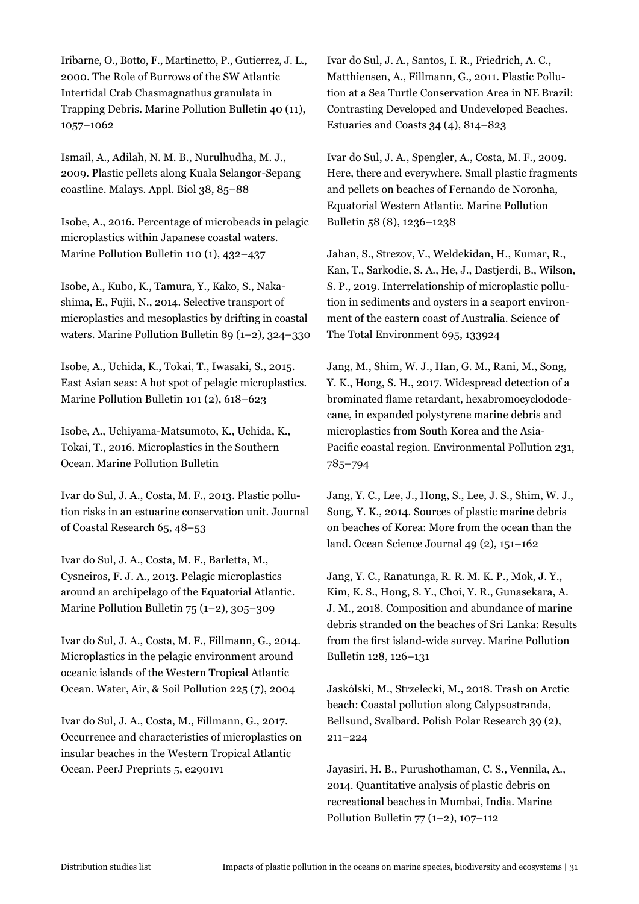Iribarne, O., Botto, F., Martinetto, P., Gutierrez, J. L., 2000. The Role of Burrows of the SW Atlantic Intertidal Crab Chasmagnathus granulata in Trapping Debris. Marine Pollution Bulletin 40 (11), 1057–1062

Ismail, A., Adilah, N. M. B., Nurulhudha, M. J., 2009. Plastic pellets along Kuala Selangor-Sepang coastline. Malays. Appl. Biol 38, 85–88

Isobe, A., 2016. Percentage of microbeads in pelagic microplastics within Japanese coastal waters. Marine Pollution Bulletin 110 (1), 432–437

Isobe, A., Kubo, K., Tamura, Y., Kako, S., Nakashima, E., Fujii, N., 2014. Selective transport of microplastics and mesoplastics by drifting in coastal waters. Marine Pollution Bulletin 89 (1–2), 324–330

Isobe, A., Uchida, K., Tokai, T., Iwasaki, S., 2015. East Asian seas: A hot spot of pelagic microplastics. Marine Pollution Bulletin 101 (2), 618–623

Isobe, A., Uchiyama-Matsumoto, K., Uchida, K., Tokai, T., 2016. Microplastics in the Southern Ocean. Marine Pollution Bulletin

Ivar do Sul, J. A., Costa, M. F., 2013. Plastic pollution risks in an estuarine conservation unit. Journal of Coastal Research 65, 48–53

Ivar do Sul, J. A., Costa, M. F., Barletta, M., Cysneiros, F. J. A., 2013. Pelagic microplastics around an archipelago of the Equatorial Atlantic. Marine Pollution Bulletin 75 (1–2), 305–309

Ivar do Sul, J. A., Costa, M. F., Fillmann, G., 2014. Microplastics in the pelagic environment around oceanic islands of the Western Tropical Atlantic Ocean. Water, Air, & Soil Pollution 225 (7), 2004

Ivar do Sul, J. A., Costa, M., Fillmann, G., 2017. Occurrence and characteristics of microplastics on insular beaches in the Western Tropical Atlantic Ocean. PeerJ Preprints 5, e2901v1

Ivar do Sul, J. A., Santos, I. R., Friedrich, A. C., Matthiensen, A., Fillmann, G., 2011. Plastic Pollution at a Sea Turtle Conservation Area in NE Brazil: Contrasting Developed and Undeveloped Beaches. Estuaries and Coasts 34 (4), 814–823

Ivar do Sul, J. A., Spengler, A., Costa, M. F., 2009. Here, there and everywhere. Small plastic fragments and pellets on beaches of Fernando de Noronha, Equatorial Western Atlantic. Marine Pollution Bulletin 58 (8), 1236–1238

Jahan, S., Strezov, V., Weldekidan, H., Kumar, R., Kan, T., Sarkodie, S. A., He, J., Dastjerdi, B., Wilson, S. P., 2019. Interrelationship of microplastic pollution in sediments and oysters in a seaport environment of the eastern coast of Australia. Science of The Total Environment 695, 133924

Jang, M., Shim, W. J., Han, G. M., Rani, M., Song, Y. K., Hong, S. H., 2017. Widespread detection of a brominated flame retardant, hexabromocyclododecane, in expanded polystyrene marine debris and microplastics from South Korea and the Asia-Pacific coastal region. Environmental Pollution 231, 785–794

Jang, Y. C., Lee, J., Hong, S., Lee, J. S., Shim, W. J., Song, Y. K., 2014. Sources of plastic marine debris on beaches of Korea: More from the ocean than the land. Ocean Science Journal 49 (2), 151–162

Jang, Y. C., Ranatunga, R. R. M. K. P., Mok, J. Y., Kim, K. S., Hong, S. Y., Choi, Y. R., Gunasekara, A. J. M., 2018. Composition and abundance of marine debris stranded on the beaches of Sri Lanka: Results from the first island-wide survey. Marine Pollution Bulletin 128, 126–131

Jaskólski, M., Strzelecki, M., 2018. Trash on Arctic beach: Coastal pollution along Calypsostranda, Bellsund, Svalbard. Polish Polar Research 39 (2), 211–224

Jayasiri, H. B., Purushothaman, C. S., Vennila, A., 2014. Quantitative analysis of plastic debris on recreational beaches in Mumbai, India. Marine Pollution Bulletin  $77$  (1–2), 107–112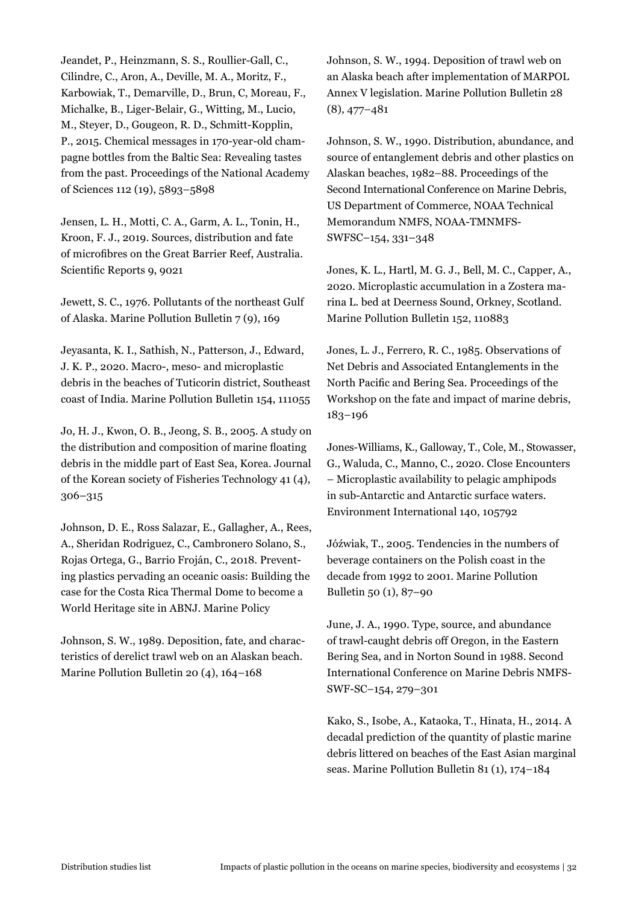Jeandet, P., Heinzmann, S. S., Roullier-Gall, C., Cilindre, C., Aron, A., Deville, M. A., Moritz, F., Karbowiak, T., Demarville, D., Brun, C, Moreau, F., Michalke, B., Liger-Belair, G., Witting, M., Lucio, M., Steyer, D., Gougeon, R. D., Schmitt-Kopplin, P., 2015. Chemical messages in 170-year-old champagne bottles from the Baltic Sea: Revealing tastes from the past. Proceedings of the National Academy of Sciences 112 (19), 5893–5898

Jensen, L. H., Motti, C. A., Garm, A. L., Tonin, H., Kroon, F. J., 2019. Sources, distribution and fate of microfibres on the Great Barrier Reef, Australia. Scientific Reports 9, 9021

Jewett, S. C., 1976. Pollutants of the northeast Gulf of Alaska. Marine Pollution Bulletin 7 (9), 169

Jeyasanta, K. I., Sathish, N., Patterson, J., Edward, J. K. P., 2020. Macro-, meso- and microplastic debris in the beaches of Tuticorin district, Southeast coast of India. Marine Pollution Bulletin 154, 111055

Jo, H. J., Kwon, O. B., Jeong, S. B., 2005. A study on the distribution and composition of marine floating debris in the middle part of East Sea, Korea. Journal of the Korean society of Fisheries Technology 41 (4), 306–315

Johnson, D. E., Ross Salazar, E., Gallagher, A., Rees, A., Sheridan Rodriguez, C., Cambronero Solano, S., Rojas Ortega, G., Barrio Froján, C., 2018. Preventing plastics pervading an oceanic oasis: Building the case for the Costa Rica Thermal Dome to become a World Heritage site in ABNJ. Marine Policy

Johnson, S. W., 1989. Deposition, fate, and characteristics of derelict trawl web on an Alaskan beach. Marine Pollution Bulletin 20 (4), 164–168

Johnson, S. W., 1994. Deposition of trawl web on an Alaska beach after implementation of MARPOL Annex V legislation. Marine Pollution Bulletin 28 (8), 477–481

Johnson, S. W., 1990. Distribution, abundance, and source of entanglement debris and other plastics on Alaskan beaches, 1982–88. Proceedings of the Second International Conference on Marine Debris, US Department of Commerce, NOAA Technical Memorandum NMFS, NOAA-TMNMFS-SWFSC–154, 331–348

Jones, K. L., Hartl, M. G. J., Bell, M. C., Capper, A., 2020. Microplastic accumulation in a Zostera marina L. bed at Deerness Sound, Orkney, Scotland. Marine Pollution Bulletin 152, 110883

Jones, L. J., Ferrero, R. C., 1985. Observations of Net Debris and Associated Entanglements in the North Pacific and Bering Sea. Proceedings of the Workshop on the fate and impact of marine debris, 183–196

Jones-Williams, K., Galloway, T., Cole, M., Stowasser, G., Waluda, C., Manno, C., 2020. Close Encounters – Microplastic availability to pelagic amphipods in sub-Antarctic and Antarctic surface waters. Environment International 140, 105792

Jóźwiak, T., 2005. Tendencies in the numbers of beverage containers on the Polish coast in the decade from 1992 to 2001. Marine Pollution Bulletin 50 (1), 87–90

June, J. A., 1990. Type, source, and abundance of trawl-caught debris off Oregon, in the Eastern Bering Sea, and in Norton Sound in 1988. Second International Conference on Marine Debris NMFS-SWF-SC–154, 279–301

Kako, S., Isobe, A., Kataoka, T., Hinata, H., 2014. A decadal prediction of the quantity of plastic marine debris littered on beaches of the East Asian marginal seas. Marine Pollution Bulletin 81 (1), 174–184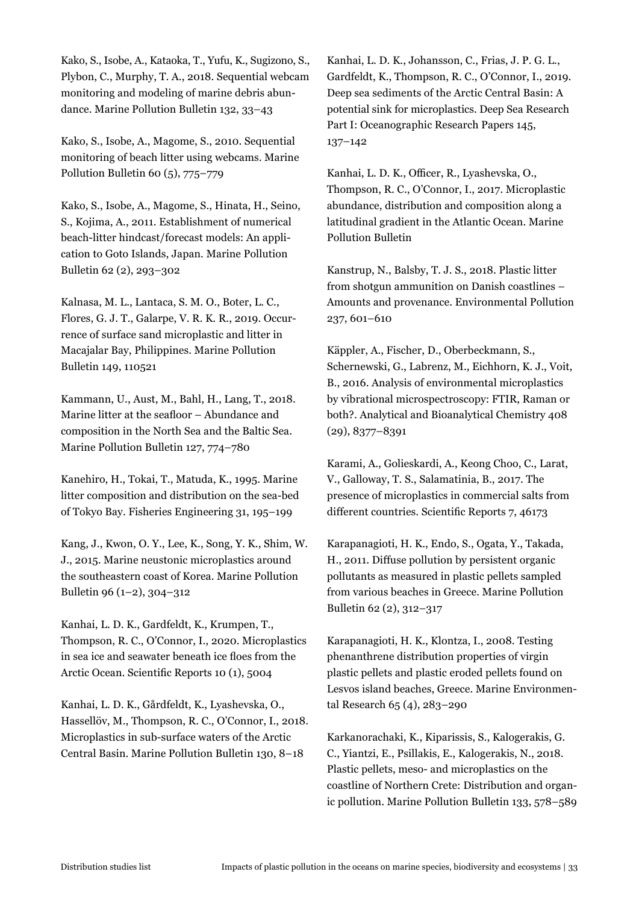Kako, S., Isobe, A., Kataoka, T., Yufu, K., Sugizono, S., Plybon, C., Murphy, T. A., 2018. Sequential webcam monitoring and modeling of marine debris abundance. Marine Pollution Bulletin 132, 33–43

Kako, S., Isobe, A., Magome, S., 2010. Sequential monitoring of beach litter using webcams. Marine Pollution Bulletin 60 (5), 775–779

Kako, S., Isobe, A., Magome, S., Hinata, H., Seino, S., Kojima, A., 2011. Establishment of numerical beach-litter hindcast/forecast models: An application to Goto Islands, Japan. Marine Pollution Bulletin 62 (2), 293–302

Kalnasa, M. L., Lantaca, S. M. O., Boter, L. C., Flores, G. J. T., Galarpe, V. R. K. R., 2019. Occurrence of surface sand microplastic and litter in Macajalar Bay, Philippines. Marine Pollution Bulletin 149, 110521

Kammann, U., Aust, M., Bahl, H., Lang, T., 2018. Marine litter at the seafloor – Abundance and composition in the North Sea and the Baltic Sea. Marine Pollution Bulletin 127, 774–780

Kanehiro, H., Tokai, T., Matuda, K., 1995. Marine litter composition and distribution on the sea-bed of Tokyo Bay. Fisheries Engineering 31, 195–199

Kang, J., Kwon, O. Y., Lee, K., Song, Y. K., Shim, W. J., 2015. Marine neustonic microplastics around the southeastern coast of Korea. Marine Pollution Bulletin 96 (1–2), 304–312

Kanhai, L. D. K., Gardfeldt, K., Krumpen, T., Thompson, R. C., O'Connor, I., 2020. Microplastics in sea ice and seawater beneath ice floes from the Arctic Ocean. Scientific Reports 10 (1), 5004

Kanhai, L. D. K., Gårdfeldt, K., Lyashevska, O., Hassellöv, M., Thompson, R. C., O'Connor, I., 2018. Microplastics in sub-surface waters of the Arctic Central Basin. Marine Pollution Bulletin 130, 8–18

Kanhai, L. D. K., Johansson, C., Frias, J. P. G. L., Gardfeldt, K., Thompson, R. C., O'Connor, I., 2019. Deep sea sediments of the Arctic Central Basin: A potential sink for microplastics. Deep Sea Research Part I: Oceanographic Research Papers 145, 137–142

Kanhai, L. D. K., Officer, R., Lyashevska, O., Thompson, R. C., O'Connor, I., 2017. Microplastic abundance, distribution and composition along a latitudinal gradient in the Atlantic Ocean. Marine Pollution Bulletin

Kanstrup, N., Balsby, T. J. S., 2018. Plastic litter from shotgun ammunition on Danish coastlines – Amounts and provenance. Environmental Pollution 237, 601–610

Käppler, A., Fischer, D., Oberbeckmann, S., Schernewski, G., Labrenz, M., Eichhorn, K. J., Voit, B., 2016. Analysis of environmental microplastics by vibrational microspectroscopy: FTIR, Raman or both?. Analytical and Bioanalytical Chemistry 408 (29), 8377–8391

Karami, A., Golieskardi, A., Keong Choo, C., Larat, V., Galloway, T. S., Salamatinia, B., 2017. The presence of microplastics in commercial salts from different countries. Scientific Reports 7, 46173

Karapanagioti, H. K., Endo, S., Ogata, Y., Takada, H., 2011. Diffuse pollution by persistent organic pollutants as measured in plastic pellets sampled from various beaches in Greece. Marine Pollution Bulletin 62 (2), 312–317

Karapanagioti, H. K., Klontza, I., 2008. Testing phenanthrene distribution properties of virgin plastic pellets and plastic eroded pellets found on Lesvos island beaches, Greece. Marine Environmental Research 65 (4), 283–290

Karkanorachaki, K., Kiparissis, S., Kalogerakis, G. C., Yiantzi, E., Psillakis, E., Kalogerakis, N., 2018. Plastic pellets, meso- and microplastics on the coastline of Northern Crete: Distribution and organic pollution. Marine Pollution Bulletin 133, 578–589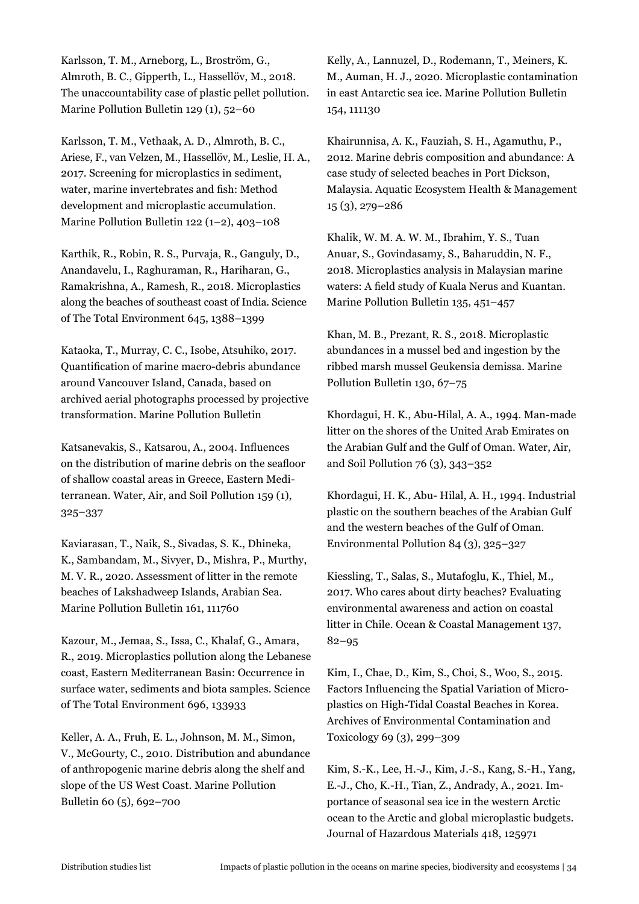Karlsson, T. M., Arneborg, L., Broström, G., Almroth, B. C., Gipperth, L., Hassellöv, M., 2018. The unaccountability case of plastic pellet pollution. Marine Pollution Bulletin 129 (1), 52–60

Karlsson, T. M., Vethaak, A. D., Almroth, B. C., Ariese, F., van Velzen, M., Hassellöv, M., Leslie, H. A., 2017. Screening for microplastics in sediment, water, marine invertebrates and fish: Method development and microplastic accumulation. Marine Pollution Bulletin 122 (1–2), 403–108

Karthik, R., Robin, R. S., Purvaja, R., Ganguly, D., Anandavelu, I., Raghuraman, R., Hariharan, G., Ramakrishna, A., Ramesh, R., 2018. Microplastics along the beaches of southeast coast of India. Science of The Total Environment 645, 1388–1399

Kataoka, T., Murray, C. C., Isobe, Atsuhiko, 2017. Quantification of marine macro-debris abundance around Vancouver Island, Canada, based on archived aerial photographs processed by projective transformation. Marine Pollution Bulletin

Katsanevakis, S., Katsarou, A., 2004. Influences on the distribution of marine debris on the seafloor of shallow coastal areas in Greece, Eastern Mediterranean. Water, Air, and Soil Pollution 159 (1), 325–337

Kaviarasan, T., Naik, S., Sivadas, S. K., Dhineka, K., Sambandam, M., Sivyer, D., Mishra, P., Murthy, M. V. R., 2020. Assessment of litter in the remote beaches of Lakshadweep Islands, Arabian Sea. Marine Pollution Bulletin 161, 111760

Kazour, M., Jemaa, S., Issa, C., Khalaf, G., Amara, R., 2019. Microplastics pollution along the Lebanese coast, Eastern Mediterranean Basin: Occurrence in surface water, sediments and biota samples. Science of The Total Environment 696, 133933

Keller, A. A., Fruh, E. L., Johnson, M. M., Simon, V., McGourty, C., 2010. Distribution and abundance of anthropogenic marine debris along the shelf and slope of the US West Coast. Marine Pollution Bulletin 60 (5), 692–700

Kelly, A., Lannuzel, D., Rodemann, T., Meiners, K. M., Auman, H. J., 2020. Microplastic contamination in east Antarctic sea ice. Marine Pollution Bulletin 154, 111130

Khairunnisa, A. K., Fauziah, S. H., Agamuthu, P., 2012. Marine debris composition and abundance: A case study of selected beaches in Port Dickson, Malaysia. Aquatic Ecosystem Health & Management 15 (3), 279–286

Khalik, W. M. A. W. M., Ibrahim, Y. S., Tuan Anuar, S., Govindasamy, S., Baharuddin, N. F., 2018. Microplastics analysis in Malaysian marine waters: A field study of Kuala Nerus and Kuantan. Marine Pollution Bulletin 135, 451–457

Khan, M. B., Prezant, R. S., 2018. Microplastic abundances in a mussel bed and ingestion by the ribbed marsh mussel Geukensia demissa. Marine Pollution Bulletin 130, 67–75

Khordagui, H. K., Abu-Hilal, A. A., 1994. Man-made litter on the shores of the United Arab Emirates on the Arabian Gulf and the Gulf of Oman. Water, Air, and Soil Pollution 76 (3), 343–352

Khordagui, H. K., Abu- Hilal, A. H., 1994. Industrial plastic on the southern beaches of the Arabian Gulf and the western beaches of the Gulf of Oman. Environmental Pollution 84 (3), 325–327

Kiessling, T., Salas, S., Mutafoglu, K., Thiel, M., 2017. Who cares about dirty beaches? Evaluating environmental awareness and action on coastal litter in Chile. Ocean & Coastal Management 137, 82–95

Kim, I., Chae, D., Kim, S., Choi, S., Woo, S., 2015. Factors Influencing the Spatial Variation of Microplastics on High-Tidal Coastal Beaches in Korea. Archives of Environmental Contamination and Toxicology 69 (3), 299–309

Kim, S.-K., Lee, H.-J., Kim, J.-S., Kang, S.-H., Yang, E.-J., Cho, K.-H., Tian, Z., Andrady, A., 2021. Importance of seasonal sea ice in the western Arctic ocean to the Arctic and global microplastic budgets. Journal of Hazardous Materials 418, 125971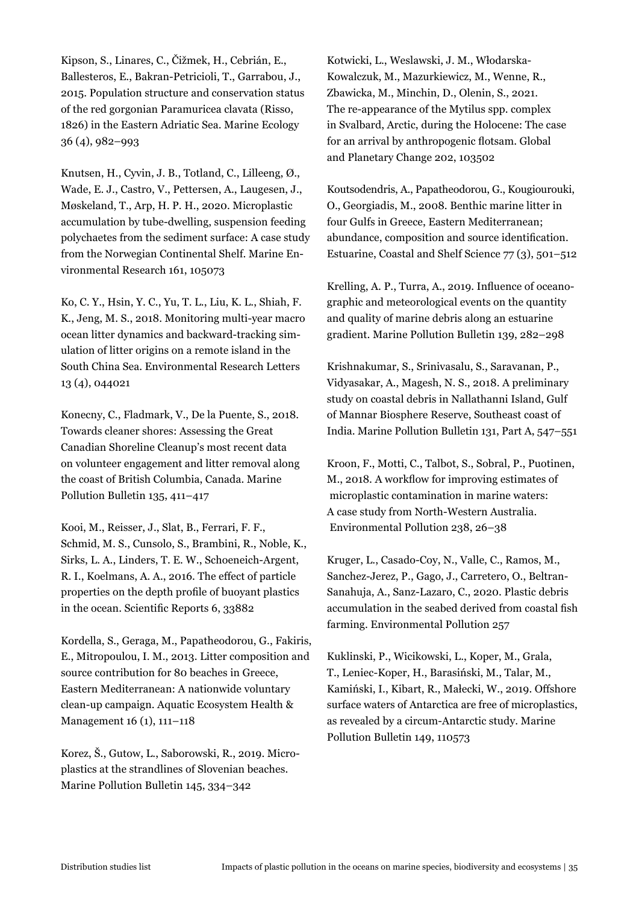Kipson, S., Linares, C., Čižmek, H., Cebrián, E., Ballesteros, E., Bakran-Petricioli, T., Garrabou, J., 2015. Population structure and conservation status of the red gorgonian Paramuricea clavata (Risso, 1826) in the Eastern Adriatic Sea. Marine Ecology 36 (4), 982–993

Knutsen, H., Cyvin, J. B., Totland, C., Lilleeng, Ø., Wade, E. J., Castro, V., Pettersen, A., Laugesen, J., Møskeland, T., Arp, H. P. H., 2020. Microplastic accumulation by tube-dwelling, suspension feeding polychaetes from the sediment surface: A case study from the Norwegian Continental Shelf. Marine Environmental Research 161, 105073

Ko, C. Y., Hsin, Y. C., Yu, T. L., Liu, K. L., Shiah, F. K., Jeng, M. S., 2018. Monitoring multi-year macro ocean litter dynamics and backward-tracking simulation of litter origins on a remote island in the South China Sea. Environmental Research Letters 13 (4), 044021

Konecny, C., Fladmark, V., De la Puente, S., 2018. Towards cleaner shores: Assessing the Great Canadian Shoreline Cleanup's most recent data on volunteer engagement and litter removal along the coast of British Columbia, Canada. Marine Pollution Bulletin 135, 411–417

Kooi, M., Reisser, J., Slat, B., Ferrari, F. F., Schmid, M. S., Cunsolo, S., Brambini, R., Noble, K., Sirks, L. A., Linders, T. E. W., Schoeneich-Argent, R. I., Koelmans, A. A., 2016. The effect of particle properties on the depth profile of buoyant plastics in the ocean. Scientific Reports 6, 33882

Kordella, S., Geraga, M., Papatheodorou, G., Fakiris, E., Mitropoulou, I. M., 2013. Litter composition and source contribution for 80 beaches in Greece, Eastern Mediterranean: A nationwide voluntary clean-up campaign. Aquatic Ecosystem Health & Management 16 (1), 111–118

Korez, Š., Gutow, L., Saborowski, R., 2019. Microplastics at the strandlines of Slovenian beaches. Marine Pollution Bulletin 145, 334–342

Kotwicki, L., Weslawski, J. M., Włodarska-Kowalczuk, M., Mazurkiewicz, M., Wenne, R., Zbawicka, M., Minchin, D., Olenin, S., 2021. The re-appearance of the Mytilus spp. complex in Svalbard, Arctic, during the Holocene: The case for an arrival by anthropogenic flotsam. Global and Planetary Change 202, 103502

Koutsodendris, A., Papatheodorou, G., Kougiourouki, O., Georgiadis, M., 2008. Benthic marine litter in four Gulfs in Greece, Eastern Mediterranean; abundance, composition and source identification. Estuarine, Coastal and Shelf Science 77 (3), 501–512

Krelling, A. P., Turra, A., 2019. Influence of oceanographic and meteorological events on the quantity and quality of marine debris along an estuarine gradient. Marine Pollution Bulletin 139, 282–298

Krishnakumar, S., Srinivasalu, S., Saravanan, P., Vidyasakar, A., Magesh, N. S., 2018. A preliminary study on coastal debris in Nallathanni Island, Gulf of Mannar Biosphere Reserve, Southeast coast of India. Marine Pollution Bulletin 131, Part A, 547–551

Kroon, F., Motti, C., Talbot, S., Sobral, P., Puotinen, M., 2018. A workflow for improving estimates of microplastic contamination in marine waters: A case study from North-Western Australia. Environmental Pollution 238, 26–38

Kruger, L., Casado-Coy, N., Valle, C., Ramos, M., Sanchez-Jerez, P., Gago, J., Carretero, O., Beltran-Sanahuja, A., Sanz-Lazaro, C., 2020. Plastic debris accumulation in the seabed derived from coastal fish farming. Environmental Pollution 257

Kuklinski, P., Wicikowski, L., Koper, M., Grala, T., Leniec-Koper, H., Barasiński, M., Talar, M., Kamiński, I., Kibart, R., Małecki, W., 2019. Offshore surface waters of Antarctica are free of microplastics, as revealed by a circum-Antarctic study. Marine Pollution Bulletin 149, 110573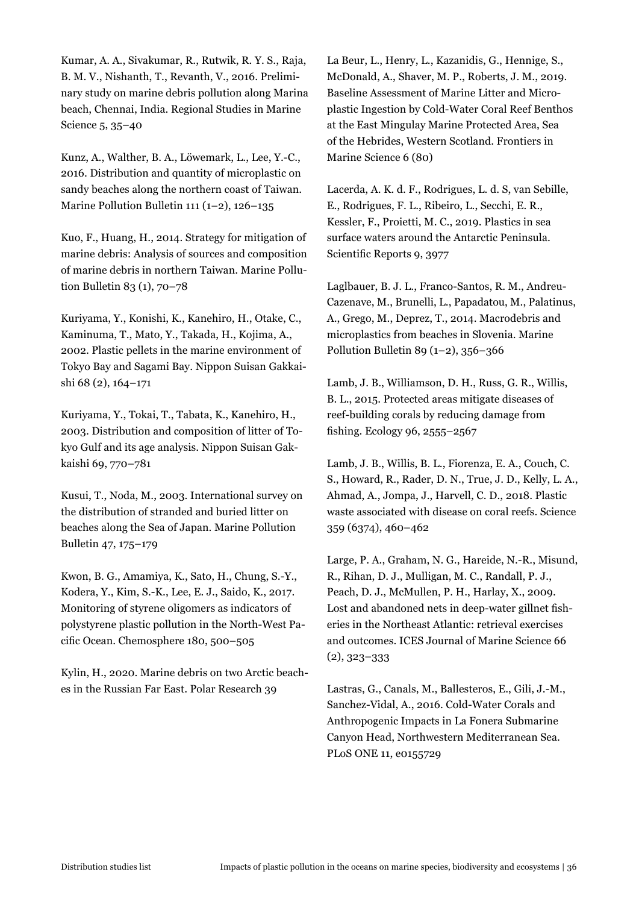Kumar, A. A., Sivakumar, R., Rutwik, R. Y. S., Raja, B. M. V., Nishanth, T., Revanth, V., 2016. Preliminary study on marine debris pollution along Marina beach, Chennai, India. Regional Studies in Marine Science 5, 35–40

Kunz, A., Walther, B. A., Löwemark, L., Lee, Y.-C., 2016. Distribution and quantity of microplastic on sandy beaches along the northern coast of Taiwan. Marine Pollution Bulletin 111 (1–2), 126–135

Kuo, F., Huang, H., 2014. Strategy for mitigation of marine debris: Analysis of sources and composition of marine debris in northern Taiwan. Marine Pollution Bulletin 83 (1), 70–78

Kuriyama, Y., Konishi, K., Kanehiro, H., Otake, C., Kaminuma, T., Mato, Y., Takada, H., Kojima, A., 2002. Plastic pellets in the marine environment of Tokyo Bay and Sagami Bay. Nippon Suisan Gakkaishi 68 (2), 164–171

Kuriyama, Y., Tokai, T., Tabata, K., Kanehiro, H., 2003. Distribution and composition of litter of Tokyo Gulf and its age analysis. Nippon Suisan Gakkaishi 69, 770–781

Kusui, T., Noda, M., 2003. International survey on the distribution of stranded and buried litter on beaches along the Sea of Japan. Marine Pollution Bulletin 47, 175–179

Kwon, B. G., Amamiya, K., Sato, H., Chung, S.-Y., Kodera, Y., Kim, S.-K., Lee, E. J., Saido, K., 2017. Monitoring of styrene oligomers as indicators of polystyrene plastic pollution in the North-West Pacific Ocean. Chemosphere 180, 500–505

Kylin, H., 2020. Marine debris on two Arctic beaches in the Russian Far East. Polar Research 39

La Beur, L., Henry, L., Kazanidis, G., Hennige, S., McDonald, A., Shaver, M. P., Roberts, J. M., 2019. Baseline Assessment of Marine Litter and Microplastic Ingestion by Cold-Water Coral Reef Benthos at the East Mingulay Marine Protected Area, Sea of the Hebrides, Western Scotland. Frontiers in Marine Science 6 (80)

Lacerda, A. K. d. F., Rodrigues, L. d. S, van Sebille, E., Rodrigues, F. L., Ribeiro, L., Secchi, E. R., Kessler, F., Proietti, M. C., 2019. Plastics in sea surface waters around the Antarctic Peninsula. Scientific Reports 9, 3977

Laglbauer, B. J. L., Franco-Santos, R. M., Andreu-Cazenave, M., Brunelli, L., Papadatou, M., Palatinus, A., Grego, M., Deprez, T., 2014. Macrodebris and microplastics from beaches in Slovenia. Marine Pollution Bulletin 89 (1–2), 356–366

Lamb, J. B., Williamson, D. H., Russ, G. R., Willis, B. L., 2015. Protected areas mitigate diseases of reef-building corals by reducing damage from fishing. Ecology 96, 2555–2567

Lamb, J. B., Willis, B. L., Fiorenza, E. A., Couch, C. S., Howard, R., Rader, D. N., True, J. D., Kelly, L. A., Ahmad, A., Jompa, J., Harvell, C. D., 2018. Plastic waste associated with disease on coral reefs. Science 359 (6374), 460–462

Large, P. A., Graham, N. G., Hareide, N.-R., Misund, R., Rihan, D. J., Mulligan, M. C., Randall, P. J., Peach, D. J., McMullen, P. H., Harlay, X., 2009. Lost and abandoned nets in deep-water gillnet fisheries in the Northeast Atlantic: retrieval exercises and outcomes. ICES Journal of Marine Science 66 (2), 323–333

Lastras, G., Canals, M., Ballesteros, E., Gili, J.-M., Sanchez-Vidal, A., 2016. Cold-Water Corals and Anthropogenic Impacts in La Fonera Submarine Canyon Head, Northwestern Mediterranean Sea. PLoS ONE 11, e0155729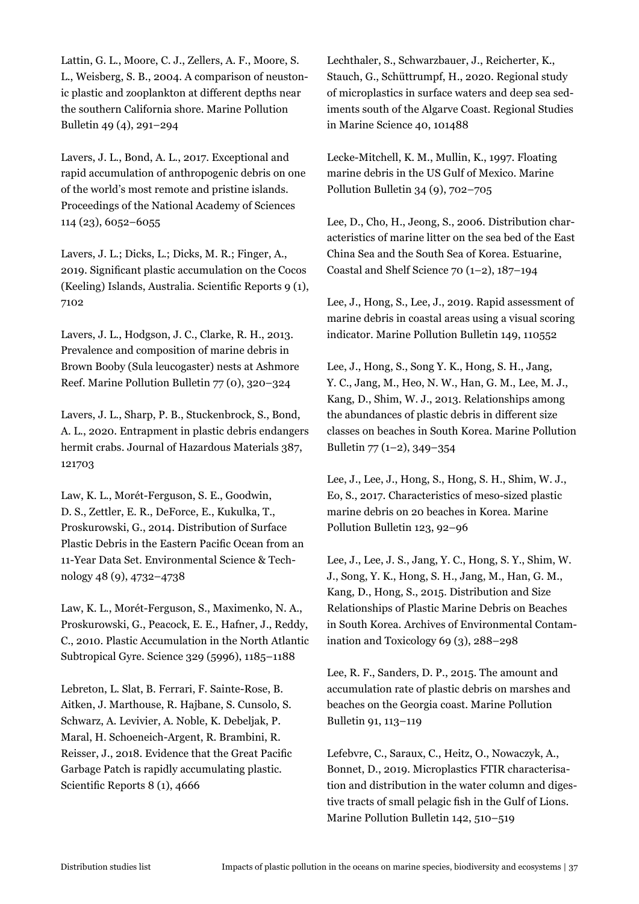Lattin, G. L., Moore, C. J., Zellers, A. F., Moore, S. L., Weisberg, S. B., 2004. A comparison of neustonic plastic and zooplankton at different depths near the southern California shore. Marine Pollution Bulletin 49 (4), 291–294

Lavers, J. L., Bond, A. L., 2017. Exceptional and rapid accumulation of anthropogenic debris on one of the world's most remote and pristine islands. Proceedings of the National Academy of Sciences 114 (23), 6052–6055

Lavers, J. L.; Dicks, L.; Dicks, M. R.; Finger, A., 2019. Significant plastic accumulation on the Cocos (Keeling) Islands, Australia. Scientific Reports 9 (1), 7102

Lavers, J. L., Hodgson, J. C., Clarke, R. H., 2013. Prevalence and composition of marine debris in Brown Booby (Sula leucogaster) nests at Ashmore Reef. Marine Pollution Bulletin 77 (0), 320–324

Lavers, J. L., Sharp, P. B., Stuckenbrock, S., Bond, A. L., 2020. Entrapment in plastic debris endangers hermit crabs. Journal of Hazardous Materials 387, 121703

Law, K. L., Morét-Ferguson, S. E., Goodwin, D. S., Zettler, E. R., DeForce, E., Kukulka, T., Proskurowski, G., 2014. Distribution of Surface Plastic Debris in the Eastern Pacific Ocean from an 11-Year Data Set. Environmental Science & Technology 48 (9), 4732–4738

Law, K. L., Morét-Ferguson, S., Maximenko, N. A., Proskurowski, G., Peacock, E. E., Hafner, J., Reddy, C., 2010. Plastic Accumulation in the North Atlantic Subtropical Gyre. Science 329 (5996), 1185–1188

Lebreton, L. Slat, B. Ferrari, F. Sainte-Rose, B. Aitken, J. Marthouse, R. Hajbane, S. Cunsolo, S. Schwarz, A. Levivier, A. Noble, K. Debeljak, P. Maral, H. Schoeneich-Argent, R. Brambini, R. Reisser, J., 2018. Evidence that the Great Pacific Garbage Patch is rapidly accumulating plastic. Scientific Reports 8 (1), 4666

Lechthaler, S., Schwarzbauer, J., Reicherter, K., Stauch, G., Schüttrumpf, H., 2020. Regional study of microplastics in surface waters and deep sea sediments south of the Algarve Coast. Regional Studies in Marine Science 40, 101488

Lecke-Mitchell, K. M., Mullin, K., 1997. Floating marine debris in the US Gulf of Mexico. Marine Pollution Bulletin 34 (9), 702–705

Lee, D., Cho, H., Jeong, S., 2006. Distribution characteristics of marine litter on the sea bed of the East China Sea and the South Sea of Korea. Estuarine, Coastal and Shelf Science 70 (1–2), 187–194

Lee, J., Hong, S., Lee, J., 2019. Rapid assessment of marine debris in coastal areas using a visual scoring indicator. Marine Pollution Bulletin 149, 110552

Lee, J., Hong, S., Song Y. K., Hong, S. H., Jang, Y. C., Jang, M., Heo, N. W., Han, G. M., Lee, M. J., Kang, D., Shim, W. J., 2013. Relationships among the abundances of plastic debris in different size classes on beaches in South Korea. Marine Pollution Bulletin 77 (1–2), 349–354

Lee, J., Lee, J., Hong, S., Hong, S. H., Shim, W. J., Eo, S., 2017. Characteristics of meso-sized plastic marine debris on 20 beaches in Korea. Marine Pollution Bulletin 123, 92–96

Lee, J., Lee, J. S., Jang, Y. C., Hong, S. Y., Shim, W. J., Song, Y. K., Hong, S. H., Jang, M., Han, G. M., Kang, D., Hong, S., 2015. Distribution and Size Relationships of Plastic Marine Debris on Beaches in South Korea. Archives of Environmental Contamination and Toxicology 69 (3), 288–298

Lee, R. F., Sanders, D. P., 2015. The amount and accumulation rate of plastic debris on marshes and beaches on the Georgia coast. Marine Pollution Bulletin 91, 113–119

Lefebvre, C., Saraux, C., Heitz, O., Nowaczyk, A., Bonnet, D., 2019. Microplastics FTIR characterisation and distribution in the water column and digestive tracts of small pelagic fish in the Gulf of Lions. Marine Pollution Bulletin 142, 510–519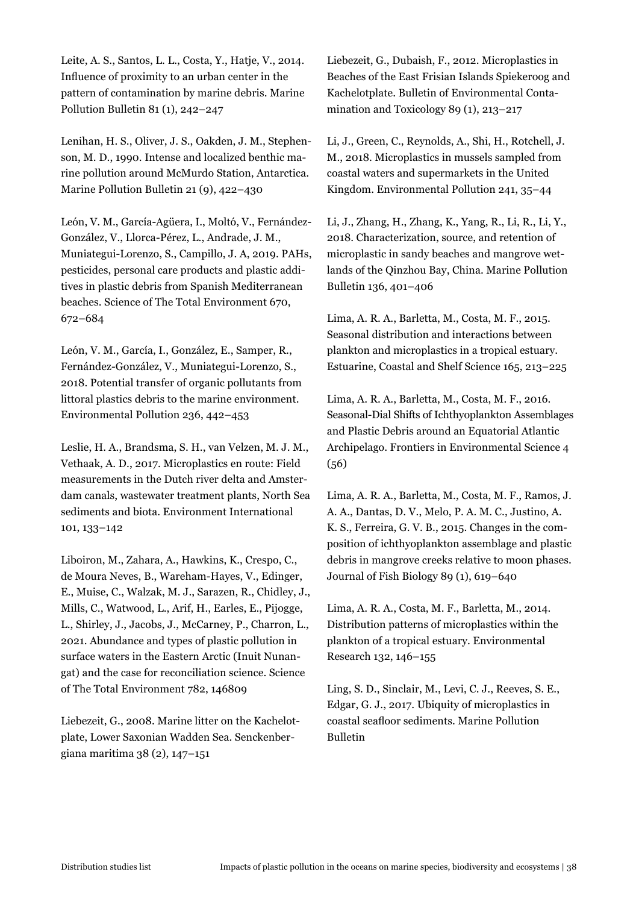Leite, A. S., Santos, L. L., Costa, Y., Hatje, V., 2014. Influence of proximity to an urban center in the pattern of contamination by marine debris. Marine Pollution Bulletin 81 (1), 242–247

Lenihan, H. S., Oliver, J. S., Oakden, J. M., Stephenson, M. D., 1990. Intense and localized benthic marine pollution around McMurdo Station, Antarctica. Marine Pollution Bulletin 21 (9), 422–430

León, V. M., García-Agüera, I., Moltó, V., Fernández-González, V., Llorca-Pérez, L., Andrade, J. M., Muniategui-Lorenzo, S., Campillo, J. A, 2019. PAHs, pesticides, personal care products and plastic additives in plastic debris from Spanish Mediterranean beaches. Science of The Total Environment 670, 672–684

León, V. M., García, I., González, E., Samper, R., Fernández-González, V., Muniategui-Lorenzo, S., 2018. Potential transfer of organic pollutants from littoral plastics debris to the marine environment. Environmental Pollution 236, 442–453

Leslie, H. A., Brandsma, S. H., van Velzen, M. J. M., Vethaak, A. D., 2017. Microplastics en route: Field measurements in the Dutch river delta and Amsterdam canals, wastewater treatment plants, North Sea sediments and biota. Environment International 101, 133–142

Liboiron, M., Zahara, A., Hawkins, K., Crespo, C., de Moura Neves, B., Wareham-Hayes, V., Edinger, E., Muise, C., Walzak, M. J., Sarazen, R., Chidley, J., Mills, C., Watwood, L., Arif, H., Earles, E., Pijogge, L., Shirley, J., Jacobs, J., McCarney, P., Charron, L., 2021. Abundance and types of plastic pollution in surface waters in the Eastern Arctic (Inuit Nunangat) and the case for reconciliation science. Science of The Total Environment 782, 146809

Liebezeit, G., 2008. Marine litter on the Kachelotplate, Lower Saxonian Wadden Sea. Senckenbergiana maritima 38 (2), 147–151

Liebezeit, G., Dubaish, F., 2012. Microplastics in Beaches of the East Frisian Islands Spiekeroog and Kachelotplate. Bulletin of Environmental Contamination and Toxicology 89 (1), 213–217

Li, J., Green, C., Reynolds, A., Shi, H., Rotchell, J. M., 2018. Microplastics in mussels sampled from coastal waters and supermarkets in the United Kingdom. Environmental Pollution 241, 35–44

Li, J., Zhang, H., Zhang, K., Yang, R., Li, R., Li, Y., 2018. Characterization, source, and retention of microplastic in sandy beaches and mangrove wetlands of the Qinzhou Bay, China. Marine Pollution Bulletin 136, 401–406

Lima, A. R. A., Barletta, M., Costa, M. F., 2015. Seasonal distribution and interactions between plankton and microplastics in a tropical estuary. Estuarine, Coastal and Shelf Science 165, 213–225

Lima, A. R. A., Barletta, M., Costa, M. F., 2016. Seasonal-Dial Shifts of Ichthyoplankton Assemblages and Plastic Debris around an Equatorial Atlantic Archipelago. Frontiers in Environmental Science 4 (56)

Lima, A. R. A., Barletta, M., Costa, M. F., Ramos, J. A. A., Dantas, D. V., Melo, P. A. M. C., Justino, A. K. S., Ferreira, G. V. B., 2015. Changes in the composition of ichthyoplankton assemblage and plastic debris in mangrove creeks relative to moon phases. Journal of Fish Biology 89 (1), 619–640

Lima, A. R. A., Costa, M. F., Barletta, M., 2014. Distribution patterns of microplastics within the plankton of a tropical estuary. Environmental Research 132, 146–155

Ling, S. D., Sinclair, M., Levi, C. J., Reeves, S. E., Edgar, G. J., 2017. Ubiquity of microplastics in coastal seafloor sediments. Marine Pollution Bulletin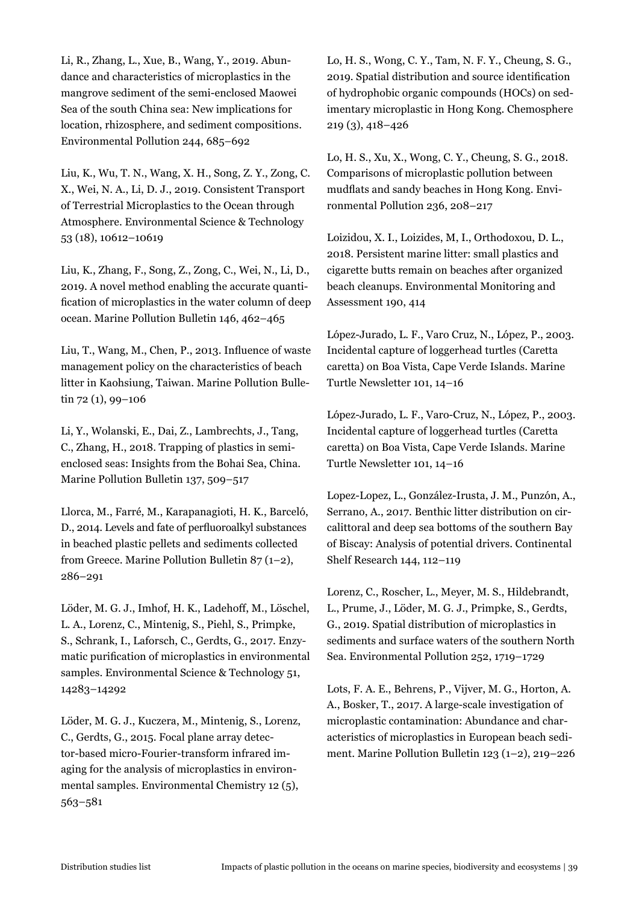Li, R., Zhang, L., Xue, B., Wang, Y., 2019. Abundance and characteristics of microplastics in the mangrove sediment of the semi-enclosed Maowei Sea of the south China sea: New implications for location, rhizosphere, and sediment compositions. Environmental Pollution 244, 685–692

Liu, K., Wu, T. N., Wang, X. H., Song, Z. Y., Zong, C. X., Wei, N. A., Li, D. J., 2019. Consistent Transport of Terrestrial Microplastics to the Ocean through Atmosphere. Environmental Science & Technology 53 (18), 10612–10619

Liu, K., Zhang, F., Song, Z., Zong, C., Wei, N., Li, D., 2019. A novel method enabling the accurate quantification of microplastics in the water column of deep ocean. Marine Pollution Bulletin 146, 462–465

Liu, T., Wang, M., Chen, P., 2013. Influence of waste management policy on the characteristics of beach litter in Kaohsiung, Taiwan. Marine Pollution Bulletin 72 (1), 99–106

Li, Y., Wolanski, E., Dai, Z., Lambrechts, J., Tang, C., Zhang, H., 2018. Trapping of plastics in semienclosed seas: Insights from the Bohai Sea, China. Marine Pollution Bulletin 137, 509–517

Llorca, M., Farré, M., Karapanagioti, H. K., Barceló, D., 2014. Levels and fate of perfluoroalkyl substances in beached plastic pellets and sediments collected from Greece. Marine Pollution Bulletin 87 (1–2), 286–291

Löder, M. G. J., Imhof, H. K., Ladehoff, M., Löschel, L. A., Lorenz, C., Mintenig, S., Piehl, S., Primpke, S., Schrank, I., Laforsch, C., Gerdts, G., 2017. Enzymatic purification of microplastics in environmental samples. Environmental Science & Technology 51, 14283–14292

Löder, M. G. J., Kuczera, M., Mintenig, S., Lorenz, C., Gerdts, G., 2015. Focal plane array detector-based micro-Fourier-transform infrared imaging for the analysis of microplastics in environmental samples. Environmental Chemistry 12 (5), 563–581

Lo, H. S., Wong, C. Y., Tam, N. F. Y., Cheung, S. G., 2019. Spatial distribution and source identification of hydrophobic organic compounds (HOCs) on sedimentary microplastic in Hong Kong. Chemosphere 219 (3), 418–426

Lo, H. S., Xu, X., Wong, C. Y., Cheung, S. G., 2018. Comparisons of microplastic pollution between mudflats and sandy beaches in Hong Kong. Environmental Pollution 236, 208–217

Loizidou, X. I., Loizides, M, I., Orthodoxou, D. L., 2018. Persistent marine litter: small plastics and cigarette butts remain on beaches after organized beach cleanups. Environmental Monitoring and Assessment 190, 414

López-Jurado, L. F., Varo Cruz, N., López, P., 2003. Incidental capture of loggerhead turtles (Caretta caretta) on Boa Vista, Cape Verde Islands. Marine Turtle Newsletter 101, 14–16

López-Jurado, L. F., Varo-Cruz, N., López, P., 2003. Incidental capture of loggerhead turtles (Caretta caretta) on Boa Vista, Cape Verde Islands. Marine Turtle Newsletter 101, 14–16

Lopez-Lopez, L., González-Irusta, J. M., Punzón, A., Serrano, A., 2017. Benthic litter distribution on circalittoral and deep sea bottoms of the southern Bay of Biscay: Analysis of potential drivers. Continental Shelf Research 144, 112–119

Lorenz, C., Roscher, L., Meyer, M. S., Hildebrandt, L., Prume, J., Löder, M. G. J., Primpke, S., Gerdts, G., 2019. Spatial distribution of microplastics in sediments and surface waters of the southern North Sea. Environmental Pollution 252, 1719–1729

Lots, F. A. E., Behrens, P., Vijver, M. G., Horton, A. A., Bosker, T., 2017. A large-scale investigation of microplastic contamination: Abundance and characteristics of microplastics in European beach sediment. Marine Pollution Bulletin 123 (1–2), 219–226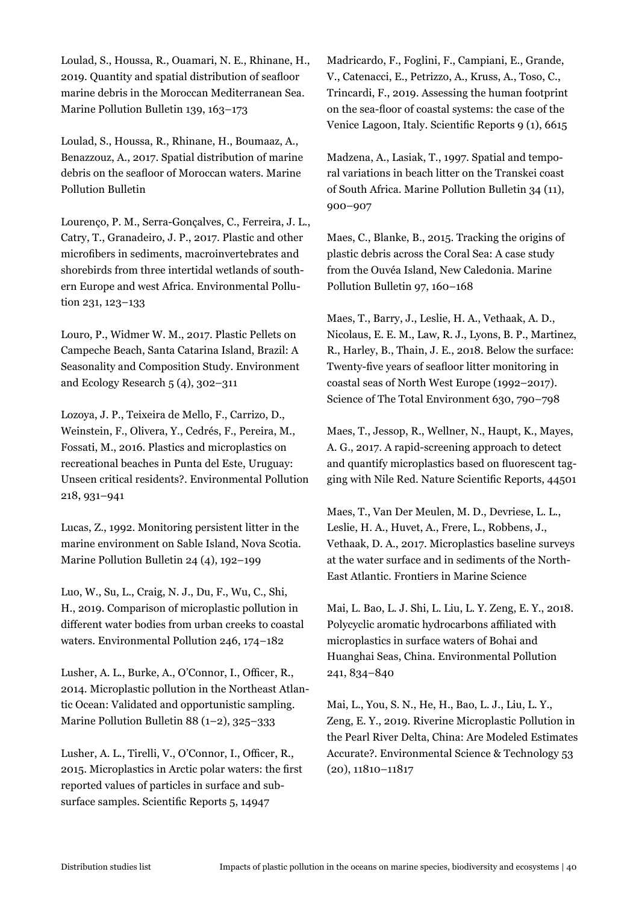Loulad, S., Houssa, R., Ouamari, N. E., Rhinane, H., 2019. Quantity and spatial distribution of seafloor marine debris in the Moroccan Mediterranean Sea. Marine Pollution Bulletin 139, 163–173

Loulad, S., Houssa, R., Rhinane, H., Boumaaz, A., Benazzouz, A., 2017. Spatial distribution of marine debris on the seafloor of Moroccan waters. Marine Pollution Bulletin

Lourenço, P. M., Serra-Gonçalves, C., Ferreira, J. L., Catry, T., Granadeiro, J. P., 2017. Plastic and other microfibers in sediments, macroinvertebrates and shorebirds from three intertidal wetlands of southern Europe and west Africa. Environmental Pollution 231, 123–133

Louro, P., Widmer W. M., 2017. Plastic Pellets on Campeche Beach, Santa Catarina Island, Brazil: A Seasonality and Composition Study. Environment and Ecology Research 5 (4), 302–311

Lozoya, J. P., Teixeira de Mello, F., Carrizo, D., Weinstein, F., Olivera, Y., Cedrés, F., Pereira, M., Fossati, M., 2016. Plastics and microplastics on recreational beaches in Punta del Este, Uruguay: Unseen critical residents?. Environmental Pollution 218, 931–941

Lucas, Z., 1992. Monitoring persistent litter in the marine environment on Sable Island, Nova Scotia. Marine Pollution Bulletin 24 (4), 192–199

Luo, W., Su, L., Craig, N. J., Du, F., Wu, C., Shi, H., 2019. Comparison of microplastic pollution in different water bodies from urban creeks to coastal waters. Environmental Pollution 246, 174–182

Lusher, A. L., Burke, A., O'Connor, I., Officer, R., 2014. Microplastic pollution in the Northeast Atlantic Ocean: Validated and opportunistic sampling. Marine Pollution Bulletin 88 (1–2), 325–333

Lusher, A. L., Tirelli, V., O'Connor, I., Officer, R., 2015. Microplastics in Arctic polar waters: the first reported values of particles in surface and subsurface samples. Scientific Reports 5, 14947

Madricardo, F., Foglini, F., Campiani, E., Grande, V., Catenacci, E., Petrizzo, A., Kruss, A., Toso, C., Trincardi, F., 2019. Assessing the human footprint on the sea-floor of coastal systems: the case of the Venice Lagoon, Italy. Scientific Reports 9 (1), 6615

Madzena, A., Lasiak, T., 1997. Spatial and temporal variations in beach litter on the Transkei coast of South Africa. Marine Pollution Bulletin 34 (11), 900–907

Maes, C., Blanke, B., 2015. Tracking the origins of plastic debris across the Coral Sea: A case study from the Ouvéa Island, New Caledonia. Marine Pollution Bulletin 97, 160–168

Maes, T., Barry, J., Leslie, H. A., Vethaak, A. D., Nicolaus, E. E. M., Law, R. J., Lyons, B. P., Martinez, R., Harley, B., Thain, J. E., 2018. Below the surface: Twenty-five years of seafloor litter monitoring in coastal seas of North West Europe (1992–2017). Science of The Total Environment 630, 790–798

Maes, T., Jessop, R., Wellner, N., Haupt, K., Mayes, A. G., 2017. A rapid-screening approach to detect and quantify microplastics based on fluorescent tagging with Nile Red. Nature Scientific Reports, 44501

Maes, T., Van Der Meulen, M. D., Devriese, L. L., Leslie, H. A., Huvet, A., Frere, L., Robbens, J., Vethaak, D. A., 2017. Microplastics baseline surveys at the water surface and in sediments of the North-East Atlantic. Frontiers in Marine Science

Mai, L. Bao, L. J. Shi, L. Liu, L. Y. Zeng, E. Y., 2018. Polycyclic aromatic hydrocarbons affiliated with microplastics in surface waters of Bohai and Huanghai Seas, China. Environmental Pollution 241, 834–840

Mai, L., You, S. N., He, H., Bao, L. J., Liu, L. Y., Zeng, E. Y., 2019. Riverine Microplastic Pollution in the Pearl River Delta, China: Are Modeled Estimates Accurate?. Environmental Science & Technology 53 (20), 11810–11817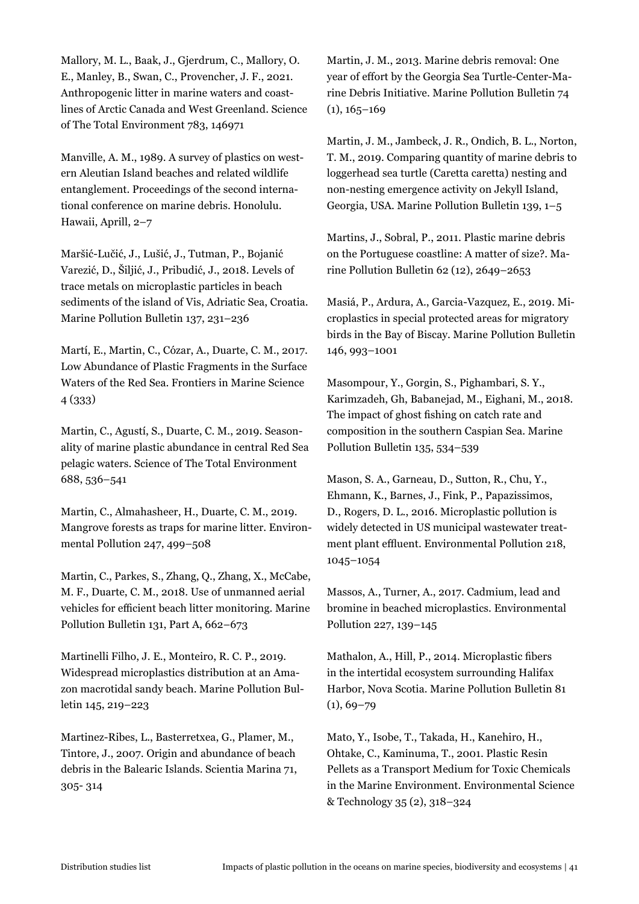Mallory, M. L., Baak, J., Gjerdrum, C., Mallory, O. E., Manley, B., Swan, C., Provencher, J. F., 2021. Anthropogenic litter in marine waters and coastlines of Arctic Canada and West Greenland. Science of The Total Environment 783, 146971

Manville, A. M., 1989. A survey of plastics on western Aleutian Island beaches and related wildlife entanglement. Proceedings of the second international conference on marine debris. Honolulu. Hawaii, Aprill, 2–7

Maršić-Lučić, J., Lušić, J., Tutman, P., Bojanić Varezić, D., Šiljić, J., Pribudić, J., 2018. Levels of trace metals on microplastic particles in beach sediments of the island of Vis, Adriatic Sea, Croatia. Marine Pollution Bulletin 137, 231–236

Martí, E., Martin, C., Cózar, A., Duarte, C. M., 2017. Low Abundance of Plastic Fragments in the Surface Waters of the Red Sea. Frontiers in Marine Science 4 (333)

Martin, C., Agustí, S., Duarte, C. M., 2019. Seasonality of marine plastic abundance in central Red Sea pelagic waters. Science of The Total Environment 688, 536–541

Martin, C., Almahasheer, H., Duarte, C. M., 2019. Mangrove forests as traps for marine litter. Environmental Pollution 247, 499–508

Martin, C., Parkes, S., Zhang, Q., Zhang, X., McCabe, M. F., Duarte, C. M., 2018. Use of unmanned aerial vehicles for efficient beach litter monitoring. Marine Pollution Bulletin 131, Part A, 662–673

Martinelli Filho, J. E., Monteiro, R. C. P., 2019. Widespread microplastics distribution at an Amazon macrotidal sandy beach. Marine Pollution Bulletin 145, 219–223

Martinez-Ribes, L., Basterretxea, G., Plamer, M., Tintore, J., 2007. Origin and abundance of beach debris in the Balearic Islands. Scientia Marina 71, 305- 314

Martin, J. M., 2013. Marine debris removal: One year of effort by the Georgia Sea Turtle-Center-Marine Debris Initiative. Marine Pollution Bulletin 74  $(1), 165 - 169$ 

Martin, J. M., Jambeck, J. R., Ondich, B. L., Norton, T. M., 2019. Comparing quantity of marine debris to loggerhead sea turtle (Caretta caretta) nesting and non-nesting emergence activity on Jekyll Island, Georgia, USA. Marine Pollution Bulletin 139, 1–5

Martins, J., Sobral, P., 2011. Plastic marine debris on the Portuguese coastline: A matter of size?. Marine Pollution Bulletin 62 (12), 2649–2653

Masiá, P., Ardura, A., Garcia-Vazquez, E., 2019. Microplastics in special protected areas for migratory birds in the Bay of Biscay. Marine Pollution Bulletin 146, 993–1001

Masompour, Y., Gorgin, S., Pighambari, S. Y., Karimzadeh, Gh, Babanejad, M., Eighani, M., 2018. The impact of ghost fishing on catch rate and composition in the southern Caspian Sea. Marine Pollution Bulletin 135, 534–539

Mason, S. A., Garneau, D., Sutton, R., Chu, Y., Ehmann, K., Barnes, J., Fink, P., Papazissimos, D., Rogers, D. L., 2016. Microplastic pollution is widely detected in US municipal wastewater treatment plant effluent. Environmental Pollution 218, 1045–1054

Massos, A., Turner, A., 2017. Cadmium, lead and bromine in beached microplastics. Environmental Pollution 227, 139–145

Mathalon, A., Hill, P., 2014. Microplastic fibers in the intertidal ecosystem surrounding Halifax Harbor, Nova Scotia. Marine Pollution Bulletin 81  $(1), 69 - 79$ 

Mato, Y., Isobe, T., Takada, H., Kanehiro, H., Ohtake, C., Kaminuma, T., 2001. Plastic Resin Pellets as a Transport Medium for Toxic Chemicals in the Marine Environment. Environmental Science & Technology 35 (2), 318–324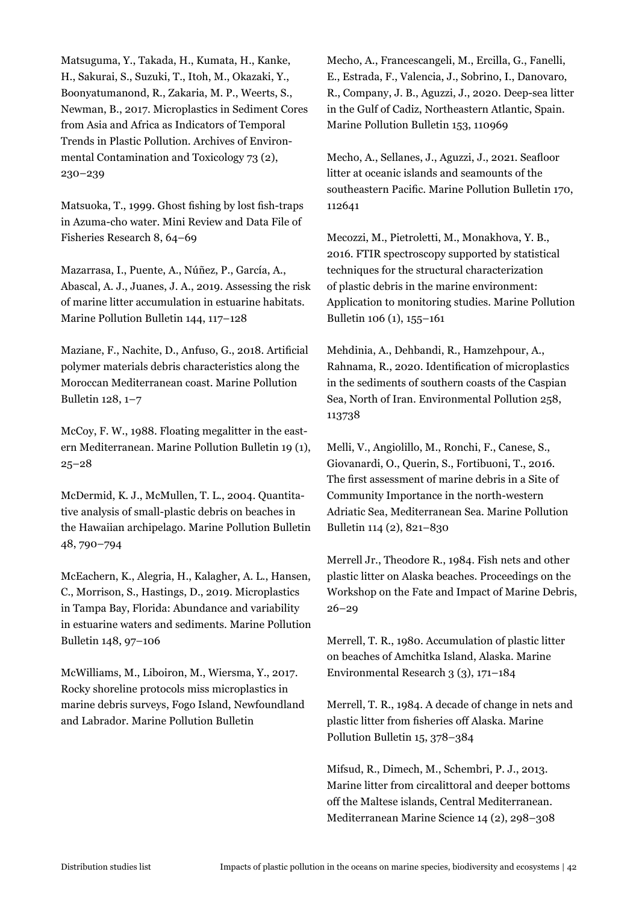Matsuguma, Y., Takada, H., Kumata, H., Kanke, H., Sakurai, S., Suzuki, T., Itoh, M., Okazaki, Y., Boonyatumanond, R., Zakaria, M. P., Weerts, S., Newman, B., 2017. Microplastics in Sediment Cores from Asia and Africa as Indicators of Temporal Trends in Plastic Pollution. Archives of Environmental Contamination and Toxicology 73 (2), 230–239

Matsuoka, T., 1999. Ghost fishing by lost fish-traps in Azuma-cho water. Mini Review and Data File of Fisheries Research 8, 64–69

Mazarrasa, I., Puente, A., Núñez, P., García, A., Abascal, A. J., Juanes, J. A., 2019. Assessing the risk of marine litter accumulation in estuarine habitats. Marine Pollution Bulletin 144, 117–128

Maziane, F., Nachite, D., Anfuso, G., 2018. Artificial polymer materials debris characteristics along the Moroccan Mediterranean coast. Marine Pollution Bulletin 128, 1–7

McCoy, F. W., 1988. Floating megalitter in the eastern Mediterranean. Marine Pollution Bulletin 19 (1), 25–28

McDermid, K. J., McMullen, T. L., 2004. Quantitative analysis of small-plastic debris on beaches in the Hawaiian archipelago. Marine Pollution Bulletin 48, 790–794

McEachern, K., Alegria, H., Kalagher, A. L., Hansen, C., Morrison, S., Hastings, D., 2019. Microplastics in Tampa Bay, Florida: Abundance and variability in estuarine waters and sediments. Marine Pollution Bulletin 148, 97–106

McWilliams, M., Liboiron, M., Wiersma, Y., 2017. Rocky shoreline protocols miss microplastics in marine debris surveys, Fogo Island, Newfoundland and Labrador. Marine Pollution Bulletin

Mecho, A., Francescangeli, M., Ercilla, G., Fanelli, E., Estrada, F., Valencia, J., Sobrino, I., Danovaro, R., Company, J. B., Aguzzi, J., 2020. Deep-sea litter in the Gulf of Cadiz, Northeastern Atlantic, Spain. Marine Pollution Bulletin 153, 110969

Mecho, A., Sellanes, J., Aguzzi, J., 2021. Seafloor litter at oceanic islands and seamounts of the southeastern Pacific. Marine Pollution Bulletin 170, 112641

Mecozzi, M., Pietroletti, M., Monakhova, Y. B., 2016. FTIR spectroscopy supported by statistical techniques for the structural characterization of plastic debris in the marine environment: Application to monitoring studies. Marine Pollution Bulletin 106 (1), 155–161

Mehdinia, A., Dehbandi, R., Hamzehpour, A., Rahnama, R., 2020. Identification of microplastics in the sediments of southern coasts of the Caspian Sea, North of Iran. Environmental Pollution 258, 113738

Melli, V., Angiolillo, M., Ronchi, F., Canese, S., Giovanardi, O., Querin, S., Fortibuoni, T., 2016. The first assessment of marine debris in a Site of Community Importance in the north-western Adriatic Sea, Mediterranean Sea. Marine Pollution Bulletin 114 (2), 821–830

Merrell Jr., Theodore R., 1984. Fish nets and other plastic litter on Alaska beaches. Proceedings on the Workshop on the Fate and Impact of Marine Debris, 26–29

Merrell, T. R., 1980. Accumulation of plastic litter on beaches of Amchitka Island, Alaska. Marine Environmental Research 3 (3), 171–184

Merrell, T. R., 1984. A decade of change in nets and plastic litter from fisheries off Alaska. Marine Pollution Bulletin 15, 378–384

Mifsud, R., Dimech, M., Schembri, P. J., 2013. Marine litter from circalittoral and deeper bottoms off the Maltese islands, Central Mediterranean. Mediterranean Marine Science 14 (2), 298–308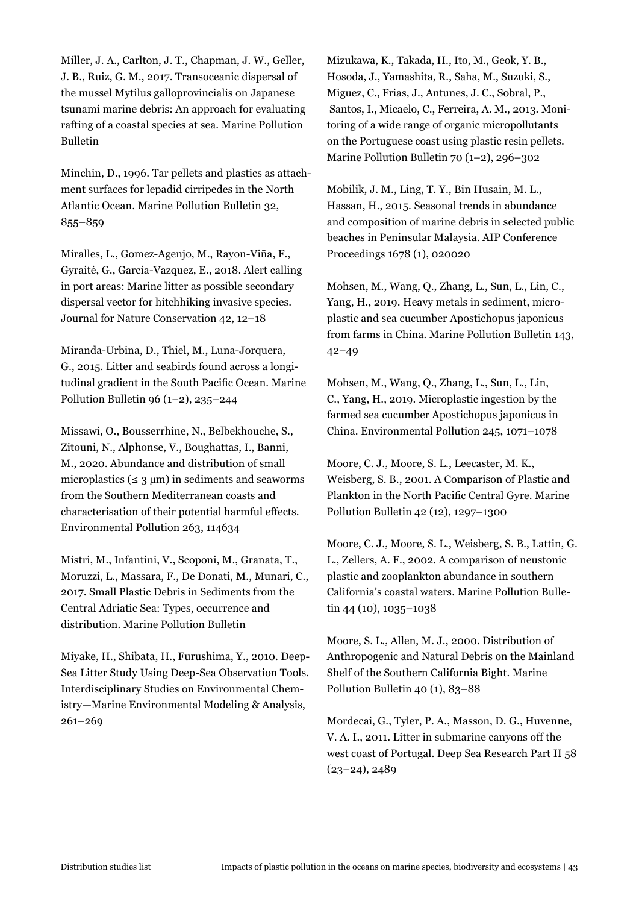Miller, J. A., Carlton, J. T., Chapman, J. W., Geller, J. B., Ruiz, G. M., 2017. Transoceanic dispersal of the mussel Mytilus galloprovincialis on Japanese tsunami marine debris: An approach for evaluating rafting of a coastal species at sea. Marine Pollution Bulletin

Minchin, D., 1996. Tar pellets and plastics as attachment surfaces for lepadid cirripedes in the North Atlantic Ocean. Marine Pollution Bulletin 32, 855–859

Miralles, L., Gomez-Agenjo, M., Rayon-Viña, F., Gyraitė, G., Garcia-Vazquez, E., 2018. Alert calling in port areas: Marine litter as possible secondary dispersal vector for hitchhiking invasive species. Journal for Nature Conservation 42, 12–18

Miranda-Urbina, D., Thiel, M., Luna-Jorquera, G., 2015. Litter and seabirds found across a longitudinal gradient in the South Pacific Ocean. Marine Pollution Bulletin 96  $(1-2)$ , 235–244

Missawi, O., Bousserrhine, N., Belbekhouche, S., Zitouni, N., Alphonse, V., Boughattas, I., Banni, M., 2020. Abundance and distribution of small microplastics ( $\leq 3 \text{ µm}$ ) in sediments and seaworms from the Southern Mediterranean coasts and characterisation of their potential harmful effects. Environmental Pollution 263, 114634

Mistri, M., Infantini, V., Scoponi, M., Granata, T., Moruzzi, L., Massara, F., De Donati, M., Munari, C., 2017. Small Plastic Debris in Sediments from the Central Adriatic Sea: Types, occurrence and distribution. Marine Pollution Bulletin

Miyake, H., Shibata, H., Furushima, Y., 2010. Deep-Sea Litter Study Using Deep-Sea Observation Tools. Interdisciplinary Studies on Environmental Chemistry—Marine Environmental Modeling & Analysis, 261–269

Mizukawa, K., Takada, H., Ito, M., Geok, Y. B., Hosoda, J., Yamashita, R., Saha, M., Suzuki, S., Miguez, C., Frias, J., Antunes, J. C., Sobral, P., Santos, I., Micaelo, C., Ferreira, A. M., 2013. Monitoring of a wide range of organic micropollutants on the Portuguese coast using plastic resin pellets. Marine Pollution Bulletin 70 (1–2), 296–302

Mobilik, J. M., Ling, T. Y., Bin Husain, M. L., Hassan, H., 2015. Seasonal trends in abundance and composition of marine debris in selected public beaches in Peninsular Malaysia. AIP Conference Proceedings 1678 (1), 020020

Mohsen, M., Wang, Q., Zhang, L., Sun, L., Lin, C., Yang, H., 2019. Heavy metals in sediment, microplastic and sea cucumber Apostichopus japonicus from farms in China. Marine Pollution Bulletin 143, 42–49

Mohsen, M., Wang, Q., Zhang, L., Sun, L., Lin, C., Yang, H., 2019. Microplastic ingestion by the farmed sea cucumber Apostichopus japonicus in China. Environmental Pollution 245, 1071–1078

Moore, C. J., Moore, S. L., Leecaster, M. K., Weisberg, S. B., 2001. A Comparison of Plastic and Plankton in the North Pacific Central Gyre. Marine Pollution Bulletin 42 (12), 1297–1300

Moore, C. J., Moore, S. L., Weisberg, S. B., Lattin, G. L., Zellers, A. F., 2002. A comparison of neustonic plastic and zooplankton abundance in southern California's coastal waters. Marine Pollution Bulletin 44 (10), 1035-1038

Moore, S. L., Allen, M. J., 2000. Distribution of Anthropogenic and Natural Debris on the Mainland Shelf of the Southern California Bight. Marine Pollution Bulletin 40 (1), 83–88

Mordecai, G., Tyler, P. A., Masson, D. G., Huvenne, V. A. I., 2011. Litter in submarine canyons off the west coast of Portugal. Deep Sea Research Part II 58 (23–24), 2489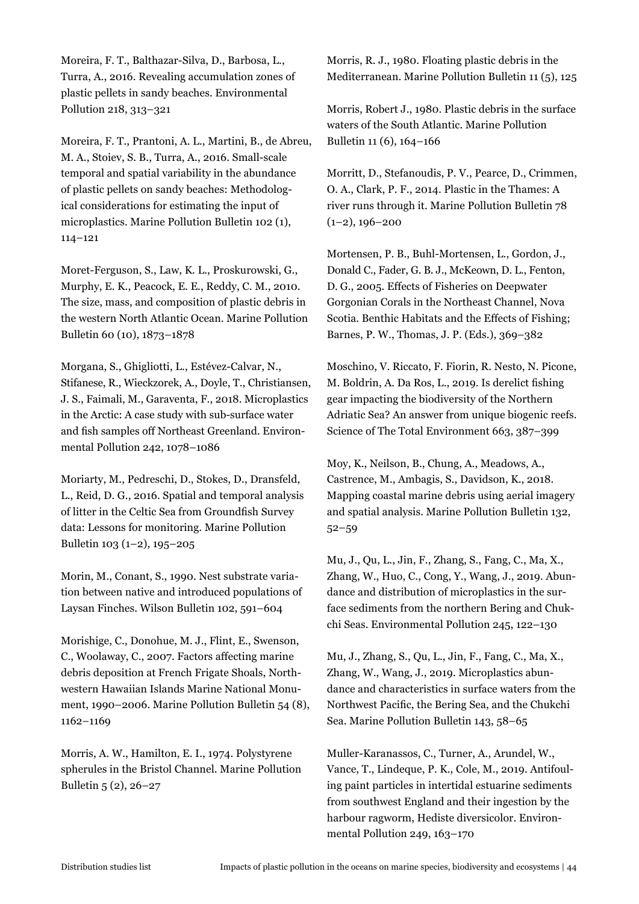Moreira, F. T., Balthazar-Silva, D., Barbosa, L., Turra, A., 2016. Revealing accumulation zones of plastic pellets in sandy beaches. Environmental Pollution 218, 313–321

Moreira, F. T., Prantoni, A. L., Martini, B., de Abreu, M. A., Stoiev, S. B., Turra, A., 2016. Small-scale temporal and spatial variability in the abundance of plastic pellets on sandy beaches: Methodological considerations for estimating the input of microplastics. Marine Pollution Bulletin 102 (1), 114–121

Moret-Ferguson, S., Law, K. L., Proskurowski, G., Murphy, E. K., Peacock, E. E., Reddy, C. M., 2010. The size, mass, and composition of plastic debris in the western North Atlantic Ocean. Marine Pollution Bulletin 60 (10), 1873–1878

Morgana, S., Ghigliotti, L., Estévez-Calvar, N., Stifanese, R., Wieckzorek, A., Doyle, T., Christiansen, J. S., Faimali, M., Garaventa, F., 2018. Microplastics in the Arctic: A case study with sub-surface water and fish samples off Northeast Greenland. Environmental Pollution 242, 1078–1086

Moriarty, M., Pedreschi, D., Stokes, D., Dransfeld, L., Reid, D. G., 2016. Spatial and temporal analysis of litter in the Celtic Sea from Groundfish Survey data: Lessons for monitoring. Marine Pollution Bulletin 103 (1–2), 195–205

Morin, M., Conant, S., 1990. Nest substrate variation between native and introduced populations of Laysan Finches. Wilson Bulletin 102, 591–604

Morishige, C., Donohue, M. J., Flint, E., Swenson, C., Woolaway, C., 2007. Factors affecting marine debris deposition at French Frigate Shoals, Northwestern Hawaiian Islands Marine National Monument, 1990–2006. Marine Pollution Bulletin 54 (8), 1162–1169

Morris, A. W., Hamilton, E. I., 1974. Polystyrene spherules in the Bristol Channel. Marine Pollution Bulletin 5 (2), 26–27

Morris, R. J., 1980. Floating plastic debris in the Mediterranean. Marine Pollution Bulletin 11 (5), 125

Morris, Robert J., 1980. Plastic debris in the surface waters of the South Atlantic. Marine Pollution Bulletin 11 (6), 164–166

Morritt, D., Stefanoudis, P. V., Pearce, D., Crimmen, O. A., Clark, P. F., 2014. Plastic in the Thames: A river runs through it. Marine Pollution Bulletin 78  $(1-2)$ , 196-200

Mortensen, P. B., Buhl-Mortensen, L., Gordon, J., Donald C., Fader, G. B. J., McKeown, D. L., Fenton, D. G., 2005. Effects of Fisheries on Deepwater Gorgonian Corals in the Northeast Channel, Nova Scotia. Benthic Habitats and the Effects of Fishing; Barnes, P. W., Thomas, J. P. (Eds.), 369–382

Moschino, V. Riccato, F. Fiorin, R. Nesto, N. Picone, M. Boldrin, A. Da Ros, L., 2019. Is derelict fishing gear impacting the biodiversity of the Northern Adriatic Sea? An answer from unique biogenic reefs. Science of The Total Environment 663, 387–399

Moy, K., Neilson, B., Chung, A., Meadows, A., Castrence, M., Ambagis, S., Davidson, K., 2018. Mapping coastal marine debris using aerial imagery and spatial analysis. Marine Pollution Bulletin 132, 52–59

Mu, J., Qu, L., Jin, F., Zhang, S., Fang, C., Ma, X., Zhang, W., Huo, C., Cong, Y., Wang, J., 2019. Abundance and distribution of microplastics in the surface sediments from the northern Bering and Chukchi Seas. Environmental Pollution 245, 122–130

Mu, J., Zhang, S., Qu, L., Jin, F., Fang, C., Ma, X., Zhang, W., Wang, J., 2019. Microplastics abundance and characteristics in surface waters from the Northwest Pacific, the Bering Sea, and the Chukchi Sea. Marine Pollution Bulletin 143, 58–65

Muller-Karanassos, C., Turner, A., Arundel, W., Vance, T., Lindeque, P. K., Cole, M., 2019. Antifouling paint particles in intertidal estuarine sediments from southwest England and their ingestion by the harbour ragworm, Hediste diversicolor. Environmental Pollution 249, 163–170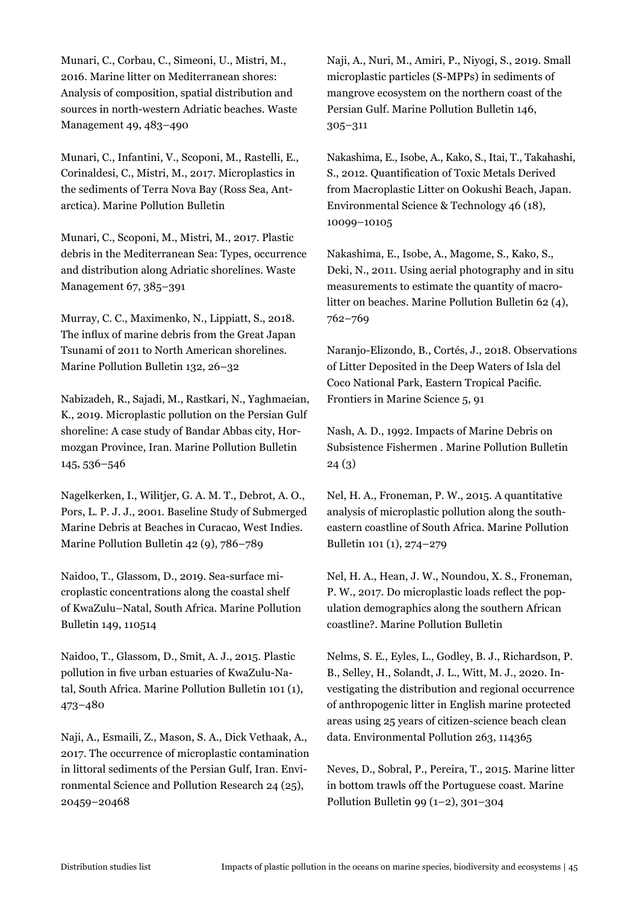Munari, C., Corbau, C., Simeoni, U., Mistri, M., 2016. Marine litter on Mediterranean shores: Analysis of composition, spatial distribution and sources in north-western Adriatic beaches. Waste Management 49, 483–490

Munari, C., Infantini, V., Scoponi, M., Rastelli, E., Corinaldesi, C., Mistri, M., 2017. Microplastics in the sediments of Terra Nova Bay (Ross Sea, Antarctica). Marine Pollution Bulletin

Munari, C., Scoponi, M., Mistri, M., 2017. Plastic debris in the Mediterranean Sea: Types, occurrence and distribution along Adriatic shorelines. Waste Management 67, 385–391

Murray, C. C., Maximenko, N., Lippiatt, S., 2018. The influx of marine debris from the Great Japan Tsunami of 2011 to North American shorelines. Marine Pollution Bulletin 132, 26–32

Nabizadeh, R., Sajadi, M., Rastkari, N., Yaghmaeian, K., 2019. Microplastic pollution on the Persian Gulf shoreline: A case study of Bandar Abbas city, Hormozgan Province, Iran. Marine Pollution Bulletin 145, 536–546

Nagelkerken, I., Wilitjer, G. A. M. T., Debrot, A. O., Pors, L. P. J. J., 2001. Baseline Study of Submerged Marine Debris at Beaches in Curacao, West Indies. Marine Pollution Bulletin 42 (9), 786–789

Naidoo, T., Glassom, D., 2019. Sea-surface microplastic concentrations along the coastal shelf of KwaZulu–Natal, South Africa. Marine Pollution Bulletin 149, 110514

Naidoo, T., Glassom, D., Smit, A. J., 2015. Plastic pollution in five urban estuaries of KwaZulu-Natal, South Africa. Marine Pollution Bulletin 101 (1), 473–480

Naji, A., Esmaili, Z., Mason, S. A., Dick Vethaak, A., 2017. The occurrence of microplastic contamination in littoral sediments of the Persian Gulf, Iran. Environmental Science and Pollution Research 24 (25), 20459–20468

Naji, A., Nuri, M., Amiri, P., Niyogi, S., 2019. Small microplastic particles (S-MPPs) in sediments of mangrove ecosystem on the northern coast of the Persian Gulf. Marine Pollution Bulletin 146, 305–311

Nakashima, E., Isobe, A., Kako, S., Itai, T., Takahashi, S., 2012. Quantification of Toxic Metals Derived from Macroplastic Litter on Ookushi Beach, Japan. Environmental Science & Technology 46 (18), 10099–10105

Nakashima, E., Isobe, A., Magome, S., Kako, S., Deki, N., 2011. Using aerial photography and in situ measurements to estimate the quantity of macrolitter on beaches. Marine Pollution Bulletin 62 (4), 762–769

Naranjo-Elizondo, B., Cortés, J., 2018. Observations of Litter Deposited in the Deep Waters of Isla del Coco National Park, Eastern Tropical Pacific. Frontiers in Marine Science 5, 91

Nash, A. D., 1992. Impacts of Marine Debris on Subsistence Fishermen . Marine Pollution Bulletin 24 (3)

Nel, H. A., Froneman, P. W., 2015. A quantitative analysis of microplastic pollution along the southeastern coastline of South Africa. Marine Pollution Bulletin 101 (1), 274–279

Nel, H. A., Hean, J. W., Noundou, X. S., Froneman, P. W., 2017. Do microplastic loads reflect the population demographics along the southern African coastline?. Marine Pollution Bulletin

Nelms, S. E., Eyles, L., Godley, B. J., Richardson, P. B., Selley, H., Solandt, J. L., Witt, M. J., 2020. Investigating the distribution and regional occurrence of anthropogenic litter in English marine protected areas using 25 years of citizen-science beach clean data. Environmental Pollution 263, 114365

Neves, D., Sobral, P., Pereira, T., 2015. Marine litter in bottom trawls off the Portuguese coast. Marine Pollution Bulletin 99  $(1-2)$ , 301–304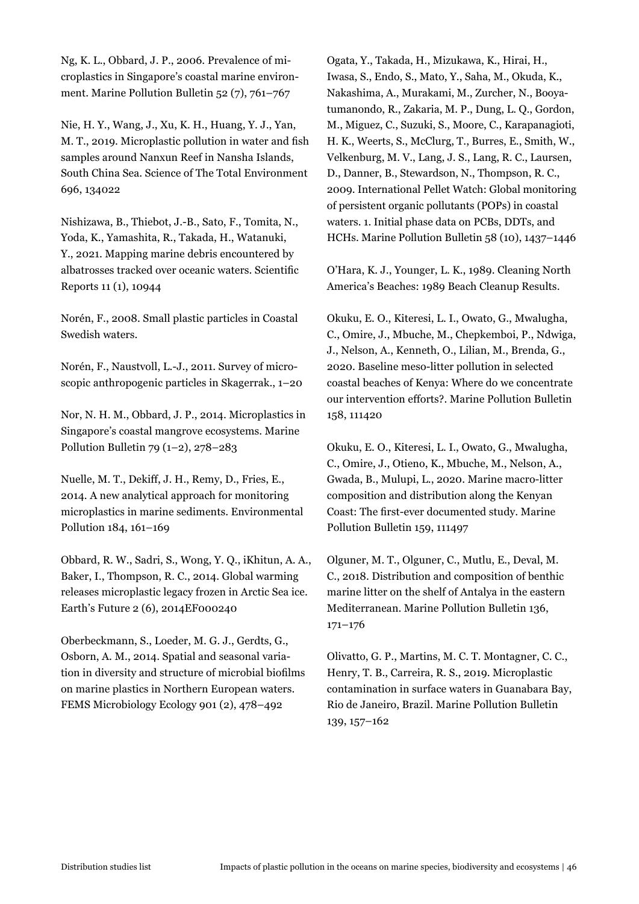Ng, K. L., Obbard, J. P., 2006. Prevalence of microplastics in Singapore's coastal marine environment. Marine Pollution Bulletin 52 (7), 761–767

Nie, H. Y., Wang, J., Xu, K. H., Huang, Y. J., Yan, M. T., 2019. Microplastic pollution in water and fish samples around Nanxun Reef in Nansha Islands, South China Sea. Science of The Total Environment 696, 134022

Nishizawa, B., Thiebot, J.-B., Sato, F., Tomita, N., Yoda, K., Yamashita, R., Takada, H., Watanuki, Y., 2021. Mapping marine debris encountered by albatrosses tracked over oceanic waters. Scientific Reports 11 (1), 10944

Norén, F., 2008. Small plastic particles in Coastal Swedish waters.

Norén, F., Naustvoll, L.-J., 2011. Survey of microscopic anthropogenic particles in Skagerrak., 1–20

Nor, N. H. M., Obbard, J. P., 2014. Microplastics in Singapore's coastal mangrove ecosystems. Marine Pollution Bulletin 79  $(1-2)$ , 278–283

Nuelle, M. T., Dekiff, J. H., Remy, D., Fries, E., 2014. A new analytical approach for monitoring microplastics in marine sediments. Environmental Pollution 184, 161–169

Obbard, R. W., Sadri, S., Wong, Y. Q., iKhitun, A. A., Baker, I., Thompson, R. C., 2014. Global warming releases microplastic legacy frozen in Arctic Sea ice. Earth's Future 2 (6), 2014EF000240

Oberbeckmann, S., Loeder, M. G. J., Gerdts, G., Osborn, A. M., 2014. Spatial and seasonal variation in diversity and structure of microbial biofilms on marine plastics in Northern European waters. FEMS Microbiology Ecology 901 (2), 478–492

Ogata, Y., Takada, H., Mizukawa, K., Hirai, H., Iwasa, S., Endo, S., Mato, Y., Saha, M., Okuda, K., Nakashima, A., Murakami, M., Zurcher, N., Booyatumanondo, R., Zakaria, M. P., Dung, L. Q., Gordon, M., Miguez, C., Suzuki, S., Moore, C., Karapanagioti, H. K., Weerts, S., McClurg, T., Burres, E., Smith, W., Velkenburg, M. V., Lang, J. S., Lang, R. C., Laursen, D., Danner, B., Stewardson, N., Thompson, R. C., 2009. International Pellet Watch: Global monitoring of persistent organic pollutants (POPs) in coastal waters. 1. Initial phase data on PCBs, DDTs, and HCHs. Marine Pollution Bulletin 58 (10), 1437–1446

O'Hara, K. J., Younger, L. K., 1989. Cleaning North America's Beaches: 1989 Beach Cleanup Results.

Okuku, E. O., Kiteresi, L. I., Owato, G., Mwalugha, C., Omire, J., Mbuche, M., Chepkemboi, P., Ndwiga, J., Nelson, A., Kenneth, O., Lilian, M., Brenda, G., 2020. Baseline meso-litter pollution in selected coastal beaches of Kenya: Where do we concentrate our intervention efforts?. Marine Pollution Bulletin 158, 111420

Okuku, E. O., Kiteresi, L. I., Owato, G., Mwalugha, C., Omire, J., Otieno, K., Mbuche, M., Nelson, A., Gwada, B., Mulupi, L., 2020. Marine macro-litter composition and distribution along the Kenyan Coast: The first-ever documented study. Marine Pollution Bulletin 159, 111497

Olguner, M. T., Olguner, C., Mutlu, E., Deval, M. C., 2018. Distribution and composition of benthic marine litter on the shelf of Antalya in the eastern Mediterranean. Marine Pollution Bulletin 136, 171–176

Olivatto, G. P., Martins, M. C. T. Montagner, C. C., Henry, T. B., Carreira, R. S., 2019. Microplastic contamination in surface waters in Guanabara Bay, Rio de Janeiro, Brazil. Marine Pollution Bulletin 139, 157–162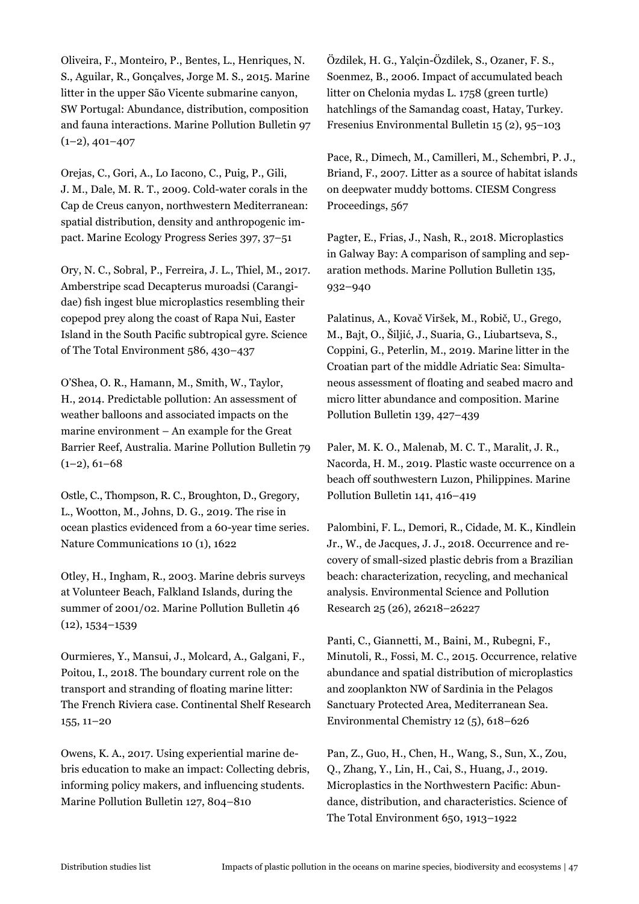Oliveira, F., Monteiro, P., Bentes, L., Henriques, N. S., Aguilar, R., Gonçalves, Jorge M. S., 2015. Marine litter in the upper São Vicente submarine canyon, SW Portugal: Abundance, distribution, composition and fauna interactions. Marine Pollution Bulletin 97  $(1-2), 401-407$ 

Orejas, C., Gori, A., Lo Iacono, C., Puig, P., Gili, J. M., Dale, M. R. T., 2009. Cold-water corals in the Cap de Creus canyon, northwestern Mediterranean: spatial distribution, density and anthropogenic impact. Marine Ecology Progress Series 397, 37–51

Ory, N. C., Sobral, P., Ferreira, J. L., Thiel, M., 2017. Amberstripe scad Decapterus muroadsi (Carangidae) fish ingest blue microplastics resembling their copepod prey along the coast of Rapa Nui, Easter Island in the South Pacific subtropical gyre. Science of The Total Environment 586, 430–437

O'Shea, O. R., Hamann, M., Smith, W., Taylor, H., 2014. Predictable pollution: An assessment of weather balloons and associated impacts on the marine environment – An example for the Great Barrier Reef, Australia. Marine Pollution Bulletin 79  $(1-2), 61-68$ 

Ostle, C., Thompson, R. C., Broughton, D., Gregory, L., Wootton, M., Johns, D. G., 2019. The rise in ocean plastics evidenced from a 60-year time series. Nature Communications 10 (1), 1622

Otley, H., Ingham, R., 2003. Marine debris surveys at Volunteer Beach, Falkland Islands, during the summer of 2001/02. Marine Pollution Bulletin 46 (12), 1534–1539

Ourmieres, Y., Mansui, J., Molcard, A., Galgani, F., Poitou, I., 2018. The boundary current role on the transport and stranding of floating marine litter: The French Riviera case. Continental Shelf Research 155, 11–20

Owens, K. A., 2017. Using experiential marine debris education to make an impact: Collecting debris, informing policy makers, and influencing students. Marine Pollution Bulletin 127, 804–810

Özdilek, H. G., Yalçin-Özdilek, S., Ozaner, F. S., Soenmez, B., 2006. Impact of accumulated beach litter on Chelonia mydas L. 1758 (green turtle) hatchlings of the Samandag coast, Hatay, Turkey. Fresenius Environmental Bulletin 15 (2), 95–103

Pace, R., Dimech, M., Camilleri, M., Schembri, P. J., Briand, F., 2007. Litter as a source of habitat islands on deepwater muddy bottoms. CIESM Congress Proceedings, 567

Pagter, E., Frias, J., Nash, R., 2018. Microplastics in Galway Bay: A comparison of sampling and separation methods. Marine Pollution Bulletin 135, 932–940

Palatinus, A., Kovač Viršek, M., Robič, U., Grego, M., Bajt, O., Šiljić, J., Suaria, G., Liubartseva, S., Coppini, G., Peterlin, M., 2019. Marine litter in the Croatian part of the middle Adriatic Sea: Simultaneous assessment of floating and seabed macro and micro litter abundance and composition. Marine Pollution Bulletin 139, 427–439

Paler, M. K. O., Malenab, M. C. T., Maralit, J. R., Nacorda, H. M., 2019. Plastic waste occurrence on a beach off southwestern Luzon, Philippines. Marine Pollution Bulletin 141, 416–419

Palombini, F. L., Demori, R., Cidade, M. K., Kindlein Jr., W., de Jacques, J. J., 2018. Occurrence and recovery of small-sized plastic debris from a Brazilian beach: characterization, recycling, and mechanical analysis. Environmental Science and Pollution Research 25 (26), 26218–26227

Panti, C., Giannetti, M., Baini, M., Rubegni, F., Minutoli, R., Fossi, M. C., 2015. Occurrence, relative abundance and spatial distribution of microplastics and zooplankton NW of Sardinia in the Pelagos Sanctuary Protected Area, Mediterranean Sea. Environmental Chemistry 12 (5), 618–626

Pan, Z., Guo, H., Chen, H., Wang, S., Sun, X., Zou, Q., Zhang, Y., Lin, H., Cai, S., Huang, J., 2019. Microplastics in the Northwestern Pacific: Abundance, distribution, and characteristics. Science of The Total Environment 650, 1913–1922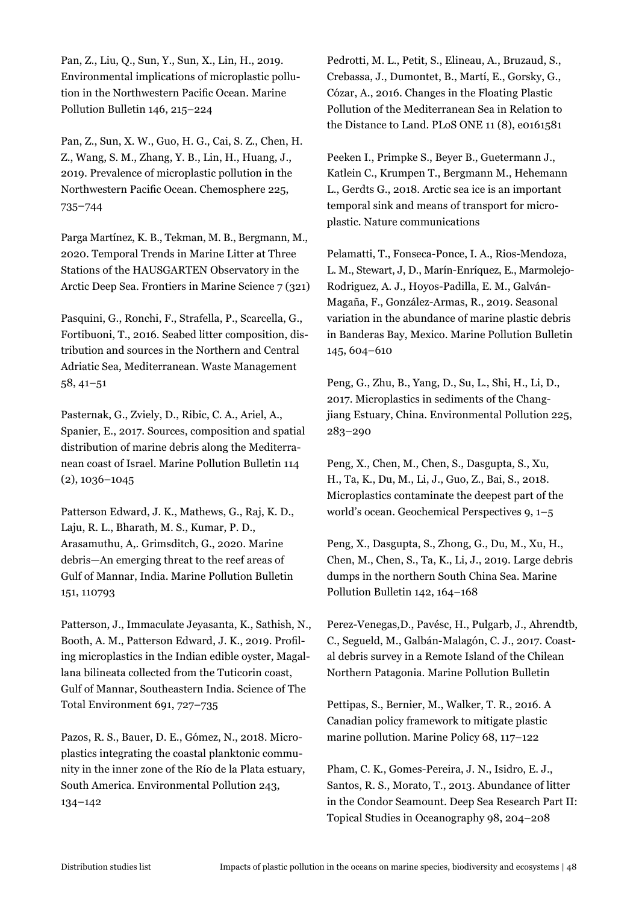Pan, Z., Liu, Q., Sun, Y., Sun, X., Lin, H., 2019. Environmental implications of microplastic pollution in the Northwestern Pacific Ocean. Marine Pollution Bulletin 146, 215–224

Pan, Z., Sun, X. W., Guo, H. G., Cai, S. Z., Chen, H. Z., Wang, S. M., Zhang, Y. B., Lin, H., Huang, J., 2019. Prevalence of microplastic pollution in the Northwestern Pacific Ocean. Chemosphere 225, 735–744

Parga Martínez, K. B., Tekman, M. B., Bergmann, M., 2020. Temporal Trends in Marine Litter at Three Stations of the HAUSGARTEN Observatory in the Arctic Deep Sea. Frontiers in Marine Science 7 (321)

Pasquini, G., Ronchi, F., Strafella, P., Scarcella, G., Fortibuoni, T., 2016. Seabed litter composition, distribution and sources in the Northern and Central Adriatic Sea, Mediterranean. Waste Management 58, 41–51

Pasternak, G., Zviely, D., Ribic, C. A., Ariel, A., Spanier, E., 2017. Sources, composition and spatial distribution of marine debris along the Mediterranean coast of Israel. Marine Pollution Bulletin 114 (2), 1036–1045

Patterson Edward, J. K., Mathews, G., Raj, K. D., Laju, R. L., Bharath, M. S., Kumar, P. D., Arasamuthu, A,. Grimsditch, G., 2020. Marine debris—An emerging threat to the reef areas of Gulf of Mannar, India. Marine Pollution Bulletin 151, 110793

Patterson, J., Immaculate Jeyasanta, K., Sathish, N., Booth, A. M., Patterson Edward, J. K., 2019. Profiling microplastics in the Indian edible oyster, Magallana bilineata collected from the Tuticorin coast, Gulf of Mannar, Southeastern India. Science of The Total Environment 691, 727–735

Pazos, R. S., Bauer, D. E., Gómez, N., 2018. Microplastics integrating the coastal planktonic community in the inner zone of the Río de la Plata estuary, South America. Environmental Pollution 243, 134–142

Pedrotti, M. L., Petit, S., Elineau, A., Bruzaud, S., Crebassa, J., Dumontet, B., Martí, E., Gorsky, G., Cózar, A., 2016. Changes in the Floating Plastic Pollution of the Mediterranean Sea in Relation to the Distance to Land. PLoS ONE 11 (8), e0161581

Peeken I., Primpke S., Beyer B., Guetermann J., Katlein C., Krumpen T., Bergmann M., Hehemann L., Gerdts G., 2018. Arctic sea ice is an important temporal sink and means of transport for microplastic. Nature communications

Pelamatti, T., Fonseca-Ponce, I. A., Rios-Mendoza, L. M., Stewart, J, D., Marín-Enríquez, E., Marmolejo-Rodriguez, A. J., Hoyos-Padilla, E. M., Galván-Magaña, F., González-Armas, R., 2019. Seasonal variation in the abundance of marine plastic debris in Banderas Bay, Mexico. Marine Pollution Bulletin 145, 604–610

Peng, G., Zhu, B., Yang, D., Su, L., Shi, H., Li, D., 2017. Microplastics in sediments of the Changjiang Estuary, China. Environmental Pollution 225, 283–290

Peng, X., Chen, M., Chen, S., Dasgupta, S., Xu, H., Ta, K., Du, M., Li, J., Guo, Z., Bai, S., 2018. Microplastics contaminate the deepest part of the world's ocean. Geochemical Perspectives 9, 1–5

Peng, X., Dasgupta, S., Zhong, G., Du, M., Xu, H., Chen, M., Chen, S., Ta, K., Li, J., 2019. Large debris dumps in the northern South China Sea. Marine Pollution Bulletin 142, 164–168

Perez-Venegas,D., Pavésc, H., Pulgarb, J., Ahrendtb, C., Segueld, M., Galbán-Malagón, C. J., 2017. Coastal debris survey in a Remote Island of the Chilean Northern Patagonia. Marine Pollution Bulletin

Pettipas, S., Bernier, M., Walker, T. R., 2016. A Canadian policy framework to mitigate plastic marine pollution. Marine Policy 68, 117–122

Pham, C. K., Gomes-Pereira, J. N., Isidro, E. J., Santos, R. S., Morato, T., 2013. Abundance of litter in the Condor Seamount. Deep Sea Research Part II: Topical Studies in Oceanography 98, 204–208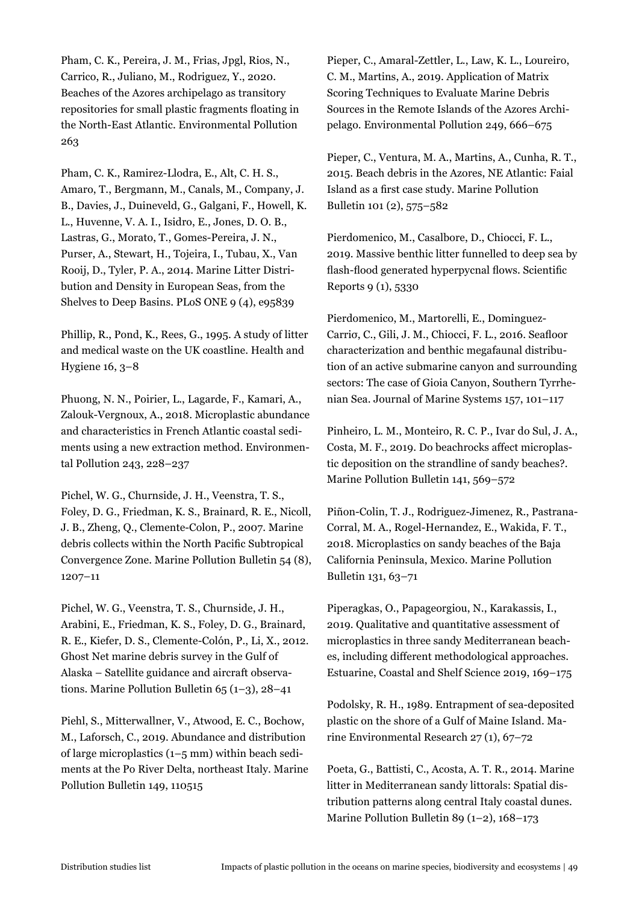Pham, C. K., Pereira, J. M., Frias, Jpgl, Rios, N., Carrico, R., Juliano, M., Rodriguez, Y., 2020. Beaches of the Azores archipelago as transitory repositories for small plastic fragments floating in the North-East Atlantic. Environmental Pollution 263

Pham, C. K., Ramirez-Llodra, E., Alt, C. H. S., Amaro, T., Bergmann, M., Canals, M., Company, J. B., Davies, J., Duineveld, G., Galgani, F., Howell, K. L., Huvenne, V. A. I., Isidro, E., Jones, D. O. B., Lastras, G., Morato, T., Gomes-Pereira, J. N., Purser, A., Stewart, H., Tojeira, I., Tubau, X., Van Rooij, D., Tyler, P. A., 2014. Marine Litter Distribution and Density in European Seas, from the Shelves to Deep Basins. PLoS ONE 9 (4), e95839

Phillip, R., Pond, K., Rees, G., 1995. A study of litter and medical waste on the UK coastline. Health and Hygiene 16, 3–8

Phuong, N. N., Poirier, L., Lagarde, F., Kamari, A., Zalouk-Vergnoux, A., 2018. Microplastic abundance and characteristics in French Atlantic coastal sediments using a new extraction method. Environmental Pollution 243, 228–237

Pichel, W. G., Churnside, J. H., Veenstra, T. S., Foley, D. G., Friedman, K. S., Brainard, R. E., Nicoll, J. B., Zheng, Q., Clemente-Colon, P., 2007. Marine debris collects within the North Pacific Subtropical Convergence Zone. Marine Pollution Bulletin 54 (8), 1207–11

Pichel, W. G., Veenstra, T. S., Churnside, J. H., Arabini, E., Friedman, K. S., Foley, D. G., Brainard, R. E., Kiefer, D. S., Clemente-Colón, P., Li, X., 2012. Ghost Net marine debris survey in the Gulf of Alaska – Satellite guidance and aircraft observations. Marine Pollution Bulletin 65 (1–3), 28–41

Piehl, S., Mitterwallner, V., Atwood, E. C., Bochow, M., Laforsch, C., 2019. Abundance and distribution of large microplastics (1–5 mm) within beach sediments at the Po River Delta, northeast Italy. Marine Pollution Bulletin 149, 110515

Pieper, C., Amaral-Zettler, L., Law, K. L., Loureiro, C. M., Martins, A., 2019. Application of Matrix Scoring Techniques to Evaluate Marine Debris Sources in the Remote Islands of the Azores Archipelago. Environmental Pollution 249, 666–675

Pieper, C., Ventura, M. A., Martins, A., Cunha, R. T., 2015. Beach debris in the Azores, NE Atlantic: Faial Island as a first case study. Marine Pollution Bulletin 101 (2), 575–582

Pierdomenico, M., Casalbore, D., Chiocci, F. L., 2019. Massive benthic litter funnelled to deep sea by flash-flood generated hyperpycnal flows. Scientific Reports 9 (1), 5330

Pierdomenico, M., Martorelli, E., Dominguez-Carriσ, C., Gili, J. M., Chiocci, F. L., 2016. Seafloor characterization and benthic megafaunal distribution of an active submarine canyon and surrounding sectors: The case of Gioia Canyon, Southern Tyrrhenian Sea. Journal of Marine Systems 157, 101–117

Pinheiro, L. M., Monteiro, R. C. P., Ivar do Sul, J. A., Costa, M. F., 2019. Do beachrocks affect microplastic deposition on the strandline of sandy beaches?. Marine Pollution Bulletin 141, 569–572

Piñon-Colin, T. J., Rodriguez-Jimenez, R., Pastrana-Corral, M. A., Rogel-Hernandez, E., Wakida, F. T., 2018. Microplastics on sandy beaches of the Baja California Peninsula, Mexico. Marine Pollution Bulletin 131, 63–71

Piperagkas, O., Papageorgiou, N., Karakassis, I., 2019. Qualitative and quantitative assessment of microplastics in three sandy Mediterranean beaches, including different methodological approaches. Estuarine, Coastal and Shelf Science 2019, 169–175

Podolsky, R. H., 1989. Entrapment of sea-deposited plastic on the shore of a Gulf of Maine Island. Marine Environmental Research 27 (1), 67–72

Poeta, G., Battisti, C., Acosta, A. T. R., 2014. Marine litter in Mediterranean sandy littorals: Spatial distribution patterns along central Italy coastal dunes. Marine Pollution Bulletin 89 (1–2), 168–173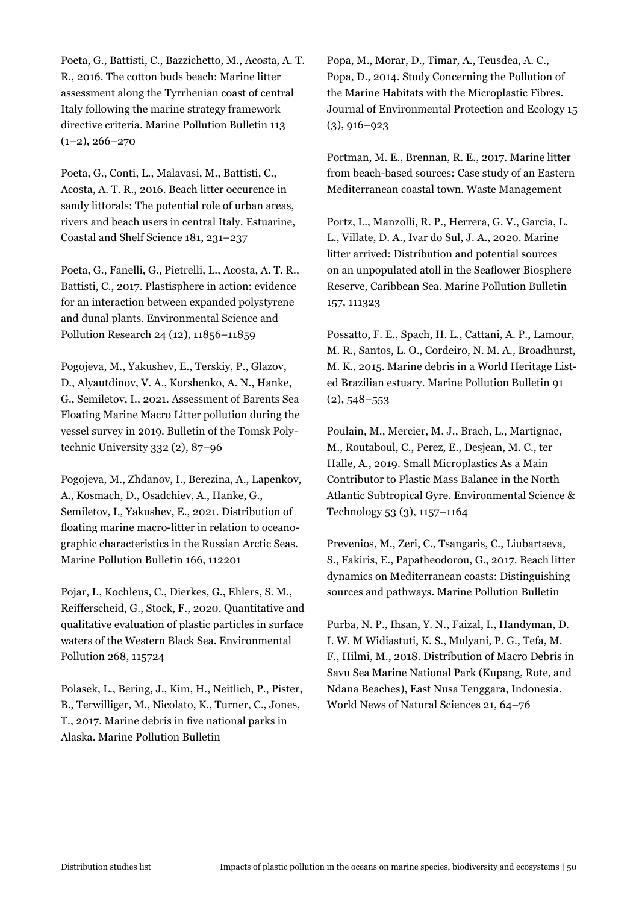Poeta, G., Battisti, C., Bazzichetto, M., Acosta, A. T. R., 2016. The cotton buds beach: Marine litter assessment along the Tyrrhenian coast of central Italy following the marine strategy framework directive criteria. Marine Pollution Bulletin 113  $(1-2)$ , 266-270

Poeta, G., Conti, L., Malavasi, M., Battisti, C., Acosta, A. T. R., 2016. Beach litter occurence in sandy littorals: The potential role of urban areas, rivers and beach users in central Italy. Estuarine, Coastal and Shelf Science 181, 231–237

Poeta, G., Fanelli, G., Pietrelli, L., Acosta, A. T. R., Battisti, C., 2017. Plastisphere in action: evidence for an interaction between expanded polystyrene and dunal plants. Environmental Science and Pollution Research 24 (12), 11856–11859

Pogojeva, M., Yakushev, E., Terskiy, P., Glazov, D., Alyautdinov, V. A., Korshenko, A. N., Hanke, G., Semiletov, I., 2021. Assessment of Barents Sea Floating Marine Macro Litter pollution during the vessel survey in 2019. Bulletin of the Tomsk Polytechnic University 332 (2), 87–96

Pogojeva, M., Zhdanov, I., Berezina, A., Lapenkov, A., Kosmach, D., Osadchiev, A., Hanke, G., Semiletov, I., Yakushev, E., 2021. Distribution of floating marine macro-litter in relation to oceanographic characteristics in the Russian Arctic Seas. Marine Pollution Bulletin 166, 112201

Pojar, I., Kochleus, C., Dierkes, G., Ehlers, S. M., Reifferscheid, G., Stock, F., 2020. Quantitative and qualitative evaluation of plastic particles in surface waters of the Western Black Sea. Environmental Pollution 268, 115724

Polasek, L., Bering, J., Kim, H., Neitlich, P., Pister, B., Terwilliger, M., Nicolato, K., Turner, C., Jones, T., 2017. Marine debris in five national parks in Alaska. Marine Pollution Bulletin

Popa, M., Morar, D., Timar, A., Teusdea, A. C., Popa, D., 2014. Study Concerning the Pollution of the Marine Habitats with the Microplastic Fibres. Journal of Environmental Protection and Ecology 15  $(3), 916 - 923$ 

Portman, M. E., Brennan, R. E., 2017. Marine litter from beach-based sources: Case study of an Eastern Mediterranean coastal town. Waste Management

Portz, L., Manzolli, R. P., Herrera, G. V., Garcia, L. L., Villate, D. A., Ivar do Sul, J. A., 2020. Marine litter arrived: Distribution and potential sources on an unpopulated atoll in the Seaflower Biosphere Reserve, Caribbean Sea. Marine Pollution Bulletin 157, 111323

Possatto, F. E., Spach, H. L., Cattani, A. P., Lamour, M. R., Santos, L. O., Cordeiro, N. M. A., Broadhurst, M. K., 2015. Marine debris in a World Heritage Listed Brazilian estuary. Marine Pollution Bulletin 91  $(2), 548 - 553$ 

Poulain, M., Mercier, M. J., Brach, L., Martignac, M., Routaboul, C., Perez, E., Desjean, M. C., ter Halle, A., 2019. Small Microplastics As a Main Contributor to Plastic Mass Balance in the North Atlantic Subtropical Gyre. Environmental Science & Technology 53 (3), 1157–1164

Prevenios, M., Zeri, C., Tsangaris, C., Liubartseva, S., Fakiris, E., Papatheodorou, G., 2017. Beach litter dynamics on Mediterranean coasts: Distinguishing sources and pathways. Marine Pollution Bulletin

Purba, N. P., Ihsan, Y. N., Faizal, I., Handyman, D. I. W. M Widiastuti, K. S., Mulyani, P. G., Tefa, M. F., Hilmi, M., 2018. Distribution of Macro Debris in Savu Sea Marine National Park (Kupang, Rote, and Ndana Beaches), East Nusa Tenggara, Indonesia. World News of Natural Sciences 21, 64–76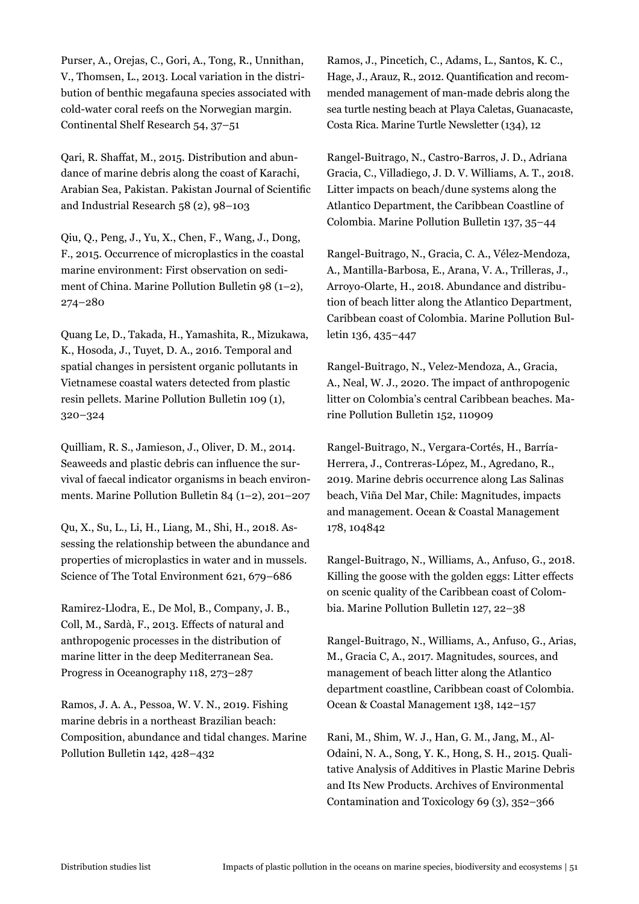Purser, A., Orejas, C., Gori, A., Tong, R., Unnithan, V., Thomsen, L., 2013. Local variation in the distribution of benthic megafauna species associated with cold-water coral reefs on the Norwegian margin. Continental Shelf Research 54, 37–51

Qari, R. Shaffat, M., 2015. Distribution and abundance of marine debris along the coast of Karachi, Arabian Sea, Pakistan. Pakistan Journal of Scientific and Industrial Research 58 (2), 98–103

Qiu, Q., Peng, J., Yu, X., Chen, F., Wang, J., Dong, F., 2015. Occurrence of microplastics in the coastal marine environment: First observation on sediment of China. Marine Pollution Bulletin 98 (1–2), 274–280

Quang Le, D., Takada, H., Yamashita, R., Mizukawa, K., Hosoda, J., Tuyet, D. A., 2016. Temporal and spatial changes in persistent organic pollutants in Vietnamese coastal waters detected from plastic resin pellets. Marine Pollution Bulletin 109 (1), 320–324

Quilliam, R. S., Jamieson, J., Oliver, D. M., 2014. Seaweeds and plastic debris can influence the survival of faecal indicator organisms in beach environments. Marine Pollution Bulletin 84 (1–2), 201–207

Qu, X., Su, L., Li, H., Liang, M., Shi, H., 2018. Assessing the relationship between the abundance and properties of microplastics in water and in mussels. Science of The Total Environment 621, 679–686

Ramirez-Llodra, E., De Mol, B., Company, J. B., Coll, M., Sardà, F., 2013. Effects of natural and anthropogenic processes in the distribution of marine litter in the deep Mediterranean Sea. Progress in Oceanography 118, 273–287

Ramos, J. A. A., Pessoa, W. V. N., 2019. Fishing marine debris in a northeast Brazilian beach: Composition, abundance and tidal changes. Marine Pollution Bulletin 142, 428–432

Ramos, J., Pincetich, C., Adams, L., Santos, K. C., Hage, J., Arauz, R., 2012. Quantification and recommended management of man-made debris along the sea turtle nesting beach at Playa Caletas, Guanacaste, Costa Rica. Marine Turtle Newsletter (134), 12

Rangel-Buitrago, N., Castro-Barros, J. D., Adriana Gracia, C., Villadiego, J. D. V. Williams, A. T., 2018. Litter impacts on beach/dune systems along the Atlantico Department, the Caribbean Coastline of Colombia. Marine Pollution Bulletin 137, 35–44

Rangel-Buitrago, N., Gracia, C. A., Vélez-Mendoza, A., Mantilla-Barbosa, E., Arana, V. A., Trilleras, J., Arroyo-Olarte, H., 2018. Abundance and distribution of beach litter along the Atlantico Department, Caribbean coast of Colombia. Marine Pollution Bulletin 136, 435–447

Rangel-Buitrago, N., Velez-Mendoza, A., Gracia, A., Neal, W. J., 2020. The impact of anthropogenic litter on Colombia's central Caribbean beaches. Marine Pollution Bulletin 152, 110909

Rangel-Buitrago, N., Vergara-Cortés, H., Barría-Herrera, J., Contreras-López, M., Agredano, R., 2019. Marine debris occurrence along Las Salinas beach, Viña Del Mar, Chile: Magnitudes, impacts and management. Ocean & Coastal Management 178, 104842

Rangel-Buitrago, N., Williams, A., Anfuso, G., 2018. Killing the goose with the golden eggs: Litter effects on scenic quality of the Caribbean coast of Colombia. Marine Pollution Bulletin 127, 22–38

Rangel-Buitrago, N., Williams, A., Anfuso, G., Arias, M., Gracia C, A., 2017. Magnitudes, sources, and management of beach litter along the Atlantico department coastline, Caribbean coast of Colombia. Ocean & Coastal Management 138, 142–157

Rani, M., Shim, W. J., Han, G. M., Jang, M., Al-Odaini, N. A., Song, Y. K., Hong, S. H., 2015. Qualitative Analysis of Additives in Plastic Marine Debris and Its New Products. Archives of Environmental Contamination and Toxicology 69 (3), 352–366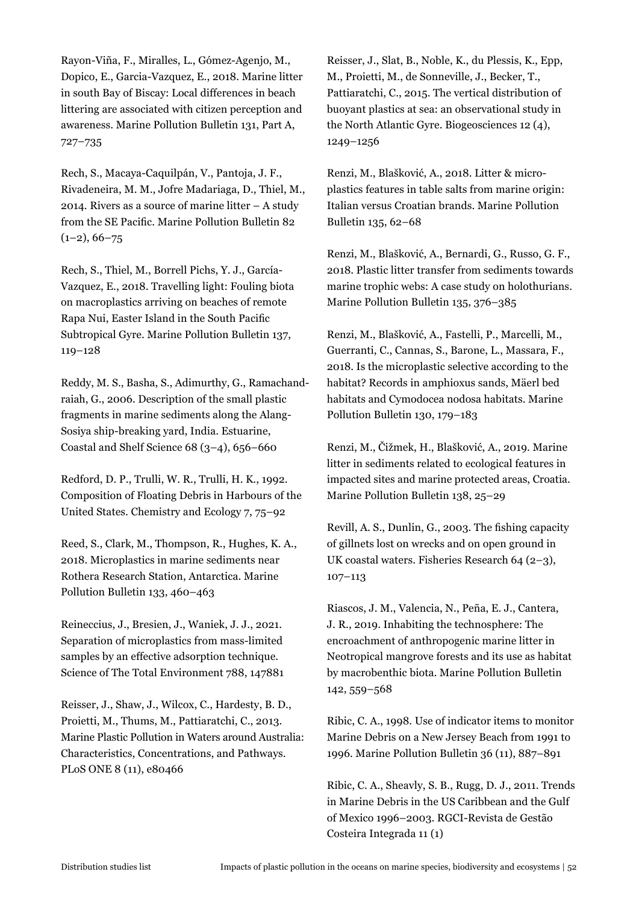Rayon-Viña, F., Miralles, L., Gómez-Agenjo, M., Dopico, E., Garcia-Vazquez, E., 2018. Marine litter in south Bay of Biscay: Local differences in beach littering are associated with citizen perception and awareness. Marine Pollution Bulletin 131, Part A, 727–735

Rech, S., Macaya-Caquilpán, V., Pantoja, J. F., Rivadeneira, M. M., Jofre Madariaga, D., Thiel, M., 2014. Rivers as a source of marine litter – A study from the SE Pacific. Marine Pollution Bulletin 82  $(1-2), 66-75$ 

Rech, S., Thiel, M., Borrell Pichs, Y. J., García-Vazquez, E., 2018. Travelling light: Fouling biota on macroplastics arriving on beaches of remote Rapa Nui, Easter Island in the South Pacific Subtropical Gyre. Marine Pollution Bulletin 137, 119–128

Reddy, M. S., Basha, S., Adimurthy, G., Ramachandraiah, G., 2006. Description of the small plastic fragments in marine sediments along the Alang-Sosiya ship-breaking yard, India. Estuarine, Coastal and Shelf Science 68 (3–4), 656–660

Redford, D. P., Trulli, W. R., Trulli, H. K., 1992. Composition of Floating Debris in Harbours of the United States. Chemistry and Ecology 7, 75–92

Reed, S., Clark, M., Thompson, R., Hughes, K. A., 2018. Microplastics in marine sediments near Rothera Research Station, Antarctica. Marine Pollution Bulletin 133, 460–463

Reineccius, J., Bresien, J., Waniek, J. J., 2021. Separation of microplastics from mass-limited samples by an effective adsorption technique. Science of The Total Environment 788, 147881

Reisser, J., Shaw, J., Wilcox, C., Hardesty, B. D., Proietti, M., Thums, M., Pattiaratchi, C., 2013. Marine Plastic Pollution in Waters around Australia: Characteristics, Concentrations, and Pathways. PLoS ONE 8 (11), e80466

Reisser, J., Slat, B., Noble, K., du Plessis, K., Epp, M., Proietti, M., de Sonneville, J., Becker, T., Pattiaratchi, C., 2015. The vertical distribution of buoyant plastics at sea: an observational study in the North Atlantic Gyre. Biogeosciences 12 (4), 1249–1256

Renzi, M., Blašković, A., 2018. Litter & microplastics features in table salts from marine origin: Italian versus Croatian brands. Marine Pollution Bulletin 135, 62–68

Renzi, M., Blašković, A., Bernardi, G., Russo, G. F., 2018. Plastic litter transfer from sediments towards marine trophic webs: A case study on holothurians. Marine Pollution Bulletin 135, 376–385

Renzi, M., Blašković, A., Fastelli, P., Marcelli, M., Guerranti, C., Cannas, S., Barone, L., Massara, F., 2018. Is the microplastic selective according to the habitat? Records in amphioxus sands, Mäerl bed habitats and Cymodocea nodosa habitats. Marine Pollution Bulletin 130, 179–183

Renzi, M., Čižmek, H., Blašković, A., 2019. Marine litter in sediments related to ecological features in impacted sites and marine protected areas, Croatia. Marine Pollution Bulletin 138, 25–29

Revill, A. S., Dunlin, G., 2003. The fishing capacity of gillnets lost on wrecks and on open ground in UK coastal waters. Fisheries Research 64 (2–3), 107–113

Riascos, J. M., Valencia, N., Peña, E. J., Cantera, J. R., 2019. Inhabiting the technosphere: The encroachment of anthropogenic marine litter in Neotropical mangrove forests and its use as habitat by macrobenthic biota. Marine Pollution Bulletin 142, 559–568

Ribic, C. A., 1998. Use of indicator items to monitor Marine Debris on a New Jersey Beach from 1991 to 1996. Marine Pollution Bulletin 36 (11), 887–891

Ribic, C. A., Sheavly, S. B., Rugg, D. J., 2011. Trends in Marine Debris in the US Caribbean and the Gulf of Mexico 1996–2003. RGCI-Revista de Gestão Costeira Integrada 11 (1)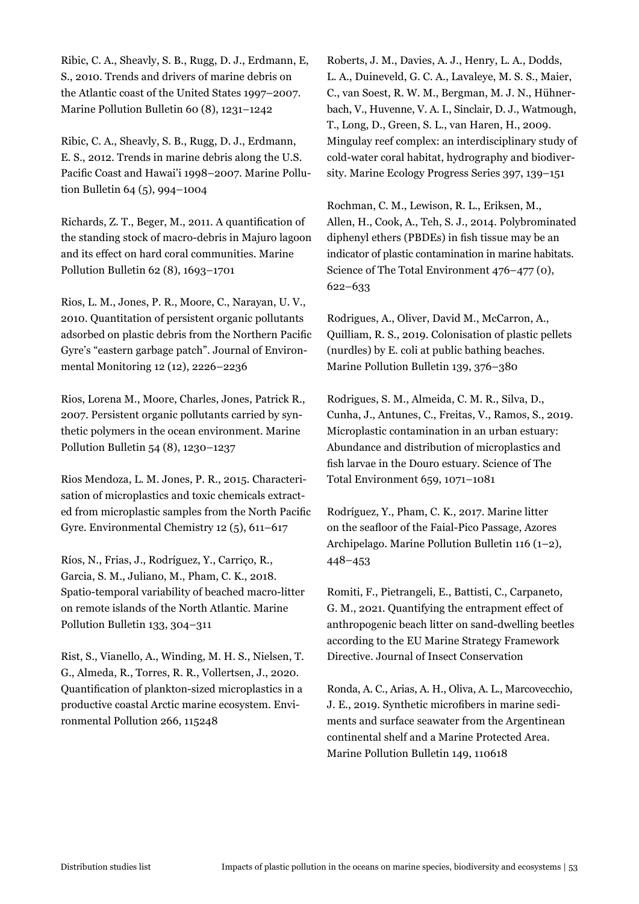Ribic, C. A., Sheavly, S. B., Rugg, D. J., Erdmann, E, S., 2010. Trends and drivers of marine debris on the Atlantic coast of the United States 1997–2007. Marine Pollution Bulletin 60 (8), 1231–1242

Ribic, C. A., Sheavly, S. B., Rugg, D. J., Erdmann, E. S., 2012. Trends in marine debris along the U.S. Pacific Coast and Hawai'i 1998–2007. Marine Pollution Bulletin 64 (5), 994–1004

Richards, Z. T., Beger, M., 2011. A quantification of the standing stock of macro-debris in Majuro lagoon and its effect on hard coral communities. Marine Pollution Bulletin 62 (8), 1693–1701

Rios, L. M., Jones, P. R., Moore, C., Narayan, U. V., 2010. Quantitation of persistent organic pollutants adsorbed on plastic debris from the Northern Pacific Gyre's "eastern garbage patch". Journal of Environmental Monitoring 12 (12), 2226–2236

Rios, Lorena M., Moore, Charles, Jones, Patrick R., 2007. Persistent organic pollutants carried by synthetic polymers in the ocean environment. Marine Pollution Bulletin 54 (8), 1230–1237

Rios Mendoza, L. M. Jones, P. R., 2015. Characterisation of microplastics and toxic chemicals extracted from microplastic samples from the North Pacific Gyre. Environmental Chemistry 12 (5), 611–617

Ríos, N., Frias, J., Rodríguez, Y., Carriço, R., Garcia, S. M., Juliano, M., Pham, C. K., 2018. Spatio-temporal variability of beached macro-litter on remote islands of the North Atlantic. Marine Pollution Bulletin 133, 304–311

Rist, S., Vianello, A., Winding, M. H. S., Nielsen, T. G., Almeda, R., Torres, R. R., Vollertsen, J., 2020. Quantification of plankton-sized microplastics in a productive coastal Arctic marine ecosystem. Environmental Pollution 266, 115248

Roberts, J. M., Davies, A. J., Henry, L. A., Dodds, L. A., Duineveld, G. C. A., Lavaleye, M. S. S., Maier, C., van Soest, R. W. M., Bergman, M. J. N., Hühnerbach, V., Huvenne, V. A. I., Sinclair, D. J., Watmough, T., Long, D., Green, S. L., van Haren, H., 2009. Mingulay reef complex: an interdisciplinary study of cold-water coral habitat, hydrography and biodiversity. Marine Ecology Progress Series 397, 139–151

Rochman, C. M., Lewison, R. L., Eriksen, M., Allen, H., Cook, A., Teh, S. J., 2014. Polybrominated diphenyl ethers (PBDEs) in fish tissue may be an indicator of plastic contamination in marine habitats. Science of The Total Environment 476–477 (0), 622–633

Rodrigues, A., Oliver, David M., McCarron, A., Quilliam, R. S., 2019. Colonisation of plastic pellets (nurdles) by E. coli at public bathing beaches. Marine Pollution Bulletin 139, 376–380

Rodrigues, S. M., Almeida, C. M. R., Silva, D., Cunha, J., Antunes, C., Freitas, V., Ramos, S., 2019. Microplastic contamination in an urban estuary: Abundance and distribution of microplastics and fish larvae in the Douro estuary. Science of The Total Environment 659, 1071–1081

Rodríguez, Y., Pham, C. K., 2017. Marine litter on the seafloor of the Faial-Pico Passage, Azores Archipelago. Marine Pollution Bulletin 116 (1–2), 448–453

Romiti, F., Pietrangeli, E., Battisti, C., Carpaneto, G. M., 2021. Quantifying the entrapment effect of anthropogenic beach litter on sand-dwelling beetles according to the EU Marine Strategy Framework Directive. Journal of Insect Conservation

Ronda, A. C., Arias, A. H., Oliva, A. L., Marcovecchio, J. E., 2019. Synthetic microfibers in marine sediments and surface seawater from the Argentinean continental shelf and a Marine Protected Area. Marine Pollution Bulletin 149, 110618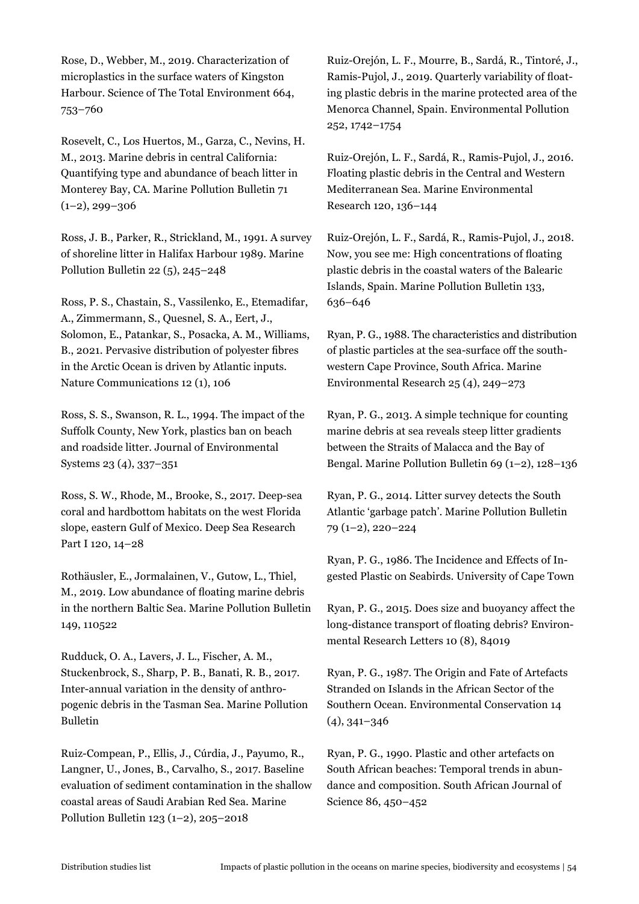Rose, D., Webber, M., 2019. Characterization of microplastics in the surface waters of Kingston Harbour. Science of The Total Environment 664, 753–760

Rosevelt, C., Los Huertos, M., Garza, C., Nevins, H. M., 2013. Marine debris in central California: Quantifying type and abundance of beach litter in Monterey Bay, CA. Marine Pollution Bulletin 71  $(1-2)$ , 299-306

Ross, J. B., Parker, R., Strickland, M., 1991. A survey of shoreline litter in Halifax Harbour 1989. Marine Pollution Bulletin 22 (5), 245–248

Ross, P. S., Chastain, S., Vassilenko, E., Etemadifar, A., Zimmermann, S., Quesnel, S. A., Eert, J., Solomon, E., Patankar, S., Posacka, A. M., Williams, B., 2021. Pervasive distribution of polyester fibres in the Arctic Ocean is driven by Atlantic inputs. Nature Communications 12 (1), 106

Ross, S. S., Swanson, R. L., 1994. The impact of the Suffolk County, New York, plastics ban on beach and roadside litter. Journal of Environmental Systems 23 (4), 337–351

Ross, S. W., Rhode, M., Brooke, S., 2017. Deep-sea coral and hardbottom habitats on the west Florida slope, eastern Gulf of Mexico. Deep Sea Research Part I 120, 14–28

Rothäusler, E., Jormalainen, V., Gutow, L., Thiel, M., 2019. Low abundance of floating marine debris in the northern Baltic Sea. Marine Pollution Bulletin 149, 110522

Rudduck, O. A., Lavers, J. L., Fischer, A. M., Stuckenbrock, S., Sharp, P. B., Banati, R. B., 2017. Inter-annual variation in the density of anthropogenic debris in the Tasman Sea. Marine Pollution Bulletin

Ruiz-Compean, P., Ellis, J., Cúrdia, J., Payumo, R., Langner, U., Jones, B., Carvalho, S., 2017. Baseline evaluation of sediment contamination in the shallow coastal areas of Saudi Arabian Red Sea. Marine Pollution Bulletin 123 (1–2), 205–2018

Ruiz-Orejón, L. F., Mourre, B., Sardá, R., Tintoré, J., Ramis-Pujol, J., 2019. Quarterly variability of floating plastic debris in the marine protected area of the Menorca Channel, Spain. Environmental Pollution 252, 1742–1754

Ruiz-Orejón, L. F., Sardá, R., Ramis-Pujol, J., 2016. Floating plastic debris in the Central and Western Mediterranean Sea. Marine Environmental Research 120, 136–144

Ruiz-Orejón, L. F., Sardá, R., Ramis-Pujol, J., 2018. Now, you see me: High concentrations of floating plastic debris in the coastal waters of the Balearic Islands, Spain. Marine Pollution Bulletin 133, 636–646

Ryan, P. G., 1988. The characteristics and distribution of plastic particles at the sea-surface off the southwestern Cape Province, South Africa. Marine Environmental Research 25 (4), 249–273

Ryan, P. G., 2013. A simple technique for counting marine debris at sea reveals steep litter gradients between the Straits of Malacca and the Bay of Bengal. Marine Pollution Bulletin 69 (1–2), 128–136

Ryan, P. G., 2014. Litter survey detects the South Atlantic 'garbage patch'. Marine Pollution Bulletin 79 (1–2), 220–224

Ryan, P. G., 1986. The Incidence and Effects of Ingested Plastic on Seabirds. University of Cape Town

Ryan, P. G., 2015. Does size and buoyancy affect the long-distance transport of floating debris? Environmental Research Letters 10 (8), 84019

Ryan, P. G., 1987. The Origin and Fate of Artefacts Stranded on Islands in the African Sector of the Southern Ocean. Environmental Conservation 14 (4), 341–346

Ryan, P. G., 1990. Plastic and other artefacts on South African beaches: Temporal trends in abundance and composition. South African Journal of Science 86, 450–452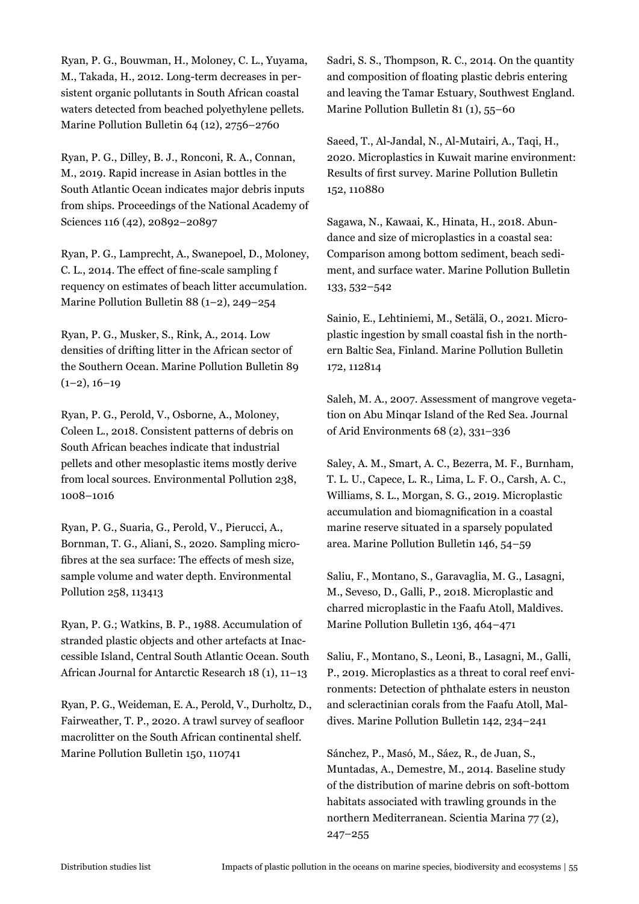Ryan, P. G., Bouwman, H., Moloney, C. L., Yuyama, M., Takada, H., 2012. Long-term decreases in persistent organic pollutants in South African coastal waters detected from beached polyethylene pellets. Marine Pollution Bulletin 64 (12), 2756–2760

Ryan, P. G., Dilley, B. J., Ronconi, R. A., Connan, M., 2019. Rapid increase in Asian bottles in the South Atlantic Ocean indicates major debris inputs from ships. Proceedings of the National Academy of Sciences 116 (42), 20892–20897

Ryan, P. G., Lamprecht, A., Swanepoel, D., Moloney, C. L., 2014. The effect of fine-scale sampling f requency on estimates of beach litter accumulation. Marine Pollution Bulletin 88 (1–2), 249–254

Ryan, P. G., Musker, S., Rink, A., 2014. Low densities of drifting litter in the African sector of the Southern Ocean. Marine Pollution Bulletin 89  $(1-2)$ ,  $16-19$ 

Ryan, P. G., Perold, V., Osborne, A., Moloney, Coleen L., 2018. Consistent patterns of debris on South African beaches indicate that industrial pellets and other mesoplastic items mostly derive from local sources. Environmental Pollution 238, 1008–1016

Ryan, P. G., Suaria, G., Perold, V., Pierucci, A., Bornman, T. G., Aliani, S., 2020. Sampling microfibres at the sea surface: The effects of mesh size, sample volume and water depth. Environmental Pollution 258, 113413

Ryan, P. G.; Watkins, B. P., 1988. Accumulation of stranded plastic objects and other artefacts at Inaccessible Island, Central South Atlantic Ocean. South African Journal for Antarctic Research 18 (1), 11–13

Ryan, P. G., Weideman, E. A., Perold, V., Durholtz, D., Fairweather, T. P., 2020. A trawl survey of seafloor macrolitter on the South African continental shelf. Marine Pollution Bulletin 150, 110741

Sadri, S. S., Thompson, R. C., 2014. On the quantity and composition of floating plastic debris entering and leaving the Tamar Estuary, Southwest England. Marine Pollution Bulletin 81 (1), 55–60

Saeed, T., Al-Jandal, N., Al-Mutairi, A., Taqi, H., 2020. Microplastics in Kuwait marine environment: Results of first survey. Marine Pollution Bulletin 152, 110880

Sagawa, N., Kawaai, K., Hinata, H., 2018. Abundance and size of microplastics in a coastal sea: Comparison among bottom sediment, beach sediment, and surface water. Marine Pollution Bulletin 133, 532–542

Sainio, E., Lehtiniemi, M., Setälä, O., 2021. Microplastic ingestion by small coastal fish in the northern Baltic Sea, Finland. Marine Pollution Bulletin 172, 112814

Saleh, M. A., 2007. Assessment of mangrove vegetation on Abu Minqar Island of the Red Sea. Journal of Arid Environments 68 (2), 331–336

Saley, A. M., Smart, A. C., Bezerra, M. F., Burnham, T. L. U., Capece, L. R., Lima, L. F. O., Carsh, A. C., Williams, S. L., Morgan, S. G., 2019. Microplastic accumulation and biomagnification in a coastal marine reserve situated in a sparsely populated area. Marine Pollution Bulletin 146, 54–59

Saliu, F., Montano, S., Garavaglia, M. G., Lasagni, M., Seveso, D., Galli, P., 2018. Microplastic and charred microplastic in the Faafu Atoll, Maldives. Marine Pollution Bulletin 136, 464–471

Saliu, F., Montano, S., Leoni, B., Lasagni, M., Galli, P., 2019. Microplastics as a threat to coral reef environments: Detection of phthalate esters in neuston and scleractinian corals from the Faafu Atoll, Maldives. Marine Pollution Bulletin 142, 234–241

Sánchez, P., Masó, M., Sáez, R., de Juan, S., Muntadas, A., Demestre, M., 2014. Baseline study of the distribution of marine debris on soft-bottom habitats associated with trawling grounds in the northern Mediterranean. Scientia Marina 77 (2), 247–255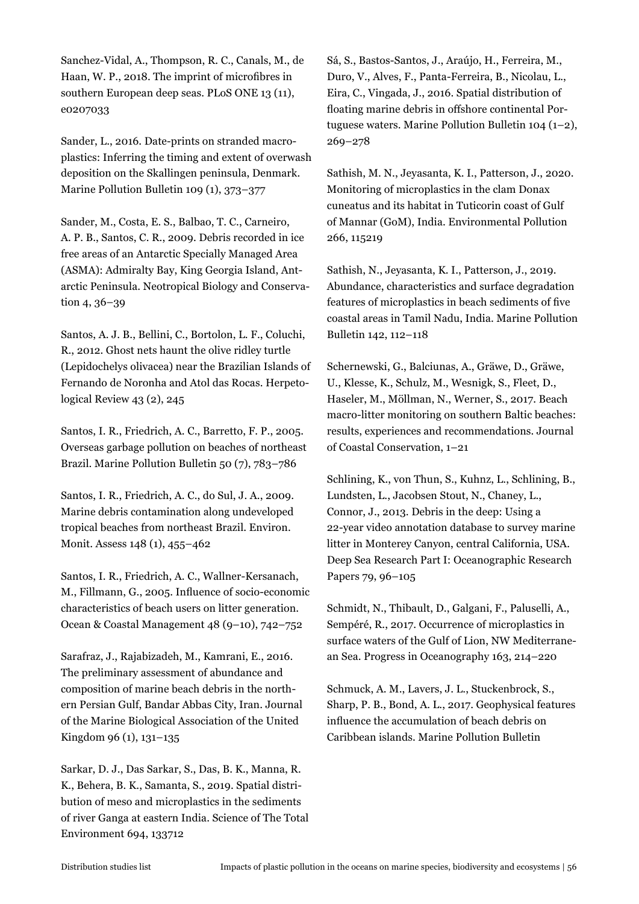Sanchez-Vidal, A., Thompson, R. C., Canals, M., de Haan, W. P., 2018. The imprint of microfibres in southern European deep seas. PLoS ONE 13 (11), e0207033

Sander, L., 2016. Date-prints on stranded macroplastics: Inferring the timing and extent of overwash deposition on the Skallingen peninsula, Denmark. Marine Pollution Bulletin 109 (1), 373–377

Sander, M., Costa, E. S., Balbao, T. C., Carneiro, A. P. B., Santos, C. R., 2009. Debris recorded in ice free areas of an Antarctic Specially Managed Area (ASMA): Admiralty Bay, King Georgia Island, Antarctic Peninsula. Neotropical Biology and Conservation 4, 36–39

Santos, A. J. B., Bellini, C., Bortolon, L. F., Coluchi, R., 2012. Ghost nets haunt the olive ridley turtle (Lepidochelys olivacea) near the Brazilian Islands of Fernando de Noronha and Atol das Rocas. Herpetological Review 43 (2), 245

Santos, I. R., Friedrich, A. C., Barretto, F. P., 2005. Overseas garbage pollution on beaches of northeast Brazil. Marine Pollution Bulletin 50 (7), 783–786

Santos, I. R., Friedrich, A. C., do Sul, J. A., 2009. Marine debris contamination along undeveloped tropical beaches from northeast Brazil. Environ. Monit. Assess 148 (1), 455–462

Santos, I. R., Friedrich, A. C., Wallner-Kersanach, M., Fillmann, G., 2005. Influence of socio-economic characteristics of beach users on litter generation. Ocean & Coastal Management 48 (9–10), 742–752

Sarafraz, J., Rajabizadeh, M., Kamrani, E., 2016. The preliminary assessment of abundance and composition of marine beach debris in the northern Persian Gulf, Bandar Abbas City, Iran. Journal of the Marine Biological Association of the United Kingdom 96 (1), 131–135

Sarkar, D. J., Das Sarkar, S., Das, B. K., Manna, R. K., Behera, B. K., Samanta, S., 2019. Spatial distribution of meso and microplastics in the sediments of river Ganga at eastern India. Science of The Total Environment 694, 133712

Sá, S., Bastos-Santos, J., Araújo, H., Ferreira, M., Duro, V., Alves, F., Panta-Ferreira, B., Nicolau, L., Eira, C., Vingada, J., 2016. Spatial distribution of floating marine debris in offshore continental Portuguese waters. Marine Pollution Bulletin 104 (1–2), 269–278

Sathish, M. N., Jeyasanta, K. I., Patterson, J., 2020. Monitoring of microplastics in the clam Donax cuneatus and its habitat in Tuticorin coast of Gulf of Mannar (GoM), India. Environmental Pollution 266, 115219

Sathish, N., Jeyasanta, K. I., Patterson, J., 2019. Abundance, characteristics and surface degradation features of microplastics in beach sediments of five coastal areas in Tamil Nadu, India. Marine Pollution Bulletin 142, 112–118

Schernewski, G., Balciunas, A., Gräwe, D., Gräwe, U., Klesse, K., Schulz, M., Wesnigk, S., Fleet, D., Haseler, M., Möllman, N., Werner, S., 2017. Beach macro-litter monitoring on southern Baltic beaches: results, experiences and recommendations. Journal of Coastal Conservation, 1–21

Schlining, K., von Thun, S., Kuhnz, L., Schlining, B., Lundsten, L., Jacobsen Stout, N., Chaney, L., Connor, J., 2013. Debris in the deep: Using a 22-year video annotation database to survey marine litter in Monterey Canyon, central California, USA. Deep Sea Research Part I: Oceanographic Research Papers 79, 96–105

Schmidt, N., Thibault, D., Galgani, F., Paluselli, A., Sempéré, R., 2017. Occurrence of microplastics in surface waters of the Gulf of Lion, NW Mediterranean Sea. Progress in Oceanography 163, 214–220

Schmuck, A. M., Lavers, J. L., Stuckenbrock, S., Sharp, P. B., Bond, A. L., 2017. Geophysical features influence the accumulation of beach debris on Caribbean islands. Marine Pollution Bulletin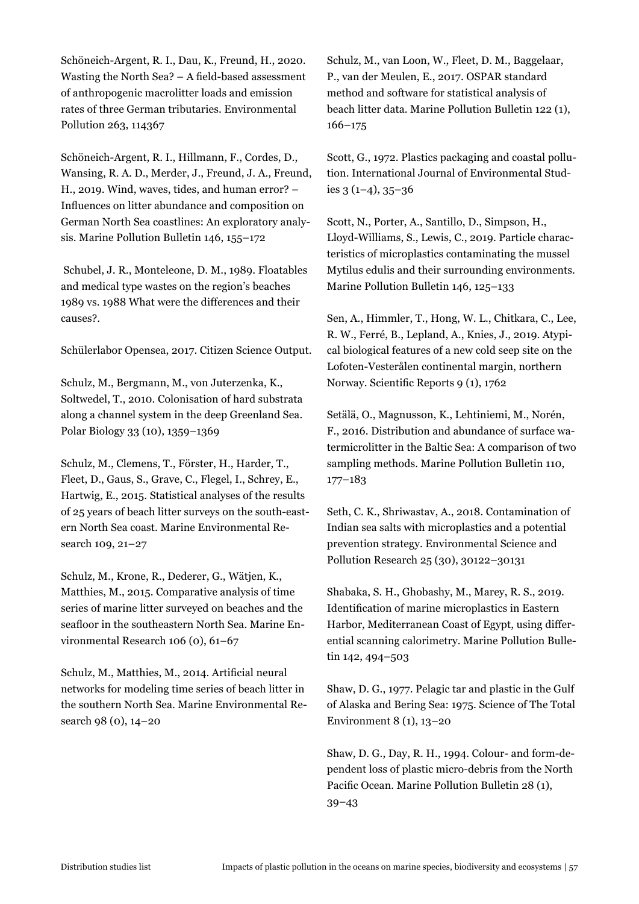Schöneich-Argent, R. I., Dau, K., Freund, H., 2020. Wasting the North Sea? – A field-based assessment of anthropogenic macrolitter loads and emission rates of three German tributaries. Environmental Pollution 263, 114367

Schöneich-Argent, R. I., Hillmann, F., Cordes, D., Wansing, R. A. D., Merder, J., Freund, J. A., Freund, H., 2019. Wind, waves, tides, and human error? – Influences on litter abundance and composition on German North Sea coastlines: An exploratory analysis. Marine Pollution Bulletin 146, 155–172

 Schubel, J. R., Monteleone, D. M., 1989. Floatables and medical type wastes on the region's beaches 1989 vs. 1988 What were the differences and their causes?.

Schülerlabor Opensea, 2017. Citizen Science Output.

Schulz, M., Bergmann, M., von Juterzenka, K., Soltwedel, T., 2010. Colonisation of hard substrata along a channel system in the deep Greenland Sea. Polar Biology 33 (10), 1359–1369

Schulz, M., Clemens, T., Förster, H., Harder, T., Fleet, D., Gaus, S., Grave, C., Flegel, I., Schrey, E., Hartwig, E., 2015. Statistical analyses of the results of 25 years of beach litter surveys on the south-eastern North Sea coast. Marine Environmental Research 109, 21–27

Schulz, M., Krone, R., Dederer, G., Wätjen, K., Matthies, M., 2015. Comparative analysis of time series of marine litter surveyed on beaches and the seafloor in the southeastern North Sea. Marine Environmental Research 106 (0), 61–67

Schulz, M., Matthies, M., 2014. Artificial neural networks for modeling time series of beach litter in the southern North Sea. Marine Environmental Research 98 (0), 14–20

Schulz, M., van Loon, W., Fleet, D. M., Baggelaar, P., van der Meulen, E., 2017. OSPAR standard method and software for statistical analysis of beach litter data. Marine Pollution Bulletin 122 (1), 166–175

Scott, G., 1972. Plastics packaging and coastal pollution. International Journal of Environmental Studies 3 (1–4), 35–36

Scott, N., Porter, A., Santillo, D., Simpson, H., Lloyd-Williams, S., Lewis, C., 2019. Particle characteristics of microplastics contaminating the mussel Mytilus edulis and their surrounding environments. Marine Pollution Bulletin 146, 125–133

Sen, A., Himmler, T., Hong, W. L., Chitkara, C., Lee, R. W., Ferré, B., Lepland, A., Knies, J., 2019. Atypical biological features of a new cold seep site on the Lofoten-Vesterålen continental margin, northern Norway. Scientific Reports 9 (1), 1762

Setälä, O., Magnusson, K., Lehtiniemi, M., Norén, F., 2016. Distribution and abundance of surface watermicrolitter in the Baltic Sea: A comparison of two sampling methods. Marine Pollution Bulletin 110, 177–183

Seth, C. K., Shriwastav, A., 2018. Contamination of Indian sea salts with microplastics and a potential prevention strategy. Environmental Science and Pollution Research 25 (30), 30122–30131

Shabaka, S. H., Ghobashy, M., Marey, R. S., 2019. Identification of marine microplastics in Eastern Harbor, Mediterranean Coast of Egypt, using differential scanning calorimetry. Marine Pollution Bulletin 142, 494–503

Shaw, D. G., 1977. Pelagic tar and plastic in the Gulf of Alaska and Bering Sea: 1975. Science of The Total Environment 8 (1), 13–20

Shaw, D. G., Day, R. H., 1994. Colour- and form-dependent loss of plastic micro-debris from the North Pacific Ocean. Marine Pollution Bulletin 28 (1), 39–43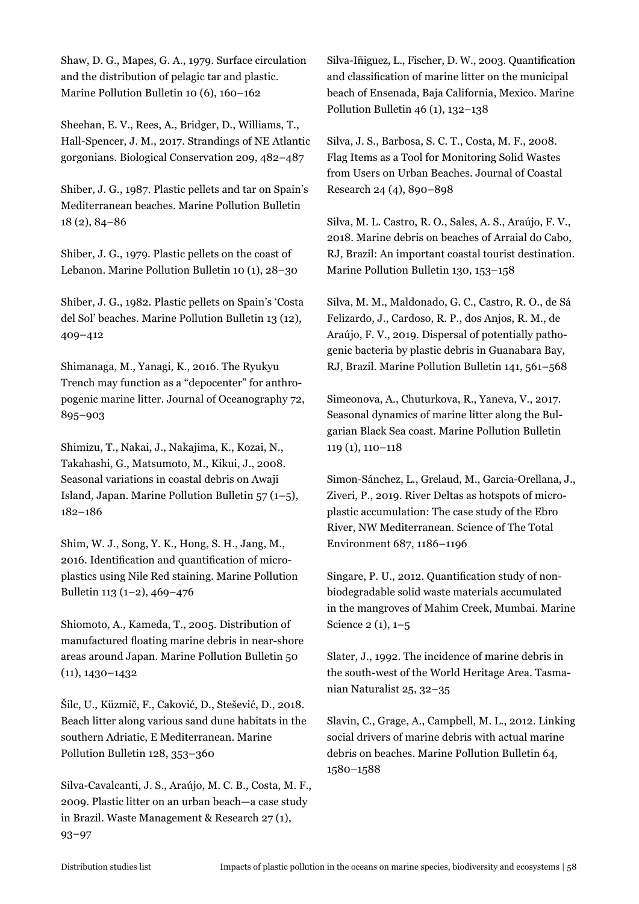Shaw, D. G., Mapes, G. A., 1979. Surface circulation and the distribution of pelagic tar and plastic. Marine Pollution Bulletin 10 (6), 160–162

Sheehan, E. V., Rees, A., Bridger, D., Williams, T., Hall-Spencer, J. M., 2017. Strandings of NE Atlantic gorgonians. Biological Conservation 209, 482–487

Shiber, J. G., 1987. Plastic pellets and tar on Spain's Mediterranean beaches. Marine Pollution Bulletin 18 (2), 84–86

Shiber, J. G., 1979. Plastic pellets on the coast of Lebanon. Marine Pollution Bulletin 10 (1), 28–30

Shiber, J. G., 1982. Plastic pellets on Spain's 'Costa del Sol' beaches. Marine Pollution Bulletin 13 (12), 409–412

Shimanaga, M., Yanagi, K., 2016. The Ryukyu Trench may function as a "depocenter" for anthropogenic marine litter. Journal of Oceanography 72, 895–903

Shimizu, T., Nakai, J., Nakajima, K., Kozai, N., Takahashi, G., Matsumoto, M., Kikui, J., 2008. Seasonal variations in coastal debris on Awaji Island, Japan. Marine Pollution Bulletin 57 (1–5), 182–186

Shim, W. J., Song, Y. K., Hong, S. H., Jang, M., 2016. Identification and quantification of microplastics using Nile Red staining. Marine Pollution Bulletin 113 (1–2), 469–476

Shiomoto, A., Kameda, T., 2005. Distribution of manufactured floating marine debris in near-shore areas around Japan. Marine Pollution Bulletin 50 (11), 1430–1432

Šilc, U., Küzmič, F., Caković, D., Stešević, D., 2018. Beach litter along various sand dune habitats in the southern Adriatic, E Mediterranean. Marine Pollution Bulletin 128, 353–360

Silva-Cavalcanti, J. S., Araújo, M. C. B., Costa, M. F., 2009. Plastic litter on an urban beach—a case study in Brazil. Waste Management & Research 27 (1), 93–97

Silva-Iñiguez, L., Fischer, D. W., 2003. Quantification and classification of marine litter on the municipal beach of Ensenada, Baja California, Mexico. Marine Pollution Bulletin 46 (1), 132–138

Silva, J. S., Barbosa, S. C. T., Costa, M. F., 2008. Flag Items as a Tool for Monitoring Solid Wastes from Users on Urban Beaches. Journal of Coastal Research 24 (4), 890–898

Silva, M. L. Castro, R. O., Sales, A. S., Araújo, F. V., 2018. Marine debris on beaches of Arraial do Cabo, RJ, Brazil: An important coastal tourist destination. Marine Pollution Bulletin 130, 153–158

Silva, M. M., Maldonado, G. C., Castro, R. O., de Sá Felizardo, J., Cardoso, R. P., dos Anjos, R. M., de Araújo, F. V., 2019. Dispersal of potentially pathogenic bacteria by plastic debris in Guanabara Bay, RJ, Brazil. Marine Pollution Bulletin 141, 561–568

Simeonova, A., Chuturkova, R., Yaneva, V., 2017. Seasonal dynamics of marine litter along the Bulgarian Black Sea coast. Marine Pollution Bulletin 119 (1), 110–118

Simon-Sánchez, L., Grelaud, M., Garcia-Orellana, J., Ziveri, P., 2019. River Deltas as hotspots of microplastic accumulation: The case study of the Ebro River, NW Mediterranean. Science of The Total Environment 687, 1186–1196

Singare, P. U., 2012. Quantification study of nonbiodegradable solid waste materials accumulated in the mangroves of Mahim Creek, Mumbai. Marine Science 2 (1), 1–5

Slater, J., 1992. The incidence of marine debris in the south-west of the World Heritage Area. Tasmanian Naturalist 25, 32–35

Slavin, C., Grage, A., Campbell, M. L., 2012. Linking social drivers of marine debris with actual marine debris on beaches. Marine Pollution Bulletin 64, 1580–1588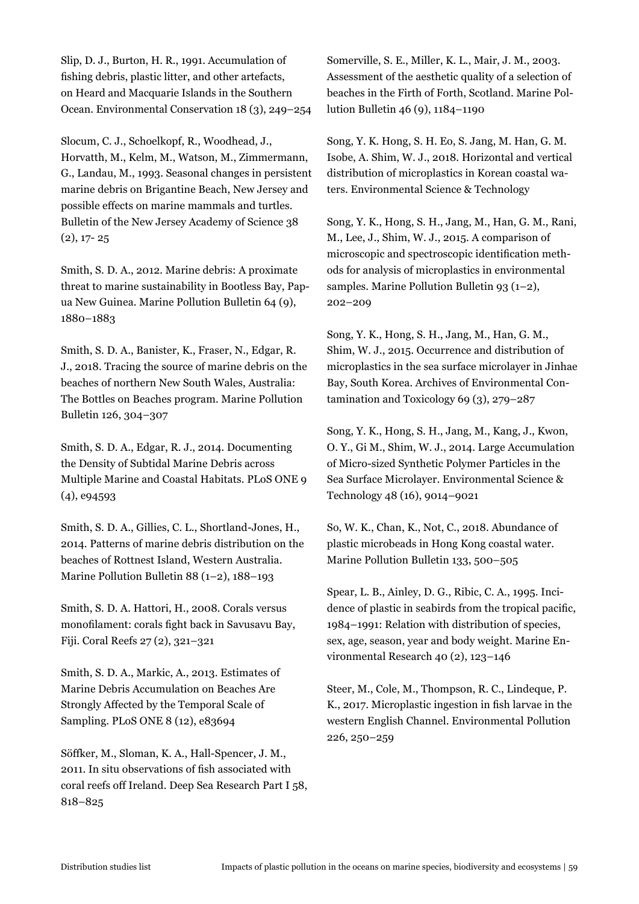Slip, D. J., Burton, H. R., 1991. Accumulation of fishing debris, plastic litter, and other artefacts, on Heard and Macquarie Islands in the Southern Ocean. Environmental Conservation 18 (3), 249–254

Slocum, C. J., Schoelkopf, R., Woodhead, J., Horvatth, M., Kelm, M., Watson, M., Zimmermann, G., Landau, M., 1993. Seasonal changes in persistent marine debris on Brigantine Beach, New Jersey and possible effects on marine mammals and turtles. Bulletin of the New Jersey Academy of Science 38  $(2), 17 - 25$ 

Smith, S. D. A., 2012. Marine debris: A proximate threat to marine sustainability in Bootless Bay, Papua New Guinea. Marine Pollution Bulletin 64 (9), 1880–1883

Smith, S. D. A., Banister, K., Fraser, N., Edgar, R. J., 2018. Tracing the source of marine debris on the beaches of northern New South Wales, Australia: The Bottles on Beaches program. Marine Pollution Bulletin 126, 304–307

Smith, S. D. A., Edgar, R. J., 2014. Documenting the Density of Subtidal Marine Debris across Multiple Marine and Coastal Habitats. PLoS ONE 9 (4), e94593

Smith, S. D. A., Gillies, C. L., Shortland-Jones, H., 2014. Patterns of marine debris distribution on the beaches of Rottnest Island, Western Australia. Marine Pollution Bulletin 88 (1–2), 188–193

Smith, S. D. A. Hattori, H., 2008. Corals versus monofilament: corals fight back in Savusavu Bay, Fiji. Coral Reefs 27 (2), 321–321

Smith, S. D. A., Markic, A., 2013. Estimates of Marine Debris Accumulation on Beaches Are Strongly Affected by the Temporal Scale of Sampling. PLoS ONE 8 (12), e83694

Söffker, M., Sloman, K. A., Hall-Spencer, J. M., 2011. In situ observations of fish associated with coral reefs off Ireland. Deep Sea Research Part I 58, 818–825

Somerville, S. E., Miller, K. L., Mair, J. M., 2003. Assessment of the aesthetic quality of a selection of beaches in the Firth of Forth, Scotland. Marine Pollution Bulletin 46 (9), 1184–1190

Song, Y. K. Hong, S. H. Eo, S. Jang, M. Han, G. M. Isobe, A. Shim, W. J., 2018. Horizontal and vertical distribution of microplastics in Korean coastal waters. Environmental Science & Technology

Song, Y. K., Hong, S. H., Jang, M., Han, G. M., Rani, M., Lee, J., Shim, W. J., 2015. A comparison of microscopic and spectroscopic identification methods for analysis of microplastics in environmental samples. Marine Pollution Bulletin 93 (1–2), 202–209

Song, Y. K., Hong, S. H., Jang, M., Han, G. M., Shim, W. J., 2015. Occurrence and distribution of microplastics in the sea surface microlayer in Jinhae Bay, South Korea. Archives of Environmental Contamination and Toxicology 69 (3), 279–287

Song, Y. K., Hong, S. H., Jang, M., Kang, J., Kwon, O. Y., Gi M., Shim, W. J., 2014. Large Accumulation of Micro-sized Synthetic Polymer Particles in the Sea Surface Microlayer. Environmental Science & Technology 48 (16), 9014–9021

So, W. K., Chan, K., Not, C., 2018. Abundance of plastic microbeads in Hong Kong coastal water. Marine Pollution Bulletin 133, 500–505

Spear, L. B., Ainley, D. G., Ribic, C. A., 1995. Incidence of plastic in seabirds from the tropical pacific, 1984–1991: Relation with distribution of species, sex, age, season, year and body weight. Marine Environmental Research 40 (2), 123–146

Steer, M., Cole, M., Thompson, R. C., Lindeque, P. K., 2017. Microplastic ingestion in fish larvae in the western English Channel. Environmental Pollution 226, 250–259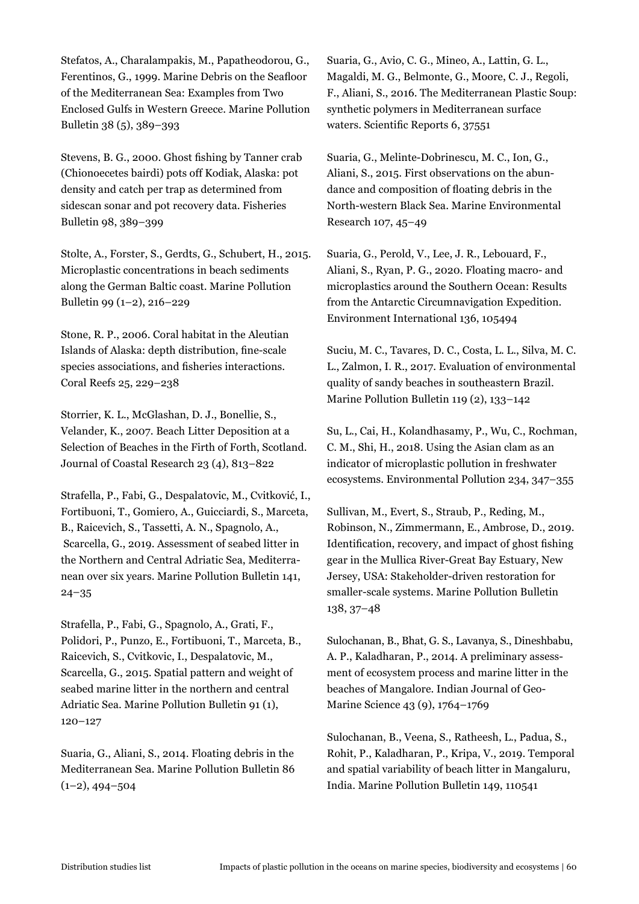Stefatos, A., Charalampakis, M., Papatheodorou, G., Ferentinos, G., 1999. Marine Debris on the Seafloor of the Mediterranean Sea: Examples from Two Enclosed Gulfs in Western Greece. Marine Pollution Bulletin 38 (5), 389–393

Stevens, B. G., 2000. Ghost fishing by Tanner crab (Chionoecetes bairdi) pots off Kodiak, Alaska: pot density and catch per trap as determined from sidescan sonar and pot recovery data. Fisheries Bulletin 98, 389–399

Stolte, A., Forster, S., Gerdts, G., Schubert, H., 2015. Microplastic concentrations in beach sediments along the German Baltic coast. Marine Pollution Bulletin 99 (1–2), 216–229

Stone, R. P., 2006. Coral habitat in the Aleutian Islands of Alaska: depth distribution, fine-scale species associations, and fisheries interactions. Coral Reefs 25, 229–238

Storrier, K. L., McGlashan, D. J., Bonellie, S., Velander, K., 2007. Beach Litter Deposition at a Selection of Beaches in the Firth of Forth, Scotland. Journal of Coastal Research 23 (4), 813–822

Strafella, P., Fabi, G., Despalatovic, M., Cvitković, I., Fortibuoni, T., Gomiero, A., Guicciardi, S., Marceta, B., Raicevich, S., Tassetti, A. N., Spagnolo, A., Scarcella, G., 2019. Assessment of seabed litter in the Northern and Central Adriatic Sea, Mediterranean over six years. Marine Pollution Bulletin 141, 24–35

Strafella, P., Fabi, G., Spagnolo, A., Grati, F., Polidori, P., Punzo, E., Fortibuoni, T., Marceta, B., Raicevich, S., Cvitkovic, I., Despalatovic, M., Scarcella, G., 2015. Spatial pattern and weight of seabed marine litter in the northern and central Adriatic Sea. Marine Pollution Bulletin 91 (1), 120–127

Suaria, G., Aliani, S., 2014. Floating debris in the Mediterranean Sea. Marine Pollution Bulletin 86  $(1-2)$ , 494–504

Suaria, G., Avio, C. G., Mineo, A., Lattin, G. L., Magaldi, M. G., Belmonte, G., Moore, C. J., Regoli, F., Aliani, S., 2016. The Mediterranean Plastic Soup: synthetic polymers in Mediterranean surface waters. Scientific Reports 6, 37551

Suaria, G., Melinte-Dobrinescu, M. C., Ion, G., Aliani, S., 2015. First observations on the abundance and composition of floating debris in the North-western Black Sea. Marine Environmental Research 107, 45–49

Suaria, G., Perold, V., Lee, J. R., Lebouard, F., Aliani, S., Ryan, P. G., 2020. Floating macro- and microplastics around the Southern Ocean: Results from the Antarctic Circumnavigation Expedition. Environment International 136, 105494

Suciu, M. C., Tavares, D. C., Costa, L. L., Silva, M. C. L., Zalmon, I. R., 2017. Evaluation of environmental quality of sandy beaches in southeastern Brazil. Marine Pollution Bulletin 119 (2), 133–142

Su, L., Cai, H., Kolandhasamy, P., Wu, C., Rochman, C. M., Shi, H., 2018. Using the Asian clam as an indicator of microplastic pollution in freshwater ecosystems. Environmental Pollution 234, 347–355

Sullivan, M., Evert, S., Straub, P., Reding, M., Robinson, N., Zimmermann, E., Ambrose, D., 2019. Identification, recovery, and impact of ghost fishing gear in the Mullica River-Great Bay Estuary, New Jersey, USA: Stakeholder-driven restoration for smaller-scale systems. Marine Pollution Bulletin 138, 37–48

Sulochanan, B., Bhat, G. S., Lavanya, S., Dineshbabu, A. P., Kaladharan, P., 2014. A preliminary assessment of ecosystem process and marine litter in the beaches of Mangalore. Indian Journal of Geo-Marine Science 43 (9), 1764–1769

Sulochanan, B., Veena, S., Ratheesh, L., Padua, S., Rohit, P., Kaladharan, P., Kripa, V., 2019. Temporal and spatial variability of beach litter in Mangaluru, India. Marine Pollution Bulletin 149, 110541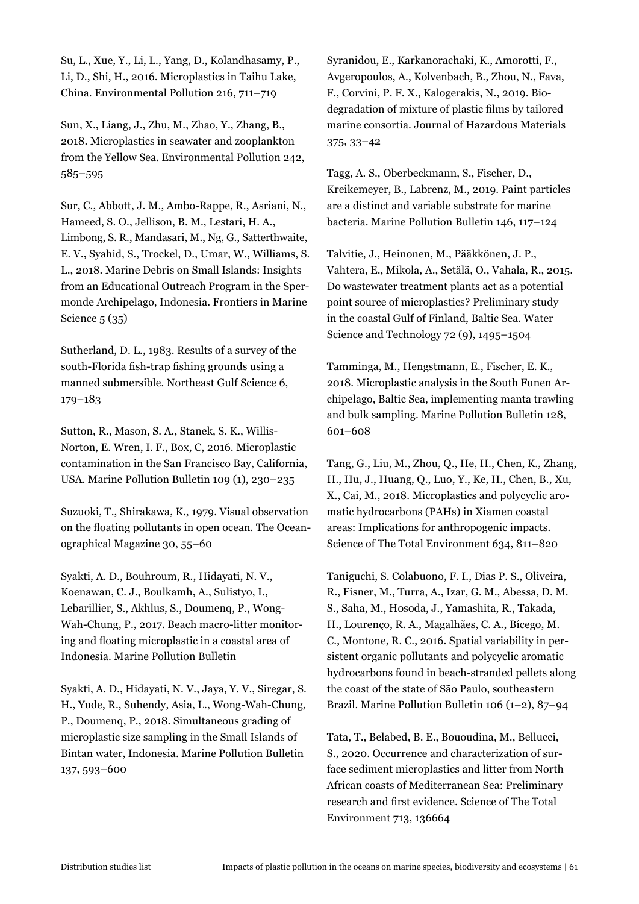Su, L., Xue, Y., Li, L., Yang, D., Kolandhasamy, P., Li, D., Shi, H., 2016. Microplastics in Taihu Lake, China. Environmental Pollution 216, 711–719

Sun, X., Liang, J., Zhu, M., Zhao, Y., Zhang, B., 2018. Microplastics in seawater and zooplankton from the Yellow Sea. Environmental Pollution 242, 585–595

Sur, C., Abbott, J. M., Ambo-Rappe, R., Asriani, N., Hameed, S. O., Jellison, B. M., Lestari, H. A., Limbong, S. R., Mandasari, M., Ng, G., Satterthwaite, E. V., Syahid, S., Trockel, D., Umar, W., Williams, S. L., 2018. Marine Debris on Small Islands: Insights from an Educational Outreach Program in the Spermonde Archipelago, Indonesia. Frontiers in Marine Science 5 (35)

Sutherland, D. L., 1983. Results of a survey of the south-Florida fish-trap fishing grounds using a manned submersible. Northeast Gulf Science 6, 179–183

Sutton, R., Mason, S. A., Stanek, S. K., Willis-Norton, E. Wren, I. F., Box, C, 2016. Microplastic contamination in the San Francisco Bay, California, USA. Marine Pollution Bulletin 109 (1), 230–235

Suzuoki, T., Shirakawa, K., 1979. Visual observation on the floating pollutants in open ocean. The Oceanographical Magazine 30, 55–60

Syakti, A. D., Bouhroum, R., Hidayati, N. V., Koenawan, C. J., Boulkamh, A., Sulistyo, I., Lebarillier, S., Akhlus, S., Doumeng, P., Wong-Wah-Chung, P., 2017. Beach macro-litter monitoring and floating microplastic in a coastal area of Indonesia. Marine Pollution Bulletin

Syakti, A. D., Hidayati, N. V., Jaya, Y. V., Siregar, S. H., Yude, R., Suhendy, Asia, L., Wong-Wah-Chung, P., Doumenq, P., 2018. Simultaneous grading of microplastic size sampling in the Small Islands of Bintan water, Indonesia. Marine Pollution Bulletin 137, 593–600

Syranidou, E., Karkanorachaki, K., Amorotti, F., Avgeropoulos, A., Kolvenbach, B., Zhou, N., Fava, F., Corvini, P. F. X., Kalogerakis, N., 2019. Biodegradation of mixture of plastic films by tailored marine consortia. Journal of Hazardous Materials 375, 33–42

Tagg, A. S., Oberbeckmann, S., Fischer, D., Kreikemeyer, B., Labrenz, M., 2019. Paint particles are a distinct and variable substrate for marine bacteria. Marine Pollution Bulletin 146, 117–124

Talvitie, J., Heinonen, M., Pääkkönen, J. P., Vahtera, E., Mikola, A., Setälä, O., Vahala, R., 2015. Do wastewater treatment plants act as a potential point source of microplastics? Preliminary study in the coastal Gulf of Finland, Baltic Sea. Water Science and Technology 72 (9), 1495–1504

Tamminga, M., Hengstmann, E., Fischer, E. K., 2018. Microplastic analysis in the South Funen Archipelago, Baltic Sea, implementing manta trawling and bulk sampling. Marine Pollution Bulletin 128, 601–608

Tang, G., Liu, M., Zhou, Q., He, H., Chen, K., Zhang, H., Hu, J., Huang, Q., Luo, Y., Ke, H., Chen, B., Xu, X., Cai, M., 2018. Microplastics and polycyclic aromatic hydrocarbons (PAHs) in Xiamen coastal areas: Implications for anthropogenic impacts. Science of The Total Environment 634, 811–820

Taniguchi, S. Colabuono, F. I., Dias P. S., Oliveira, R., Fisner, M., Turra, A., Izar, G. M., Abessa, D. M. S., Saha, M., Hosoda, J., Yamashita, R., Takada, H., Lourenço, R. A., Magalhães, C. A., Bícego, M. C., Montone, R. C., 2016. Spatial variability in persistent organic pollutants and polycyclic aromatic hydrocarbons found in beach-stranded pellets along the coast of the state of São Paulo, southeastern Brazil. Marine Pollution Bulletin 106 (1–2), 87–94

Tata, T., Belabed, B. E., Bououdina, M., Bellucci, S., 2020. Occurrence and characterization of surface sediment microplastics and litter from North African coasts of Mediterranean Sea: Preliminary research and first evidence. Science of The Total Environment 713, 136664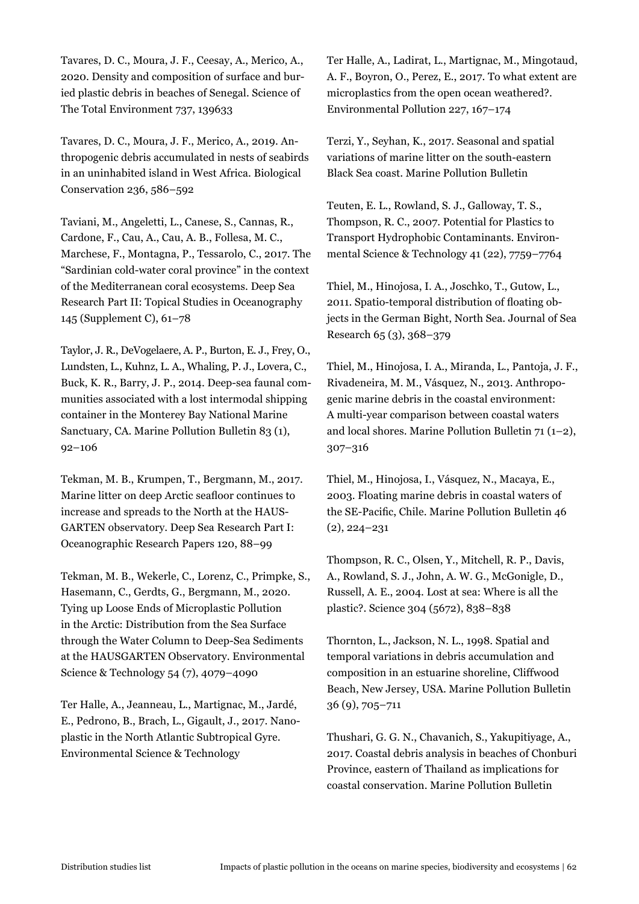Tavares, D. C., Moura, J. F., Ceesay, A., Merico, A., 2020. Density and composition of surface and buried plastic debris in beaches of Senegal. Science of The Total Environment 737, 139633

Tavares, D. C., Moura, J. F., Merico, A., 2019. Anthropogenic debris accumulated in nests of seabirds in an uninhabited island in West Africa. Biological Conservation 236, 586–592

Taviani, M., Angeletti, L., Canese, S., Cannas, R., Cardone, F., Cau, A., Cau, A. B., Follesa, M. C., Marchese, F., Montagna, P., Tessarolo, C., 2017. The "Sardinian cold-water coral province" in the context of the Mediterranean coral ecosystems. Deep Sea Research Part II: Topical Studies in Oceanography 145 (Supplement C), 61–78

Taylor, J. R., DeVogelaere, A. P., Burton, E. J., Frey, O., Lundsten, L., Kuhnz, L. A., Whaling, P. J., Lovera, C., Buck, K. R., Barry, J. P., 2014. Deep-sea faunal communities associated with a lost intermodal shipping container in the Monterey Bay National Marine Sanctuary, CA. Marine Pollution Bulletin 83 (1), 92–106

Tekman, M. B., Krumpen, T., Bergmann, M., 2017. Marine litter on deep Arctic seafloor continues to increase and spreads to the North at the HAUS-GARTEN observatory. Deep Sea Research Part I: Oceanographic Research Papers 120, 88–99

Tekman, M. B., Wekerle, C., Lorenz, C., Primpke, S., Hasemann, C., Gerdts, G., Bergmann, M., 2020. Tying up Loose Ends of Microplastic Pollution in the Arctic: Distribution from the Sea Surface through the Water Column to Deep-Sea Sediments at the HAUSGARTEN Observatory. Environmental Science & Technology 54 (7), 4079–4090

Ter Halle, A., Jeanneau, L., Martignac, M., Jardé, E., Pedrono, B., Brach, L., Gigault, J., 2017. Nanoplastic in the North Atlantic Subtropical Gyre. Environmental Science & Technology

Ter Halle, A., Ladirat, L., Martignac, M., Mingotaud, A. F., Boyron, O., Perez, E., 2017. To what extent are microplastics from the open ocean weathered?. Environmental Pollution 227, 167–174

Terzi, Y., Seyhan, K., 2017. Seasonal and spatial variations of marine litter on the south-eastern Black Sea coast. Marine Pollution Bulletin

Teuten, E. L., Rowland, S. J., Galloway, T. S., Thompson, R. C., 2007. Potential for Plastics to Transport Hydrophobic Contaminants. Environmental Science & Technology 41 (22), 7759–7764

Thiel, M., Hinojosa, I. A., Joschko, T., Gutow, L., 2011. Spatio-temporal distribution of floating objects in the German Bight, North Sea. Journal of Sea Research 65 (3), 368–379

Thiel, M., Hinojosa, I. A., Miranda, L., Pantoja, J. F., Rivadeneira, M. M., Vásquez, N., 2013. Anthropogenic marine debris in the coastal environment: A multi-year comparison between coastal waters and local shores. Marine Pollution Bulletin 71 (1–2), 307–316

Thiel, M., Hinojosa, I., Vásquez, N., Macaya, E., 2003. Floating marine debris in coastal waters of the SE-Pacific, Chile. Marine Pollution Bulletin 46 (2), 224–231

Thompson, R. C., Olsen, Y., Mitchell, R. P., Davis, A., Rowland, S. J., John, A. W. G., McGonigle, D., Russell, A. E., 2004. Lost at sea: Where is all the plastic?. Science 304 (5672), 838–838

Thornton, L., Jackson, N. L., 1998. Spatial and temporal variations in debris accumulation and composition in an estuarine shoreline, Cliffwood Beach, New Jersey, USA. Marine Pollution Bulletin 36 (9), 705–711

Thushari, G. G. N., Chavanich, S., Yakupitiyage, A., 2017. Coastal debris analysis in beaches of Chonburi Province, eastern of Thailand as implications for coastal conservation. Marine Pollution Bulletin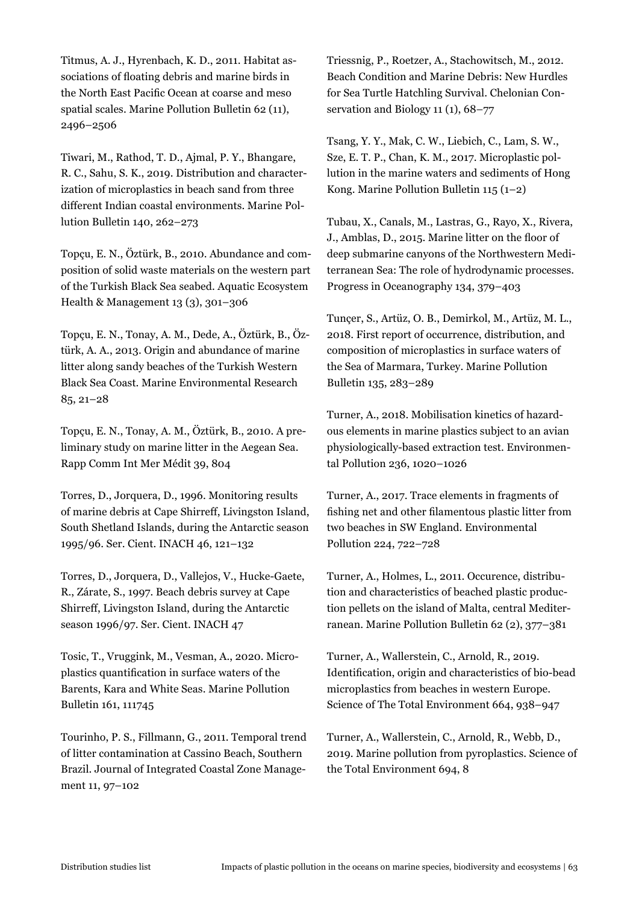Titmus, A. J., Hyrenbach, K. D., 2011. Habitat associations of floating debris and marine birds in the North East Pacific Ocean at coarse and meso spatial scales. Marine Pollution Bulletin 62 (11), 2496–2506

Tiwari, M., Rathod, T. D., Ajmal, P. Y., Bhangare, R. C., Sahu, S. K., 2019. Distribution and characterization of microplastics in beach sand from three different Indian coastal environments. Marine Pollution Bulletin 140, 262–273

Topçu, E. N., Öztürk, B., 2010. Abundance and composition of solid waste materials on the western part of the Turkish Black Sea seabed. Aquatic Ecosystem Health & Management 13 (3), 301–306

Topçu, E. N., Tonay, A. M., Dede, A., Öztürk, B., Öztürk, A. A., 2013. Origin and abundance of marine litter along sandy beaches of the Turkish Western Black Sea Coast. Marine Environmental Research 85, 21–28

Topçu, E. N., Tonay, A. M., Öztürk, B., 2010. A preliminary study on marine litter in the Aegean Sea. Rapp Comm Int Mer Médit 39, 804

Torres, D., Jorquera, D., 1996. Monitoring results of marine debris at Cape Shirreff, Livingston Island, South Shetland Islands, during the Antarctic season 1995/96. Ser. Cient. INACH 46, 121–132

Torres, D., Jorquera, D., Vallejos, V., Hucke-Gaete, R., Zárate, S., 1997. Beach debris survey at Cape Shirreff, Livingston Island, during the Antarctic season 1996/97. Ser. Cient. INACH 47

Tosic, T., Vruggink, M., Vesman, A., 2020. Microplastics quantification in surface waters of the Barents, Kara and White Seas. Marine Pollution Bulletin 161, 111745

Tourinho, P. S., Fillmann, G., 2011. Temporal trend of litter contamination at Cassino Beach, Southern Brazil. Journal of Integrated Coastal Zone Management 11, 97–102

Triessnig, P., Roetzer, A., Stachowitsch, M., 2012. Beach Condition and Marine Debris: New Hurdles for Sea Turtle Hatchling Survival. Chelonian Conservation and Biology 11 (1), 68–77

Tsang, Y. Y., Mak, C. W., Liebich, C., Lam, S. W., Sze, E. T. P., Chan, K. M., 2017. Microplastic pollution in the marine waters and sediments of Hong Kong. Marine Pollution Bulletin 115 (1–2)

Tubau, X., Canals, M., Lastras, G., Rayo, X., Rivera, J., Amblas, D., 2015. Marine litter on the floor of deep submarine canyons of the Northwestern Mediterranean Sea: The role of hydrodynamic processes. Progress in Oceanography 134, 379–403

Tunçer, S., Artüz, O. B., Demirkol, M., Artüz, M. L., 2018. First report of occurrence, distribution, and composition of microplastics in surface waters of the Sea of Marmara, Turkey. Marine Pollution Bulletin 135, 283–289

Turner, A., 2018. Mobilisation kinetics of hazardous elements in marine plastics subject to an avian physiologically-based extraction test. Environmental Pollution 236, 1020–1026

Turner, A., 2017. Trace elements in fragments of fishing net and other filamentous plastic litter from two beaches in SW England. Environmental Pollution 224, 722–728

Turner, A., Holmes, L., 2011. Occurence, distribution and characteristics of beached plastic production pellets on the island of Malta, central Mediterranean. Marine Pollution Bulletin 62 (2), 377–381

Turner, A., Wallerstein, C., Arnold, R., 2019. Identification, origin and characteristics of bio-bead microplastics from beaches in western Europe. Science of The Total Environment 664, 938–947

Turner, A., Wallerstein, C., Arnold, R., Webb, D., 2019. Marine pollution from pyroplastics. Science of the Total Environment 694, 8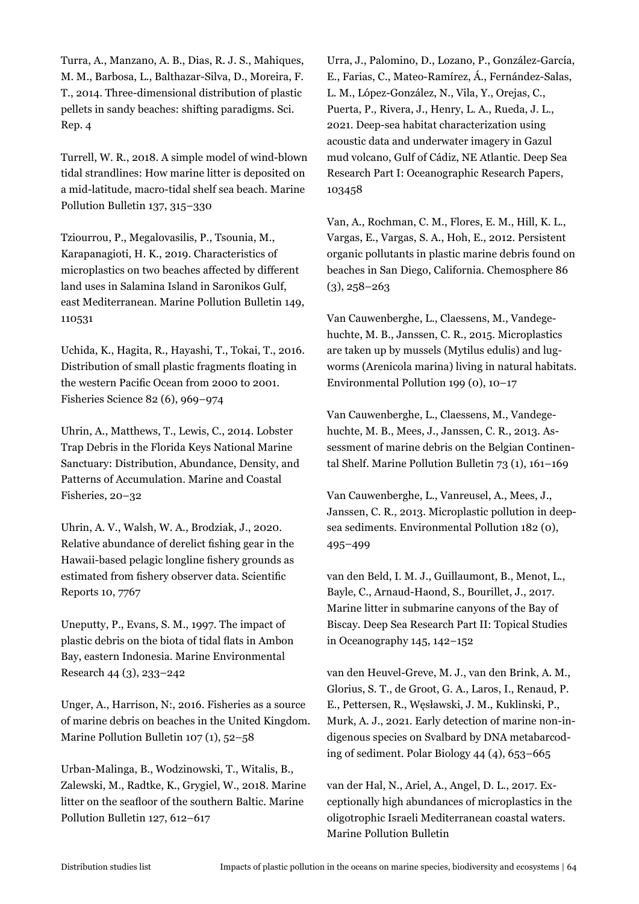Turra, A., Manzano, A. B., Dias, R. J. S., Mahiques, M. M., Barbosa, L., Balthazar-Silva, D., Moreira, F. T., 2014. Three-dimensional distribution of plastic pellets in sandy beaches: shifting paradigms. Sci. Rep. 4

Turrell, W. R., 2018. A simple model of wind-blown tidal strandlines: How marine litter is deposited on a mid-latitude, macro-tidal shelf sea beach. Marine Pollution Bulletin 137, 315–330

Tziourrou, P., Megalovasilis, P., Tsounia, M., Karapanagioti, H. K., 2019. Characteristics of microplastics on two beaches affected by different land uses in Salamina Island in Saronikos Gulf, east Mediterranean. Marine Pollution Bulletin 149, 110531

Uchida, K., Hagita, R., Hayashi, T., Tokai, T., 2016. Distribution of small plastic fragments floating in the western Pacific Ocean from 2000 to 2001. Fisheries Science 82 (6), 969–974

Uhrin, A., Matthews, T., Lewis, C., 2014. Lobster Trap Debris in the Florida Keys National Marine Sanctuary: Distribution, Abundance, Density, and Patterns of Accumulation. Marine and Coastal Fisheries, 20–32

Uhrin, A. V., Walsh, W. A., Brodziak, J., 2020. Relative abundance of derelict fishing gear in the Hawaii-based pelagic longline fishery grounds as estimated from fishery observer data. Scientific Reports 10, 7767

Uneputty, P., Evans, S. M., 1997. The impact of plastic debris on the biota of tidal flats in Ambon Bay, eastern Indonesia. Marine Environmental Research 44 (3), 233–242

Unger, A., Harrison, N:, 2016. Fisheries as a source of marine debris on beaches in the United Kingdom. Marine Pollution Bulletin 107 (1), 52–58

Urban-Malinga, B., Wodzinowski, T., Witalis, B., Zalewski, M., Radtke, K., Grygiel, W., 2018. Marine litter on the seafloor of the southern Baltic. Marine Pollution Bulletin 127, 612–617

Urra, J., Palomino, D., Lozano, P., González-García, E., Farias, C., Mateo-Ramírez, Á., Fernández-Salas, L. M., López-González, N., Vila, Y., Orejas, C., Puerta, P., Rivera, J., Henry, L. A., Rueda, J. L., 2021. Deep-sea habitat characterization using acoustic data and underwater imagery in Gazul mud volcano, Gulf of Cádiz, NE Atlantic. Deep Sea Research Part I: Oceanographic Research Papers, 103458

Van, A., Rochman, C. M., Flores, E. M., Hill, K. L., Vargas, E., Vargas, S. A., Hoh, E., 2012. Persistent organic pollutants in plastic marine debris found on beaches in San Diego, California. Chemosphere 86  $(3), 258 - 263$ 

Van Cauwenberghe, L., Claessens, M., Vandegehuchte, M. B., Janssen, C. R., 2015. Microplastics are taken up by mussels (Mytilus edulis) and lugworms (Arenicola marina) living in natural habitats. Environmental Pollution 199 (0), 10–17

Van Cauwenberghe, L., Claessens, M., Vandegehuchte, M. B., Mees, J., Janssen, C. R., 2013. Assessment of marine debris on the Belgian Continental Shelf. Marine Pollution Bulletin 73 (1), 161–169

Van Cauwenberghe, L., Vanreusel, A., Mees, J., Janssen, C. R., 2013. Microplastic pollution in deepsea sediments. Environmental Pollution 182 (0), 495–499

van den Beld, I. M. J., Guillaumont, B., Menot, L., Bayle, C., Arnaud-Haond, S., Bourillet, J., 2017. Marine litter in submarine canyons of the Bay of Biscay. Deep Sea Research Part II: Topical Studies in Oceanography 145, 142–152

van den Heuvel-Greve, M. J., van den Brink, A. M., Glorius, S. T., de Groot, G. A., Laros, I., Renaud, P. E., Pettersen, R., Węsławski, J. M., Kuklinski, P., Murk, A. J., 2021. Early detection of marine non-indigenous species on Svalbard by DNA metabarcoding of sediment. Polar Biology 44 (4), 653–665

van der Hal, N., Ariel, A., Angel, D. L., 2017. Exceptionally high abundances of microplastics in the oligotrophic Israeli Mediterranean coastal waters. Marine Pollution Bulletin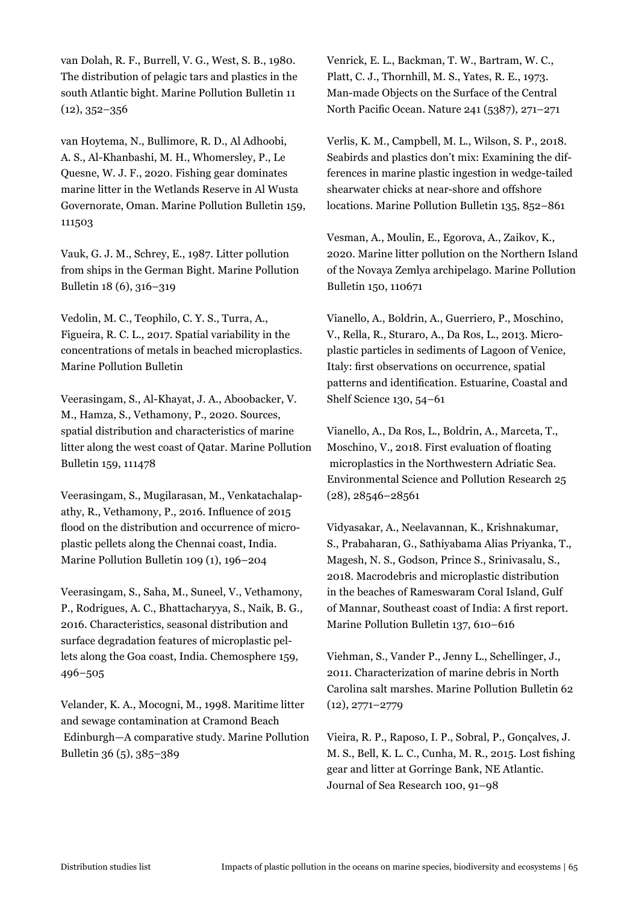van Dolah, R. F., Burrell, V. G., West, S. B., 1980. The distribution of pelagic tars and plastics in the south Atlantic bight. Marine Pollution Bulletin 11 (12), 352–356

van Hoytema, N., Bullimore, R. D., Al Adhoobi, A. S., Al-Khanbashi, M. H., Whomersley, P., Le Quesne, W. J. F., 2020. Fishing gear dominates marine litter in the Wetlands Reserve in Al Wusta Governorate, Oman. Marine Pollution Bulletin 159, 111503

Vauk, G. J. M., Schrey, E., 1987. Litter pollution from ships in the German Bight. Marine Pollution Bulletin 18 (6), 316–319

Vedolin, M. C., Teophilo, C. Y. S., Turra, A., Figueira, R. C. L., 2017. Spatial variability in the concentrations of metals in beached microplastics. Marine Pollution Bulletin

Veerasingam, S., Al-Khayat, J. A., Aboobacker, V. M., Hamza, S., Vethamony, P., 2020. Sources, spatial distribution and characteristics of marine litter along the west coast of Qatar. Marine Pollution Bulletin 159, 111478

Veerasingam, S., Mugilarasan, M., Venkatachalapathy, R., Vethamony, P., 2016. Influence of 2015 flood on the distribution and occurrence of microplastic pellets along the Chennai coast, India. Marine Pollution Bulletin 109 (1), 196–204

Veerasingam, S., Saha, M., Suneel, V., Vethamony, P., Rodrigues, A. C., Bhattacharyya, S., Naik, B. G., 2016. Characteristics, seasonal distribution and surface degradation features of microplastic pellets along the Goa coast, India. Chemosphere 159, 496–505

Velander, K. A., Mocogni, M., 1998. Maritime litter and sewage contamination at Cramond Beach Edinburgh—A comparative study. Marine Pollution Bulletin 36 (5), 385–389

Venrick, E. L., Backman, T. W., Bartram, W. C., Platt, C. J., Thornhill, M. S., Yates, R. E., 1973. Man-made Objects on the Surface of the Central North Pacific Ocean. Nature 241 (5387), 271–271

Verlis, K. M., Campbell, M. L., Wilson, S. P., 2018. Seabirds and plastics don't mix: Examining the differences in marine plastic ingestion in wedge-tailed shearwater chicks at near-shore and offshore locations. Marine Pollution Bulletin 135, 852–861

Vesman, A., Moulin, E., Egorova, A., Zaikov, K., 2020. Marine litter pollution on the Northern Island of the Novaya Zemlya archipelago. Marine Pollution Bulletin 150, 110671

Vianello, A., Boldrin, A., Guerriero, P., Moschino, V., Rella, R., Sturaro, A., Da Ros, L., 2013. Microplastic particles in sediments of Lagoon of Venice, Italy: first observations on occurrence, spatial patterns and identification. Estuarine, Coastal and Shelf Science 130, 54–61

Vianello, A., Da Ros, L., Boldrin, A., Marceta, T., Moschino, V., 2018. First evaluation of floating microplastics in the Northwestern Adriatic Sea. Environmental Science and Pollution Research 25 (28), 28546–28561

Vidyasakar, A., Neelavannan, K., Krishnakumar, S., Prabaharan, G., Sathiyabama Alias Priyanka, T., Magesh, N. S., Godson, Prince S., Srinivasalu, S., 2018. Macrodebris and microplastic distribution in the beaches of Rameswaram Coral Island, Gulf of Mannar, Southeast coast of India: A first report. Marine Pollution Bulletin 137, 610–616

Viehman, S., Vander P., Jenny L., Schellinger, J., 2011. Characterization of marine debris in North Carolina salt marshes. Marine Pollution Bulletin 62 (12), 2771–2779

Vieira, R. P., Raposo, I. P., Sobral, P., Gonçalves, J. M. S., Bell, K. L. C., Cunha, M. R., 2015. Lost fishing gear and litter at Gorringe Bank, NE Atlantic. Journal of Sea Research 100, 91–98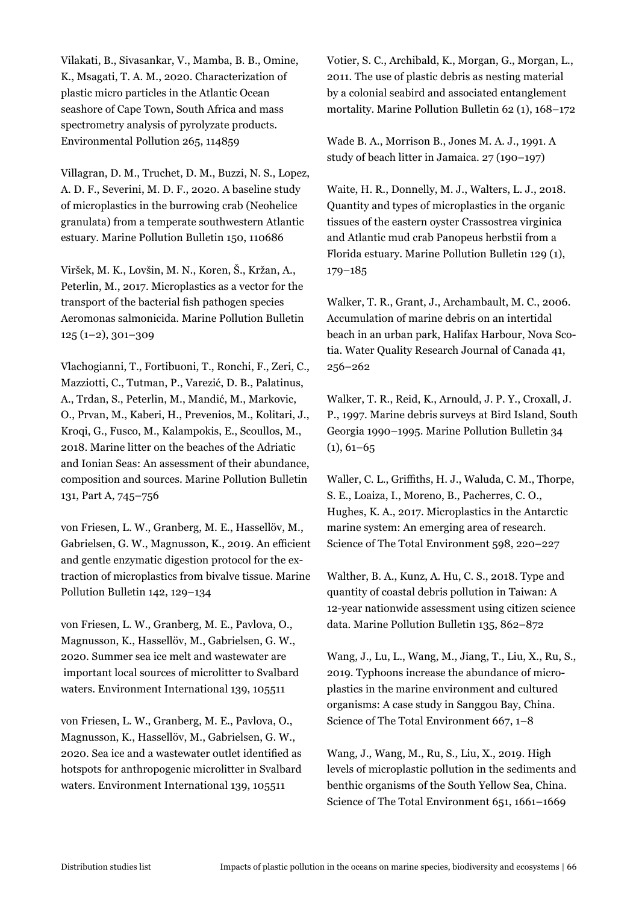Vilakati, B., Sivasankar, V., Mamba, B. B., Omine, K., Msagati, T. A. M., 2020. Characterization of plastic micro particles in the Atlantic Ocean seashore of Cape Town, South Africa and mass spectrometry analysis of pyrolyzate products. Environmental Pollution 265, 114859

Villagran, D. M., Truchet, D. M., Buzzi, N. S., Lopez, A. D. F., Severini, M. D. F., 2020. A baseline study of microplastics in the burrowing crab (Neohelice granulata) from a temperate southwestern Atlantic estuary. Marine Pollution Bulletin 150, 110686

Viršek, M. K., Lovšin, M. N., Koren, Š., Kržan, A., Peterlin, M., 2017. Microplastics as a vector for the transport of the bacterial fish pathogen species Aeromonas salmonicida. Marine Pollution Bulletin 125 (1–2), 301–309

Vlachogianni, T., Fortibuoni, T., Ronchi, F., Zeri, C., Mazziotti, C., Tutman, P., Varezić, D. B., Palatinus, A., Trdan, S., Peterlin, M., Mandić, M., Markovic, O., Prvan, M., Kaberi, H., Prevenios, M., Kolitari, J., Kroqi, G., Fusco, M., Kalampokis, E., Scoullos, M., 2018. Marine litter on the beaches of the Adriatic and Ionian Seas: An assessment of their abundance, composition and sources. Marine Pollution Bulletin 131, Part A, 745–756

von Friesen, L. W., Granberg, M. E., Hassellöv, M., Gabrielsen, G. W., Magnusson, K., 2019. An efficient and gentle enzymatic digestion protocol for the extraction of microplastics from bivalve tissue. Marine Pollution Bulletin 142, 129–134

von Friesen, L. W., Granberg, M. E., Pavlova, O., Magnusson, K., Hassellöv, M., Gabrielsen, G. W., 2020. Summer sea ice melt and wastewater are important local sources of microlitter to Svalbard waters. Environment International 139, 105511

von Friesen, L. W., Granberg, M. E., Pavlova, O., Magnusson, K., Hassellöv, M., Gabrielsen, G. W., 2020. Sea ice and a wastewater outlet identified as hotspots for anthropogenic microlitter in Svalbard waters. Environment International 139, 105511

Votier, S. C., Archibald, K., Morgan, G., Morgan, L., 2011. The use of plastic debris as nesting material by a colonial seabird and associated entanglement mortality. Marine Pollution Bulletin 62 (1), 168–172

Wade B. A., Morrison B., Jones M. A. J., 1991. A study of beach litter in Jamaica. 27 (190–197)

Waite, H. R., Donnelly, M. J., Walters, L. J., 2018. Quantity and types of microplastics in the organic tissues of the eastern oyster Crassostrea virginica and Atlantic mud crab Panopeus herbstii from a Florida estuary. Marine Pollution Bulletin 129 (1), 179–185

Walker, T. R., Grant, J., Archambault, M. C., 2006. Accumulation of marine debris on an intertidal beach in an urban park, Halifax Harbour, Nova Scotia. Water Quality Research Journal of Canada 41, 256–262

Walker, T. R., Reid, K., Arnould, J. P. Y., Croxall, J. P., 1997. Marine debris surveys at Bird Island, South Georgia 1990–1995. Marine Pollution Bulletin 34  $(1), 61-65$ 

Waller, C. L., Griffiths, H. J., Waluda, C. M., Thorpe, S. E., Loaiza, I., Moreno, B., Pacherres, C. O., Hughes, K. A., 2017. Microplastics in the Antarctic marine system: An emerging area of research. Science of The Total Environment 598, 220–227

Walther, B. A., Kunz, A. Hu, C. S., 2018. Type and quantity of coastal debris pollution in Taiwan: A 12-year nationwide assessment using citizen science data. Marine Pollution Bulletin 135, 862–872

Wang, J., Lu, L., Wang, M., Jiang, T., Liu, X., Ru, S., 2019. Typhoons increase the abundance of microplastics in the marine environment and cultured organisms: A case study in Sanggou Bay, China. Science of The Total Environment 667, 1–8

Wang, J., Wang, M., Ru, S., Liu, X., 2019. High levels of microplastic pollution in the sediments and benthic organisms of the South Yellow Sea, China. Science of The Total Environment 651, 1661–1669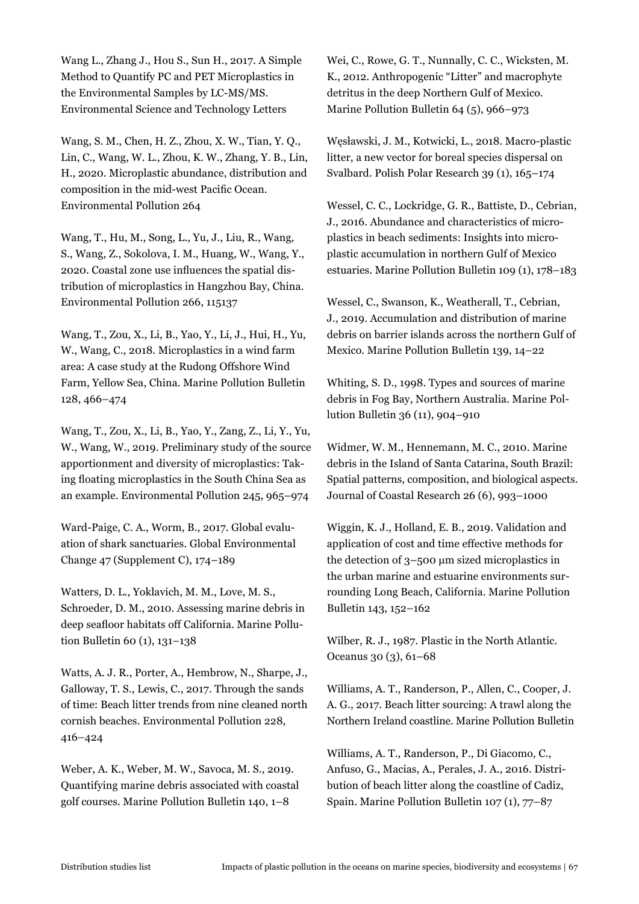Wang L., Zhang J., Hou S., Sun H., 2017. A Simple Method to Quantify PC and PET Microplastics in the Environmental Samples by LC-MS/MS. Environmental Science and Technology Letters

Wang, S. M., Chen, H. Z., Zhou, X. W., Tian, Y. Q., Lin, C., Wang, W. L., Zhou, K. W., Zhang, Y. B., Lin, H., 2020. Microplastic abundance, distribution and composition in the mid-west Pacific Ocean. Environmental Pollution 264

Wang, T., Hu, M., Song, L., Yu, J., Liu, R., Wang, S., Wang, Z., Sokolova, I. M., Huang, W., Wang, Y., 2020. Coastal zone use influences the spatial distribution of microplastics in Hangzhou Bay, China. Environmental Pollution 266, 115137

Wang, T., Zou, X., Li, B., Yao, Y., Li, J., Hui, H., Yu, W., Wang, C., 2018. Microplastics in a wind farm area: A case study at the Rudong Offshore Wind Farm, Yellow Sea, China. Marine Pollution Bulletin 128, 466–474

Wang, T., Zou, X., Li, B., Yao, Y., Zang, Z., Li, Y., Yu, W., Wang, W., 2019. Preliminary study of the source apportionment and diversity of microplastics: Taking floating microplastics in the South China Sea as an example. Environmental Pollution 245, 965–974

Ward-Paige, C. A., Worm, B., 2017. Global evaluation of shark sanctuaries. Global Environmental Change 47 (Supplement C), 174–189

Watters, D. L., Yoklavich, M. M., Love, M. S., Schroeder, D. M., 2010. Assessing marine debris in deep seafloor habitats off California. Marine Pollution Bulletin 60 (1), 131–138

Watts, A. J. R., Porter, A., Hembrow, N., Sharpe, J., Galloway, T. S., Lewis, C., 2017. Through the sands of time: Beach litter trends from nine cleaned north cornish beaches. Environmental Pollution 228, 416–424

Weber, A. K., Weber, M. W., Savoca, M. S., 2019. Quantifying marine debris associated with coastal golf courses. Marine Pollution Bulletin 140, 1–8

Wei, C., Rowe, G. T., Nunnally, C. C., Wicksten, M. K., 2012. Anthropogenic "Litter" and macrophyte detritus in the deep Northern Gulf of Mexico. Marine Pollution Bulletin 64 (5), 966–973

Węsławski, J. M., Kotwicki, L., 2018. Macro-plastic litter, a new vector for boreal species dispersal on Svalbard. Polish Polar Research 39 (1), 165–174

Wessel, C. C., Lockridge, G. R., Battiste, D., Cebrian, J., 2016. Abundance and characteristics of microplastics in beach sediments: Insights into microplastic accumulation in northern Gulf of Mexico estuaries. Marine Pollution Bulletin 109 (1), 178–183

Wessel, C., Swanson, K., Weatherall, T., Cebrian, J., 2019. Accumulation and distribution of marine debris on barrier islands across the northern Gulf of Mexico. Marine Pollution Bulletin 139, 14–22

Whiting, S. D., 1998. Types and sources of marine debris in Fog Bay, Northern Australia. Marine Pollution Bulletin 36 (11), 904–910

Widmer, W. M., Hennemann, M. C., 2010. Marine debris in the Island of Santa Catarina, South Brazil: Spatial patterns, composition, and biological aspects. Journal of Coastal Research 26 (6), 993–1000

Wiggin, K. J., Holland, E. B., 2019. Validation and application of cost and time effective methods for the detection of 3–500 μm sized microplastics in the urban marine and estuarine environments surrounding Long Beach, California. Marine Pollution Bulletin 143, 152–162

Wilber, R. J., 1987. Plastic in the North Atlantic. Oceanus 30 (3), 61–68

Williams, A. T., Randerson, P., Allen, C., Cooper, J. A. G., 2017. Beach litter sourcing: A trawl along the Northern Ireland coastline. Marine Pollution Bulletin

Williams, A. T., Randerson, P., Di Giacomo, C., Anfuso, G., Macias, A., Perales, J. A., 2016. Distribution of beach litter along the coastline of Cadiz, Spain. Marine Pollution Bulletin 107 (1), 77–87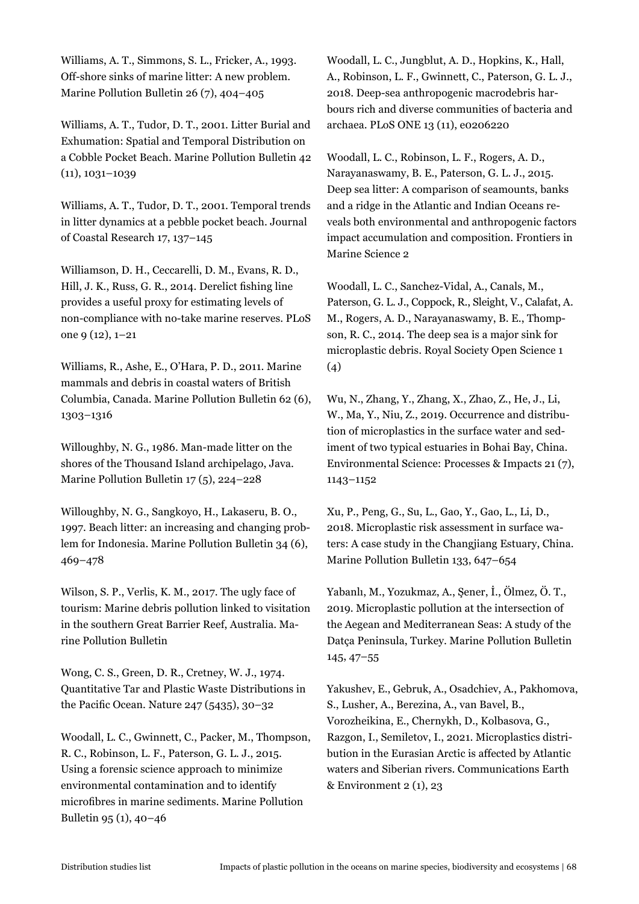Williams, A. T., Simmons, S. L., Fricker, A., 1993. Off-shore sinks of marine litter: A new problem. Marine Pollution Bulletin 26 (7), 404–405

Williams, A. T., Tudor, D. T., 2001. Litter Burial and Exhumation: Spatial and Temporal Distribution on a Cobble Pocket Beach. Marine Pollution Bulletin 42 (11), 1031–1039

Williams, A. T., Tudor, D. T., 2001. Temporal trends in litter dynamics at a pebble pocket beach. Journal of Coastal Research 17, 137–145

Williamson, D. H., Ceccarelli, D. M., Evans, R. D., Hill, J. K., Russ, G. R., 2014. Derelict fishing line provides a useful proxy for estimating levels of non-compliance with no-take marine reserves. PLoS one 9 (12), 1–21

Williams, R., Ashe, E., O'Hara, P. D., 2011. Marine mammals and debris in coastal waters of British Columbia, Canada. Marine Pollution Bulletin 62 (6), 1303–1316

Willoughby, N. G., 1986. Man-made litter on the shores of the Thousand Island archipelago, Java. Marine Pollution Bulletin 17 (5), 224–228

Willoughby, N. G., Sangkoyo, H., Lakaseru, B. O., 1997. Beach litter: an increasing and changing problem for Indonesia. Marine Pollution Bulletin 34 (6), 469–478

Wilson, S. P., Verlis, K. M., 2017. The ugly face of tourism: Marine debris pollution linked to visitation in the southern Great Barrier Reef, Australia. Marine Pollution Bulletin

Wong, C. S., Green, D. R., Cretney, W. J., 1974. Quantitative Tar and Plastic Waste Distributions in the Pacific Ocean. Nature 247 (5435), 30–32

Woodall, L. C., Gwinnett, C., Packer, M., Thompson, R. C., Robinson, L. F., Paterson, G. L. J., 2015. Using a forensic science approach to minimize environmental contamination and to identify microfibres in marine sediments. Marine Pollution Bulletin 95 (1), 40–46

Woodall, L. C., Jungblut, A. D., Hopkins, K., Hall, A., Robinson, L. F., Gwinnett, C., Paterson, G. L. J., 2018. Deep-sea anthropogenic macrodebris harbours rich and diverse communities of bacteria and archaea. PLoS ONE 13 (11), e0206220

Woodall, L. C., Robinson, L. F., Rogers, A. D., Narayanaswamy, B. E., Paterson, G. L. J., 2015. Deep sea litter: A comparison of seamounts, banks and a ridge in the Atlantic and Indian Oceans reveals both environmental and anthropogenic factors impact accumulation and composition. Frontiers in Marine Science 2

Woodall, L. C., Sanchez-Vidal, A., Canals, M., Paterson, G. L. J., Coppock, R., Sleight, V., Calafat, A. M., Rogers, A. D., Narayanaswamy, B. E., Thompson, R. C., 2014. The deep sea is a major sink for microplastic debris. Royal Society Open Science 1 (4)

Wu, N., Zhang, Y., Zhang, X., Zhao, Z., He, J., Li, W., Ma, Y., Niu, Z., 2019. Occurrence and distribution of microplastics in the surface water and sediment of two typical estuaries in Bohai Bay, China. Environmental Science: Processes & Impacts 21 (7), 1143–1152

Xu, P., Peng, G., Su, L., Gao, Y., Gao, L., Li, D., 2018. Microplastic risk assessment in surface waters: A case study in the Changjiang Estuary, China. Marine Pollution Bulletin 133, 647–654

Yabanlı, M., Yozukmaz, A., Şener, İ., Ölmez, Ö. T., 2019. Microplastic pollution at the intersection of the Aegean and Mediterranean Seas: A study of the Datça Peninsula, Turkey. Marine Pollution Bulletin 145, 47–55

Yakushev, E., Gebruk, A., Osadchiev, A., Pakhomova, S., Lusher, A., Berezina, A., van Bavel, B., Vorozheikina, E., Chernykh, D., Kolbasova, G., Razgon, I., Semiletov, I., 2021. Microplastics distribution in the Eurasian Arctic is affected by Atlantic waters and Siberian rivers. Communications Earth  $&$  Environment 2 (1), 23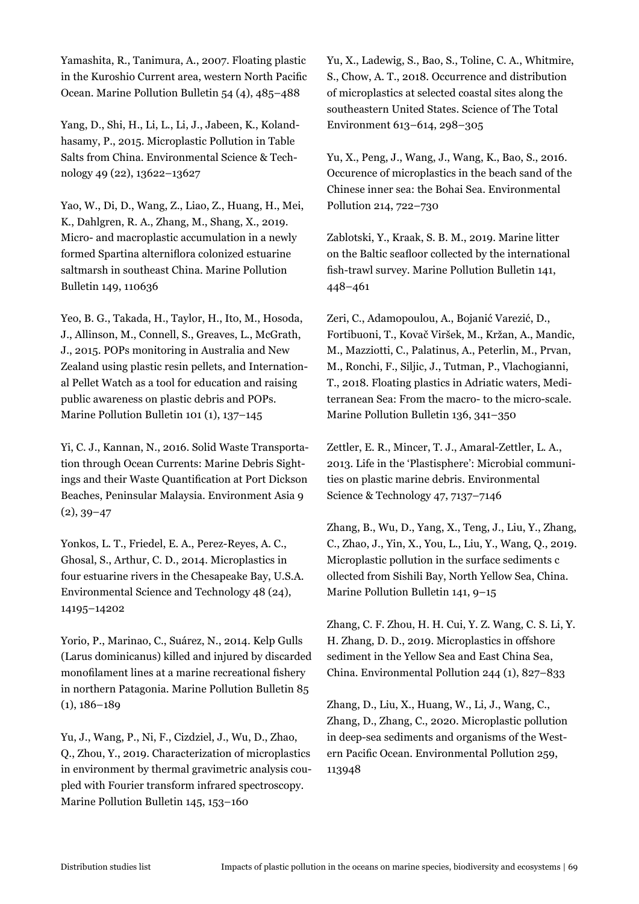Yamashita, R., Tanimura, A., 2007. Floating plastic in the Kuroshio Current area, western North Pacific Ocean. Marine Pollution Bulletin 54 (4), 485–488

Yang, D., Shi, H., Li, L., Li, J., Jabeen, K., Kolandhasamy, P., 2015. Microplastic Pollution in Table Salts from China. Environmental Science & Technology 49 (22), 13622–13627

Yao, W., Di, D., Wang, Z., Liao, Z., Huang, H., Mei, K., Dahlgren, R. A., Zhang, M., Shang, X., 2019. Micro- and macroplastic accumulation in a newly formed Spartina alterniflora colonized estuarine saltmarsh in southeast China. Marine Pollution Bulletin 149, 110636

Yeo, B. G., Takada, H., Taylor, H., Ito, M., Hosoda, J., Allinson, M., Connell, S., Greaves, L., McGrath, J., 2015. POPs monitoring in Australia and New Zealand using plastic resin pellets, and International Pellet Watch as a tool for education and raising public awareness on plastic debris and POPs. Marine Pollution Bulletin 101 (1), 137–145

Yi, C. J., Kannan, N., 2016. Solid Waste Transportation through Ocean Currents: Marine Debris Sightings and their Waste Quantification at Port Dickson Beaches, Peninsular Malaysia. Environment Asia 9  $(2), 39-47$ 

Yonkos, L. T., Friedel, E. A., Perez-Reyes, A. C., Ghosal, S., Arthur, C. D., 2014. Microplastics in four estuarine rivers in the Chesapeake Bay, U.S.A. Environmental Science and Technology 48 (24), 14195–14202

Yorio, P., Marinao, C., Suárez, N., 2014. Kelp Gulls (Larus dominicanus) killed and injured by discarded monofilament lines at a marine recreational fishery in northern Patagonia. Marine Pollution Bulletin 85 (1), 186–189

Yu, J., Wang, P., Ni, F., Cizdziel, J., Wu, D., Zhao, Q., Zhou, Y., 2019. Characterization of microplastics in environment by thermal gravimetric analysis coupled with Fourier transform infrared spectroscopy. Marine Pollution Bulletin 145, 153–160

Yu, X., Ladewig, S., Bao, S., Toline, C. A., Whitmire, S., Chow, A. T., 2018. Occurrence and distribution of microplastics at selected coastal sites along the southeastern United States. Science of The Total Environment 613–614, 298–305

Yu, X., Peng, J., Wang, J., Wang, K., Bao, S., 2016. Occurence of microplastics in the beach sand of the Chinese inner sea: the Bohai Sea. Environmental Pollution 214, 722–730

Zablotski, Y., Kraak, S. B. M., 2019. Marine litter on the Baltic seafloor collected by the international fish-trawl survey. Marine Pollution Bulletin 141, 448–461

Zeri, C., Adamopoulou, A., Bojanić Varezić, D., Fortibuoni, T., Kovač Viršek, M., Kržan, A., Mandic, M., Mazziotti, C., Palatinus, A., Peterlin, M., Prvan, M., Ronchi, F., Siljic, J., Tutman, P., Vlachogianni, T., 2018. Floating plastics in Adriatic waters, Mediterranean Sea: From the macro- to the micro-scale. Marine Pollution Bulletin 136, 341–350

Zettler, E. R., Mincer, T. J., Amaral-Zettler, L. A., 2013. Life in the 'Plastisphere': Microbial communities on plastic marine debris. Environmental Science & Technology 47, 7137–7146

Zhang, B., Wu, D., Yang, X., Teng, J., Liu, Y., Zhang, C., Zhao, J., Yin, X., You, L., Liu, Y., Wang, Q., 2019. Microplastic pollution in the surface sediments c ollected from Sishili Bay, North Yellow Sea, China. Marine Pollution Bulletin 141, 9–15

Zhang, C. F. Zhou, H. H. Cui, Y. Z. Wang, C. S. Li, Y. H. Zhang, D. D., 2019. Microplastics in offshore sediment in the Yellow Sea and East China Sea, China. Environmental Pollution 244 (1), 827–833

Zhang, D., Liu, X., Huang, W., Li, J., Wang, C., Zhang, D., Zhang, C., 2020. Microplastic pollution in deep-sea sediments and organisms of the Western Pacific Ocean. Environmental Pollution 259, 113948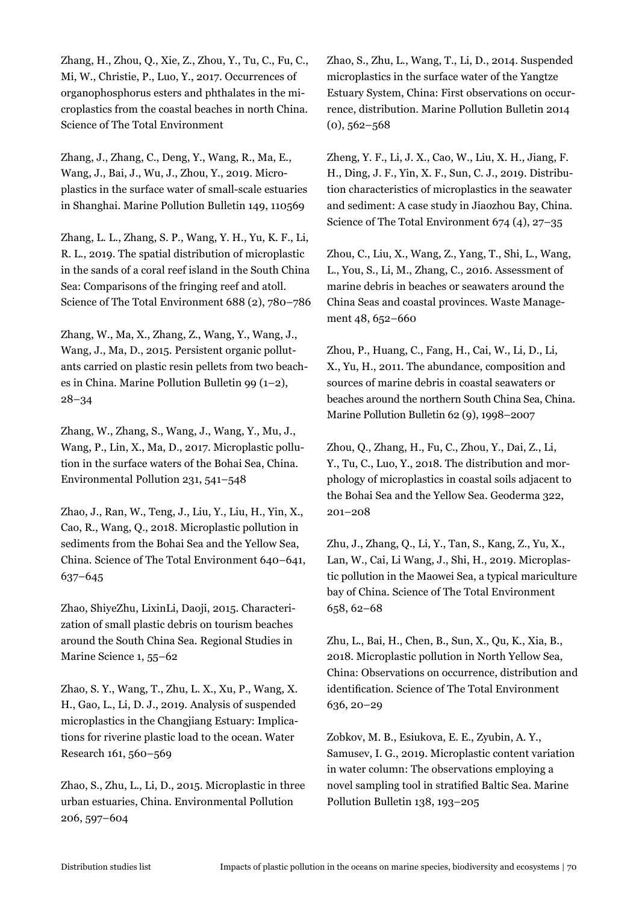Zhang, H., Zhou, Q., Xie, Z., Zhou, Y., Tu, C., Fu, C., Mi, W., Christie, P., Luo, Y., 2017. Occurrences of organophosphorus esters and phthalates in the microplastics from the coastal beaches in north China. Science of The Total Environment

Zhang, J., Zhang, C., Deng, Y., Wang, R., Ma, E., Wang, J., Bai, J., Wu, J., Zhou, Y., 2019. Microplastics in the surface water of small-scale estuaries in Shanghai. Marine Pollution Bulletin 149, 110569

Zhang, L. L., Zhang, S. P., Wang, Y. H., Yu, K. F., Li, R. L., 2019. The spatial distribution of microplastic in the sands of a coral reef island in the South China Sea: Comparisons of the fringing reef and atoll. Science of The Total Environment 688 (2), 780–786

Zhang, W., Ma, X., Zhang, Z., Wang, Y., Wang, J., Wang, J., Ma, D., 2015. Persistent organic pollutants carried on plastic resin pellets from two beaches in China. Marine Pollution Bulletin 99 (1–2), 28–34

Zhang, W., Zhang, S., Wang, J., Wang, Y., Mu, J., Wang, P., Lin, X., Ma, D., 2017. Microplastic pollution in the surface waters of the Bohai Sea, China. Environmental Pollution 231, 541–548

Zhao, J., Ran, W., Teng, J., Liu, Y., Liu, H., Yin, X., Cao, R., Wang, Q., 2018. Microplastic pollution in sediments from the Bohai Sea and the Yellow Sea, China. Science of The Total Environment 640–641, 637–645

Zhao, ShiyeZhu, LixinLi, Daoji, 2015. Characterization of small plastic debris on tourism beaches around the South China Sea. Regional Studies in Marine Science 1, 55–62

Zhao, S. Y., Wang, T., Zhu, L. X., Xu, P., Wang, X. H., Gao, L., Li, D. J., 2019. Analysis of suspended microplastics in the Changjiang Estuary: Implications for riverine plastic load to the ocean. Water Research 161, 560–569

Zhao, S., Zhu, L., Li, D., 2015. Microplastic in three urban estuaries, China. Environmental Pollution 206, 597–604

Zhao, S., Zhu, L., Wang, T., Li, D., 2014. Suspended microplastics in the surface water of the Yangtze Estuary System, China: First observations on occurrence, distribution. Marine Pollution Bulletin 2014  $(0), 562 - 568$ 

Zheng, Y. F., Li, J. X., Cao, W., Liu, X. H., Jiang, F. H., Ding, J. F., Yin, X. F., Sun, C. J., 2019. Distribution characteristics of microplastics in the seawater and sediment: A case study in Jiaozhou Bay, China. Science of The Total Environment 674 (4), 27–35

Zhou, C., Liu, X., Wang, Z., Yang, T., Shi, L., Wang, L., You, S., Li, M., Zhang, C., 2016. Assessment of marine debris in beaches or seawaters around the China Seas and coastal provinces. Waste Management 48, 652–660

Zhou, P., Huang, C., Fang, H., Cai, W., Li, D., Li, X., Yu, H., 2011. The abundance, composition and sources of marine debris in coastal seawaters or beaches around the northern South China Sea, China. Marine Pollution Bulletin 62 (9), 1998–2007

Zhou, Q., Zhang, H., Fu, C., Zhou, Y., Dai, Z., Li, Y., Tu, C., Luo, Y., 2018. The distribution and morphology of microplastics in coastal soils adjacent to the Bohai Sea and the Yellow Sea. Geoderma 322, 201–208

Zhu, J., Zhang, Q., Li, Y., Tan, S., Kang, Z., Yu, X., Lan, W., Cai, Li Wang, J., Shi, H., 2019. Microplastic pollution in the Maowei Sea, a typical mariculture bay of China. Science of The Total Environment 658, 62–68

Zhu, L., Bai, H., Chen, B., Sun, X., Qu, K., Xia, B., 2018. Microplastic pollution in North Yellow Sea, China: Observations on occurrence, distribution and identification. Science of The Total Environment 636, 20–29

Zobkov, M. B., Esiukova, E. E., Zyubin, A. Y., Samusev, I. G., 2019. Microplastic content variation in water column: The observations employing a novel sampling tool in stratified Baltic Sea. Marine Pollution Bulletin 138, 193–205